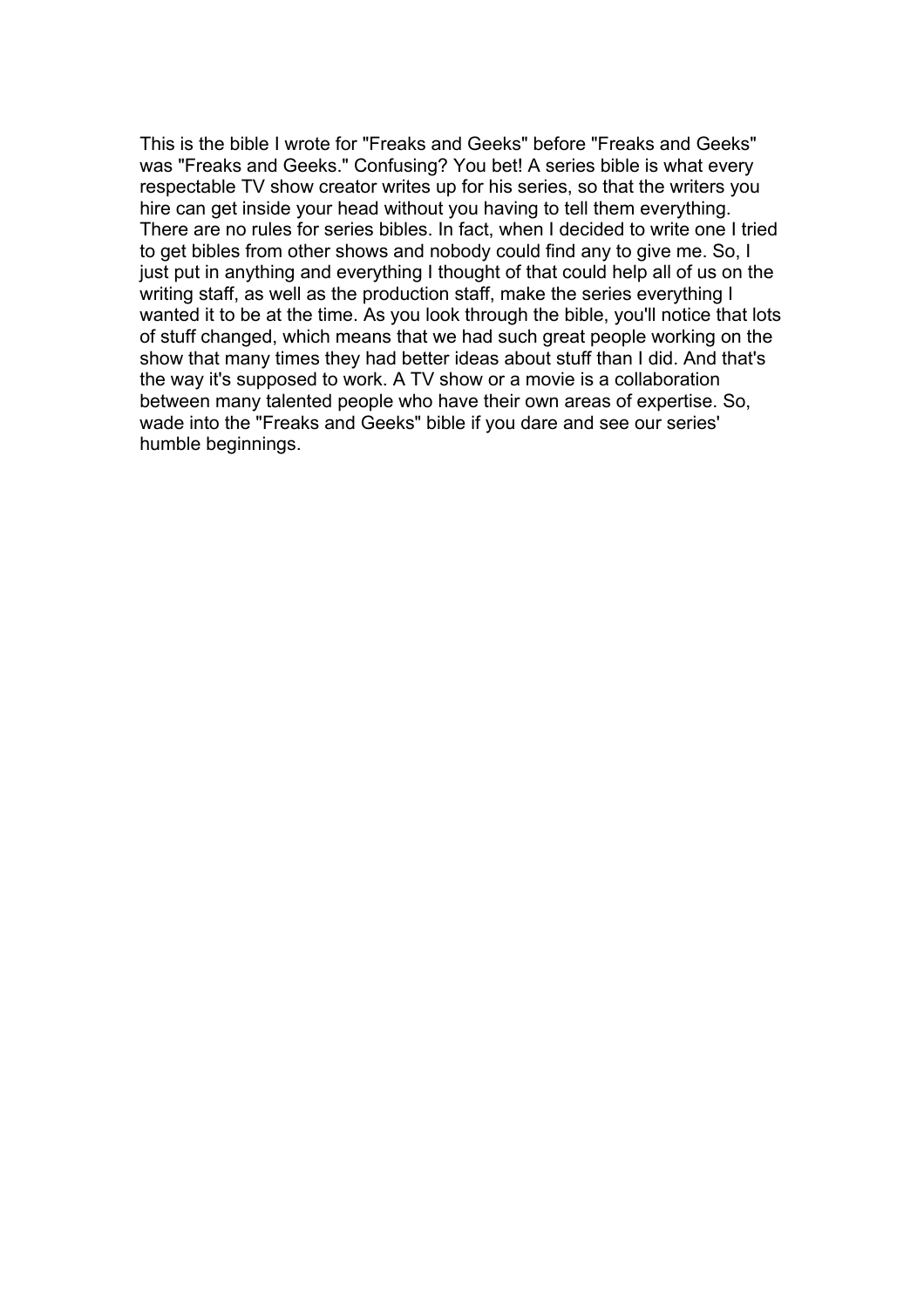This is the bible I wrote for "Freaks and Geeks" before "Freaks and Geeks" was "Freaks and Geeks." Confusing? You bet! A series bible is what every respectable TV show creator writes up for his series, so that the writers you hire can get inside your head without you having to tell them everything. There are no rules for series bibles. In fact, when I decided to write one I tried to get bibles from other shows and nobody could find any to give me. So, I just put in anything and everything I thought of that could help all of us on the writing staff, as well as the production staff, make the series everything I wanted it to be at the time. As you look through the bible, you'll notice that lots of stuff changed, which means that we had such great people working on the show that many times they had better ideas about stuff than I did. And that's the way it's supposed to work. A TV show or a movie is a collaboration between many talented people who have their own areas of expertise. So, wade into the "Freaks and Geeks" bible if you dare and see our series' humble beginnings.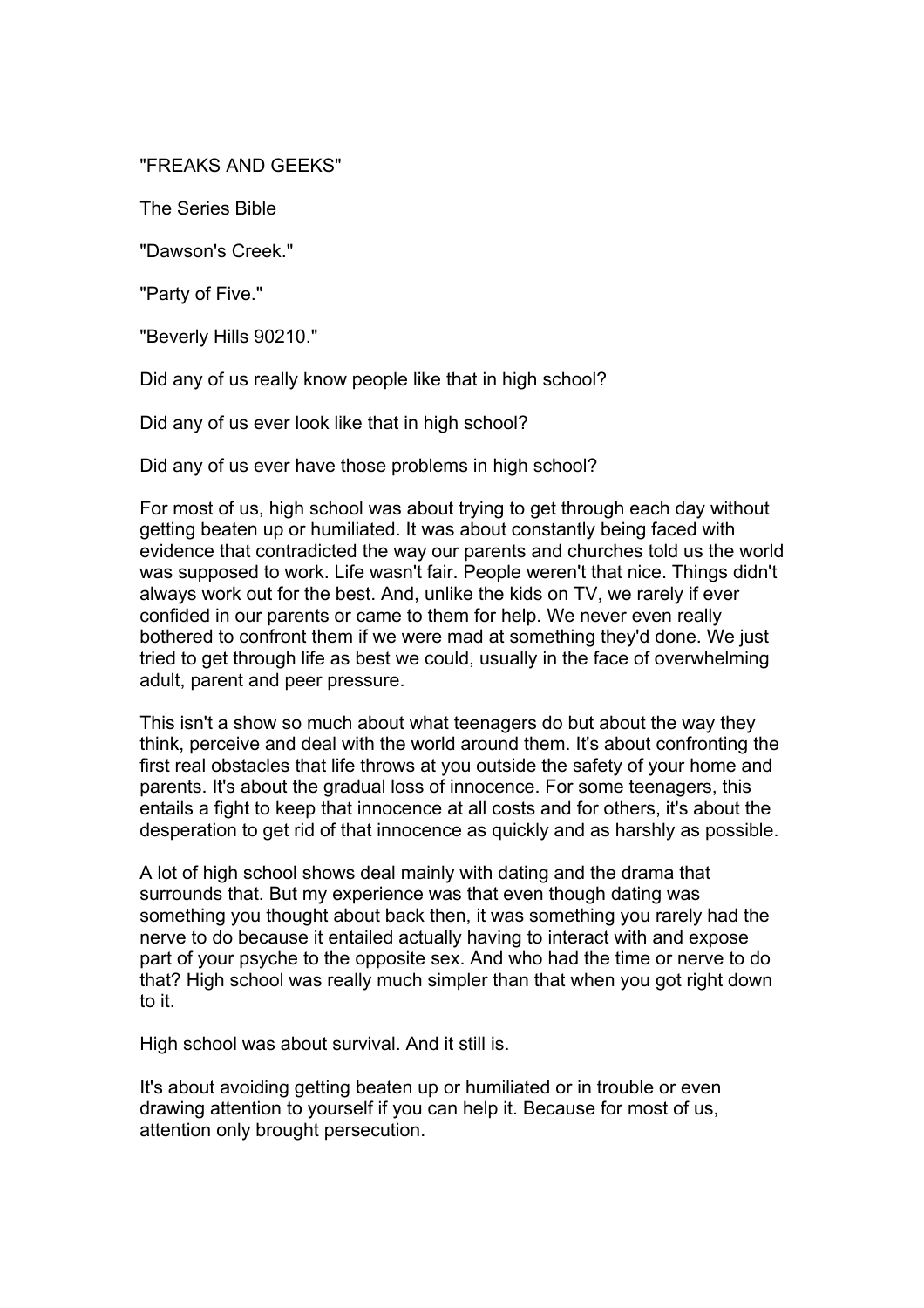## "FREAKS AND GEEKS"

The Series Bible

"Dawson's Creek."

"Party of Five."

"Beverly Hills 90210."

Did any of us really know people like that in high school?

Did any of us ever look like that in high school?

Did any of us ever have those problems in high school?

For most of us, high school was about trying to get through each day without getting beaten up or humiliated. It was about constantly being faced with evidence that contradicted the way our parents and churches told us the world was supposed to work. Life wasn't fair. People weren't that nice. Things didn't always work out for the best. And, unlike the kids on TV, we rarely if ever confided in our parents or came to them for help. We never even really bothered to confront them if we were mad at something they'd done. We just tried to get through life as best we could, usually in the face of overwhelming adult, parent and peer pressure.

This isn't a show so much about what teenagers do but about the way they think, perceive and deal with the world around them. It's about confronting the first real obstacles that life throws at you outside the safety of your home and parents. It's about the gradual loss of innocence. For some teenagers, this entails a fight to keep that innocence at all costs and for others, it's about the desperation to get rid of that innocence as quickly and as harshly as possible.

A lot of high school shows deal mainly with dating and the drama that surrounds that. But my experience was that even though dating was something you thought about back then, it was something you rarely had the nerve to do because it entailed actually having to interact with and expose part of your psyche to the opposite sex. And who had the time or nerve to do that? High school was really much simpler than that when you got right down to it.

High school was about survival. And it still is.

It's about avoiding getting beaten up or humiliated or in trouble or even drawing attention to yourself if you can help it. Because for most of us, attention only brought persecution.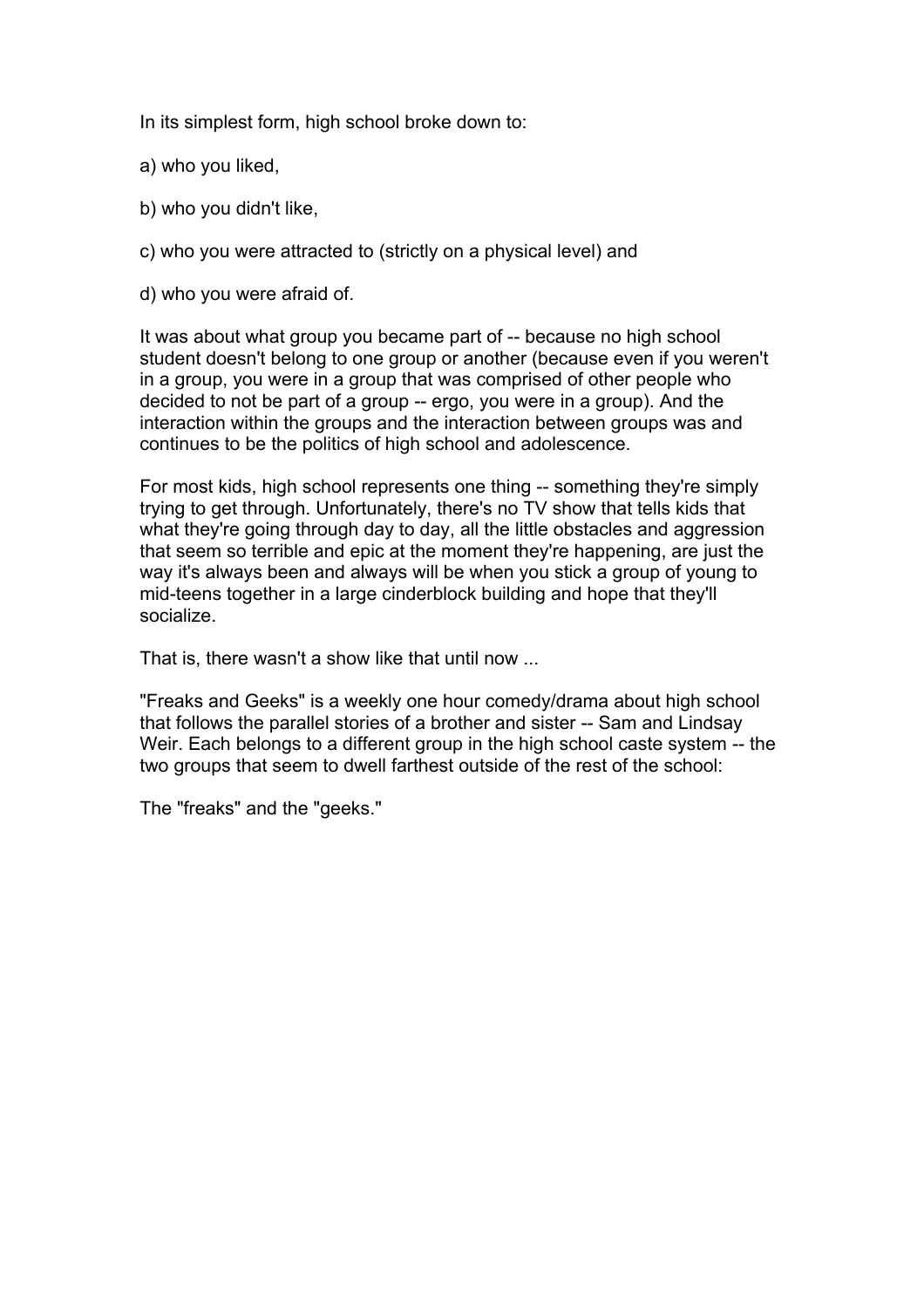In its simplest form, high school broke down to:

- a) who you liked,
- b) who you didn't like,
- c) who you were attracted to (strictly on a physical level) and

d) who you were afraid of.

It was about what group you became part of -- because no high school student doesn't belong to one group or another (because even if you weren't in a group, you were in a group that was comprised of other people who decided to not be part of a group -- ergo, you were in a group). And the interaction within the groups and the interaction between groups was and continues to be the politics of high school and adolescence.

For most kids, high school represents one thing -- something they're simply trying to get through. Unfortunately, there's no TV show that tells kids that what they're going through day to day, all the little obstacles and aggression that seem so terrible and epic at the moment they're happening, are just the way it's always been and always will be when you stick a group of young to mid-teens together in a large cinderblock building and hope that they'll socialize.

That is, there wasn't a show like that until now ...

"Freaks and Geeks" is a weekly one hour comedy/drama about high school that follows the parallel stories of a brother and sister -- Sam and Lindsay Weir. Each belongs to a different group in the high school caste system -- the two groups that seem to dwell farthest outside of the rest of the school:

The "freaks" and the "geeks."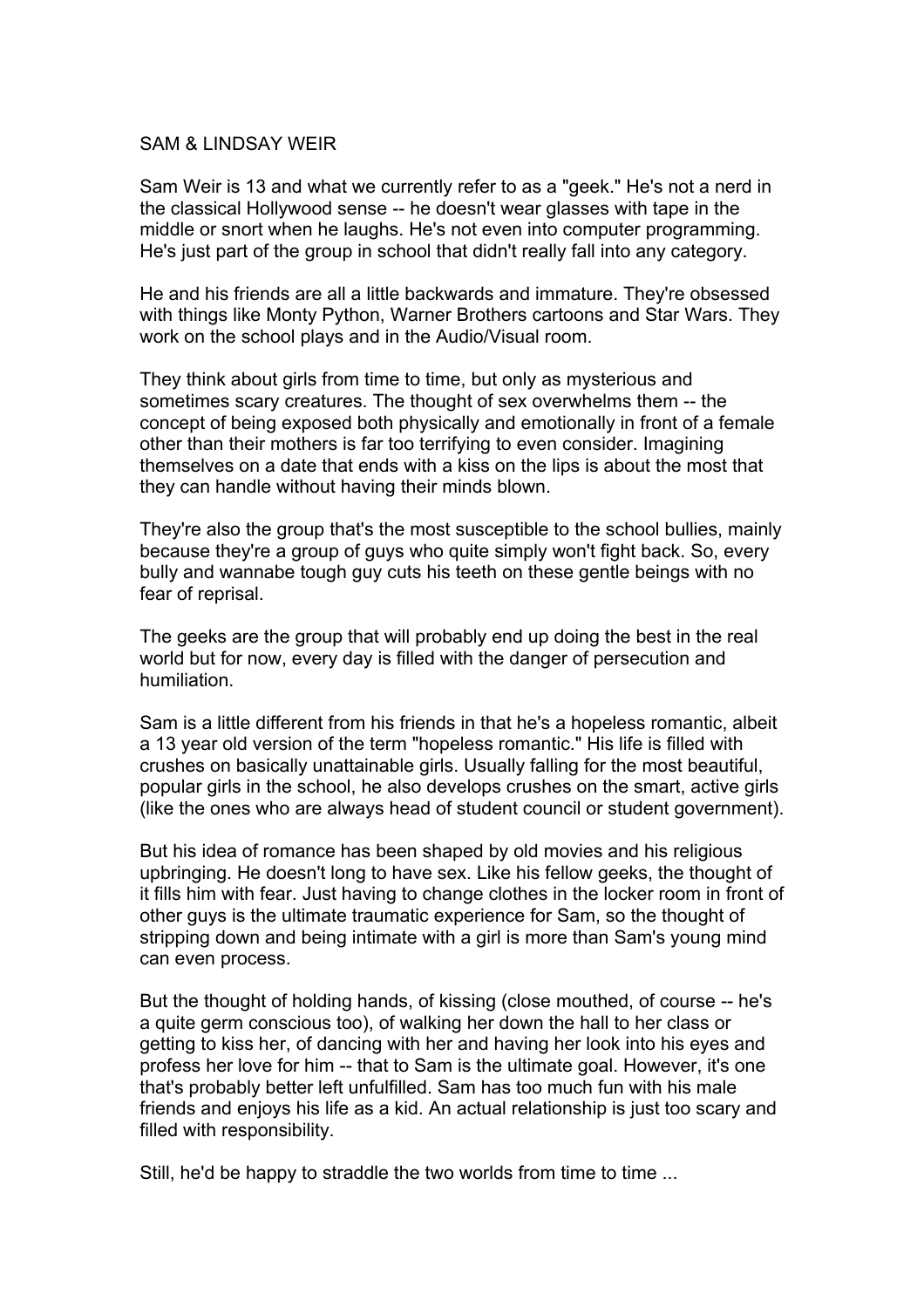#### SAM & LINDSAY WEIR

Sam Weir is 13 and what we currently refer to as a "geek." He's not a nerd in the classical Hollywood sense -- he doesn't wear glasses with tape in the middle or snort when he laughs. He's not even into computer programming. He's just part of the group in school that didn't really fall into any category.

He and his friends are all a little backwards and immature. They're obsessed with things like Monty Python, Warner Brothers cartoons and Star Wars. They work on the school plays and in the Audio/Visual room.

They think about girls from time to time, but only as mysterious and sometimes scary creatures. The thought of sex overwhelms them -- the concept of being exposed both physically and emotionally in front of a female other than their mothers is far too terrifying to even consider. Imagining themselves on a date that ends with a kiss on the lips is about the most that they can handle without having their minds blown.

They're also the group that's the most susceptible to the school bullies, mainly because they're a group of guys who quite simply won't fight back. So, every bully and wannabe tough guy cuts his teeth on these gentle beings with no fear of reprisal.

The geeks are the group that will probably end up doing the best in the real world but for now, every day is filled with the danger of persecution and humiliation.

Sam is a little different from his friends in that he's a hopeless romantic, albeit a 13 year old version of the term "hopeless romantic." His life is filled with crushes on basically unattainable girls. Usually falling for the most beautiful, popular girls in the school, he also develops crushes on the smart, active girls (like the ones who are always head of student council or student government).

But his idea of romance has been shaped by old movies and his religious upbringing. He doesn't long to have sex. Like his fellow geeks, the thought of it fills him with fear. Just having to change clothes in the locker room in front of other guys is the ultimate traumatic experience for Sam, so the thought of stripping down and being intimate with a girl is more than Sam's young mind can even process.

But the thought of holding hands, of kissing (close mouthed, of course -- he's a quite germ conscious too), of walking her down the hall to her class or getting to kiss her, of dancing with her and having her look into his eyes and profess her love for him -- that to Sam is the ultimate goal. However, it's one that's probably better left unfulfilled. Sam has too much fun with his male friends and enjoys his life as a kid. An actual relationship is just too scary and filled with responsibility.

Still, he'd be happy to straddle the two worlds from time to time ...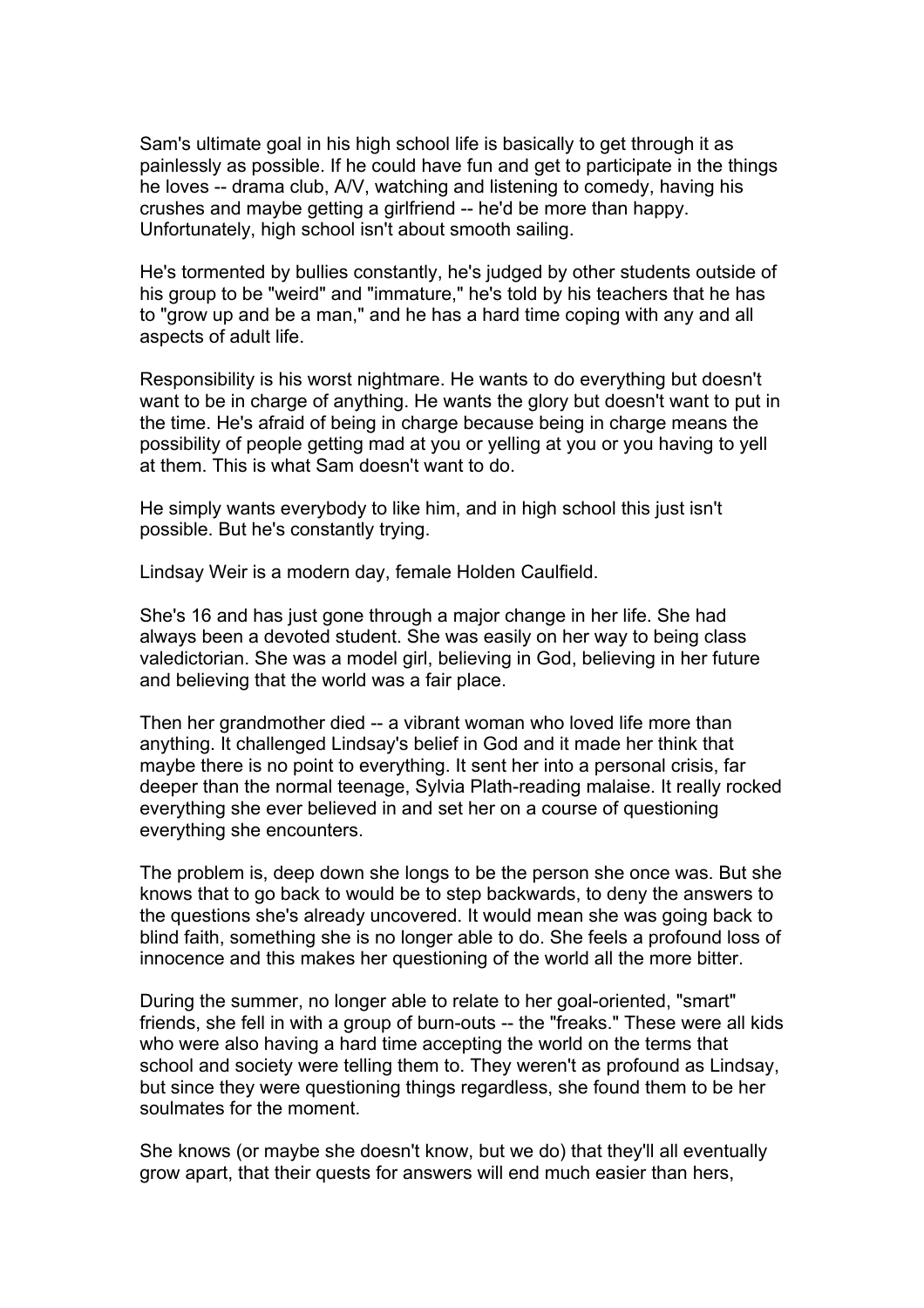Sam's ultimate goal in his high school life is basically to get through it as painlessly as possible. If he could have fun and get to participate in the things he loves -- drama club, A/V, watching and listening to comedy, having his crushes and maybe getting a girlfriend -- he'd be more than happy. Unfortunately, high school isn't about smooth sailing.

He's tormented by bullies constantly, he's judged by other students outside of his group to be "weird" and "immature," he's told by his teachers that he has to "grow up and be a man," and he has a hard time coping with any and all aspects of adult life.

Responsibility is his worst nightmare. He wants to do everything but doesn't want to be in charge of anything. He wants the glory but doesn't want to put in the time. He's afraid of being in charge because being in charge means the possibility of people getting mad at you or yelling at you or you having to yell at them. This is what Sam doesn't want to do.

He simply wants everybody to like him, and in high school this just isn't possible. But he's constantly trying.

Lindsay Weir is a modern day, female Holden Caulfield.

She's 16 and has just gone through a major change in her life. She had always been a devoted student. She was easily on her way to being class valedictorian. She was a model girl, believing in God, believing in her future and believing that the world was a fair place.

Then her grandmother died -- a vibrant woman who loved life more than anything. It challenged Lindsay's belief in God and it made her think that maybe there is no point to everything. It sent her into a personal crisis, far deeper than the normal teenage, Sylvia Plath-reading malaise. It really rocked everything she ever believed in and set her on a course of questioning everything she encounters.

The problem is, deep down she longs to be the person she once was. But she knows that to go back to would be to step backwards, to deny the answers to the questions she's already uncovered. It would mean she was going back to blind faith, something she is no longer able to do. She feels a profound loss of innocence and this makes her questioning of the world all the more bitter.

During the summer, no longer able to relate to her goal-oriented, "smart" friends, she fell in with a group of burn-outs -- the "freaks." These were all kids who were also having a hard time accepting the world on the terms that school and society were telling them to. They weren't as profound as Lindsay, but since they were questioning things regardless, she found them to be her soulmates for the moment.

She knows (or maybe she doesn't know, but we do) that they'll all eventually grow apart, that their quests for answers will end much easier than hers,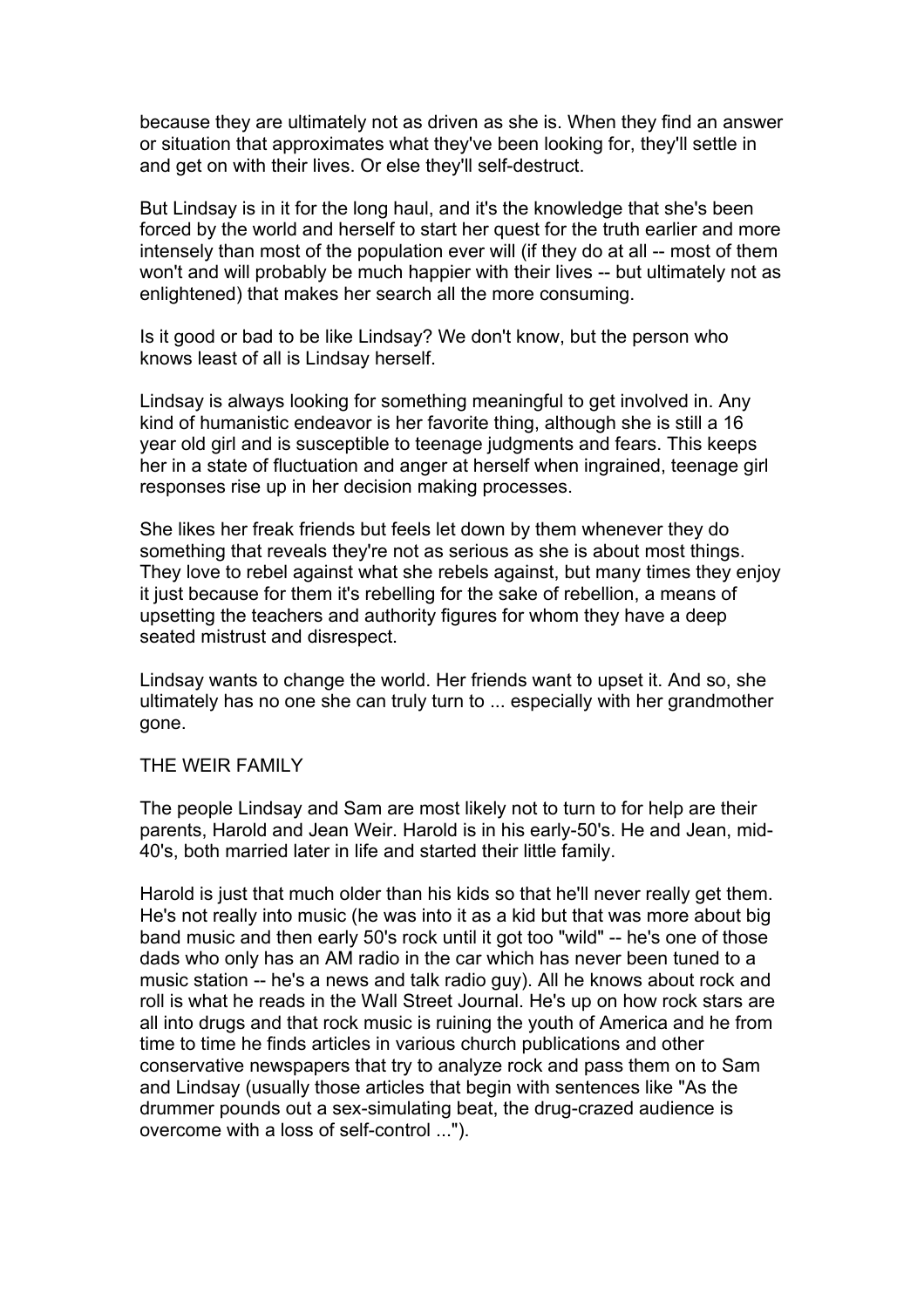because they are ultimately not as driven as she is. When they find an answer or situation that approximates what they've been looking for, they'll settle in and get on with their lives. Or else they'll self-destruct.

But Lindsay is in it for the long haul, and it's the knowledge that she's been forced by the world and herself to start her quest for the truth earlier and more intensely than most of the population ever will (if they do at all -- most of them won't and will probably be much happier with their lives -- but ultimately not as enlightened) that makes her search all the more consuming.

Is it good or bad to be like Lindsay? We don't know, but the person who knows least of all is Lindsay herself.

Lindsay is always looking for something meaningful to get involved in. Any kind of humanistic endeavor is her favorite thing, although she is still a 16 year old girl and is susceptible to teenage judgments and fears. This keeps her in a state of fluctuation and anger at herself when ingrained, teenage girl responses rise up in her decision making processes.

She likes her freak friends but feels let down by them whenever they do something that reveals they're not as serious as she is about most things. They love to rebel against what she rebels against, but many times they enjoy it just because for them it's rebelling for the sake of rebellion, a means of upsetting the teachers and authority figures for whom they have a deep seated mistrust and disrespect.

Lindsay wants to change the world. Her friends want to upset it. And so, she ultimately has no one she can truly turn to ... especially with her grandmother gone.

#### THE WEIR FAMILY

The people Lindsay and Sam are most likely not to turn to for help are their parents, Harold and Jean Weir. Harold is in his early-50's. He and Jean, mid-40's, both married later in life and started their little family.

Harold is just that much older than his kids so that he'll never really get them. He's not really into music (he was into it as a kid but that was more about big band music and then early 50's rock until it got too "wild" -- he's one of those dads who only has an AM radio in the car which has never been tuned to a music station -- he's a news and talk radio guy). All he knows about rock and roll is what he reads in the Wall Street Journal. He's up on how rock stars are all into drugs and that rock music is ruining the youth of America and he from time to time he finds articles in various church publications and other conservative newspapers that try to analyze rock and pass them on to Sam and Lindsay (usually those articles that begin with sentences like "As the drummer pounds out a sex-simulating beat, the drug-crazed audience is overcome with a loss of self-control ...").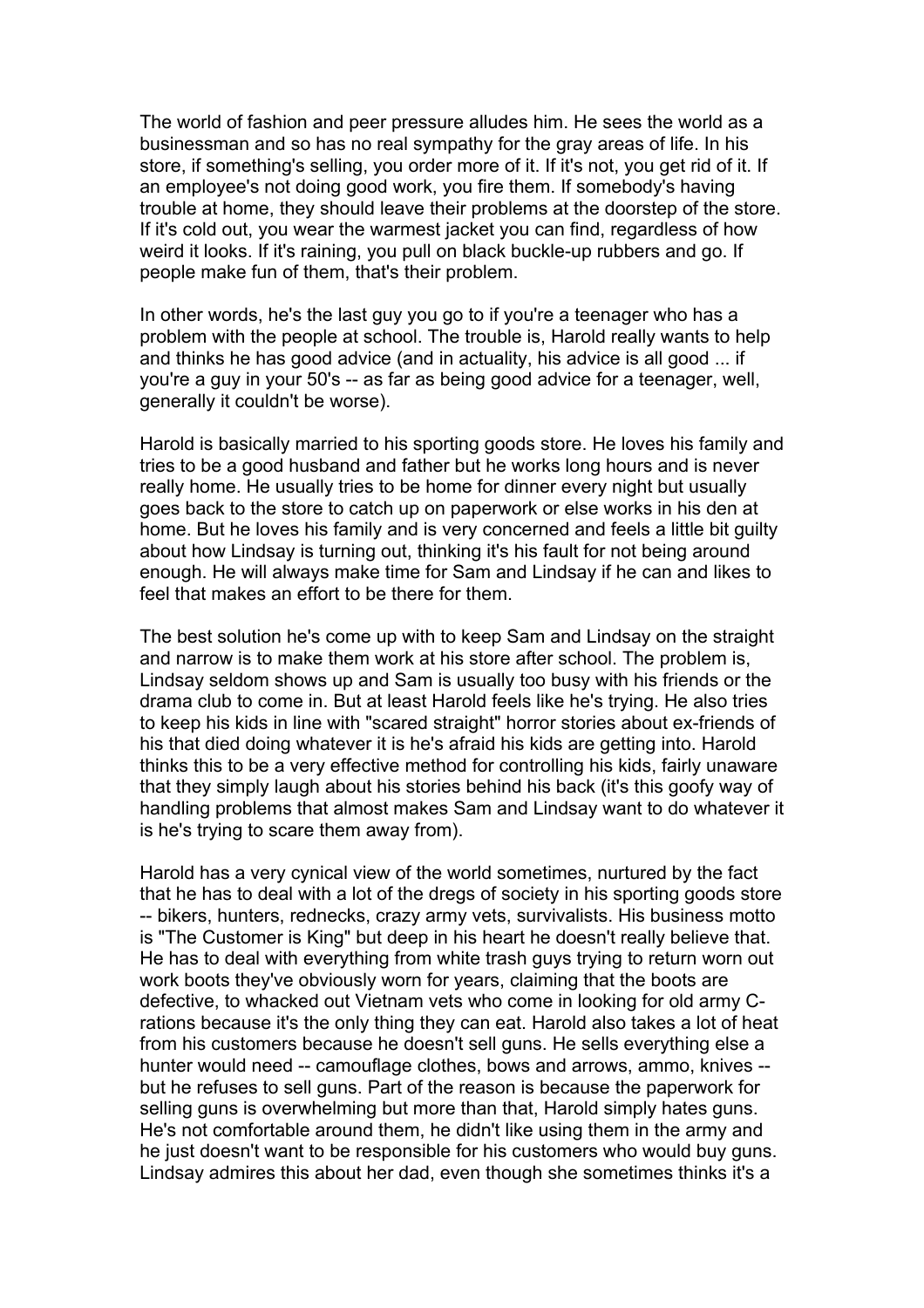The world of fashion and peer pressure alludes him. He sees the world as a businessman and so has no real sympathy for the gray areas of life. In his store, if something's selling, you order more of it. If it's not, you get rid of it. If an employee's not doing good work, you fire them. If somebody's having trouble at home, they should leave their problems at the doorstep of the store. If it's cold out, you wear the warmest jacket you can find, regardless of how weird it looks. If it's raining, you pull on black buckle-up rubbers and go. If people make fun of them, that's their problem.

In other words, he's the last guy you go to if you're a teenager who has a problem with the people at school. The trouble is, Harold really wants to help and thinks he has good advice (and in actuality, his advice is all good ... if you're a guy in your 50's -- as far as being good advice for a teenager, well, generally it couldn't be worse).

Harold is basically married to his sporting goods store. He loves his family and tries to be a good husband and father but he works long hours and is never really home. He usually tries to be home for dinner every night but usually goes back to the store to catch up on paperwork or else works in his den at home. But he loves his family and is very concerned and feels a little bit guilty about how Lindsay is turning out, thinking it's his fault for not being around enough. He will always make time for Sam and Lindsay if he can and likes to feel that makes an effort to be there for them.

The best solution he's come up with to keep Sam and Lindsay on the straight and narrow is to make them work at his store after school. The problem is, Lindsay seldom shows up and Sam is usually too busy with his friends or the drama club to come in. But at least Harold feels like he's trying. He also tries to keep his kids in line with "scared straight" horror stories about ex-friends of his that died doing whatever it is he's afraid his kids are getting into. Harold thinks this to be a very effective method for controlling his kids, fairly unaware that they simply laugh about his stories behind his back (it's this goofy way of handling problems that almost makes Sam and Lindsay want to do whatever it is he's trying to scare them away from).

Harold has a very cynical view of the world sometimes, nurtured by the fact that he has to deal with a lot of the dregs of society in his sporting goods store -- bikers, hunters, rednecks, crazy army vets, survivalists. His business motto is "The Customer is King" but deep in his heart he doesn't really believe that. He has to deal with everything from white trash guys trying to return worn out work boots they've obviously worn for years, claiming that the boots are defective, to whacked out Vietnam vets who come in looking for old army Crations because it's the only thing they can eat. Harold also takes a lot of heat from his customers because he doesn't sell guns. He sells everything else a hunter would need -- camouflage clothes, bows and arrows, ammo, knives - but he refuses to sell guns. Part of the reason is because the paperwork for selling guns is overwhelming but more than that, Harold simply hates guns. He's not comfortable around them, he didn't like using them in the army and he just doesn't want to be responsible for his customers who would buy guns. Lindsay admires this about her dad, even though she sometimes thinks it's a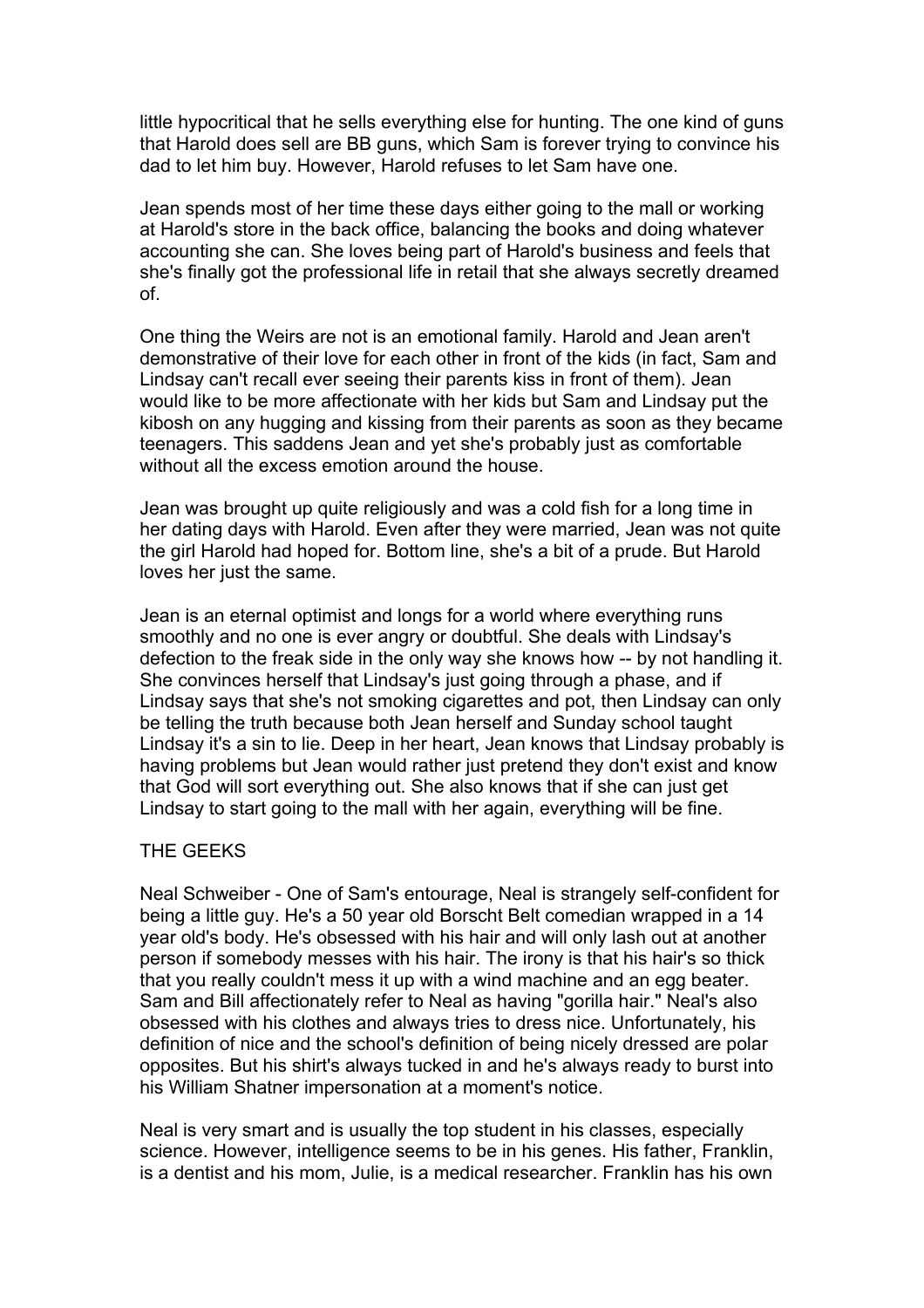little hypocritical that he sells everything else for hunting. The one kind of guns that Harold does sell are BB guns, which Sam is forever trying to convince his dad to let him buy. However, Harold refuses to let Sam have one.

Jean spends most of her time these days either going to the mall or working at Harold's store in the back office, balancing the books and doing whatever accounting she can. She loves being part of Harold's business and feels that she's finally got the professional life in retail that she always secretly dreamed of.

One thing the Weirs are not is an emotional family. Harold and Jean aren't demonstrative of their love for each other in front of the kids (in fact, Sam and Lindsay can't recall ever seeing their parents kiss in front of them). Jean would like to be more affectionate with her kids but Sam and Lindsay put the kibosh on any hugging and kissing from their parents as soon as they became teenagers. This saddens Jean and yet she's probably just as comfortable without all the excess emotion around the house.

Jean was brought up quite religiously and was a cold fish for a long time in her dating days with Harold. Even after they were married, Jean was not quite the girl Harold had hoped for. Bottom line, she's a bit of a prude. But Harold loves her just the same.

Jean is an eternal optimist and longs for a world where everything runs smoothly and no one is ever angry or doubtful. She deals with Lindsay's defection to the freak side in the only way she knows how -- by not handling it. She convinces herself that Lindsay's just going through a phase, and if Lindsay says that she's not smoking cigarettes and pot, then Lindsay can only be telling the truth because both Jean herself and Sunday school taught Lindsay it's a sin to lie. Deep in her heart, Jean knows that Lindsay probably is having problems but Jean would rather just pretend they don't exist and know that God will sort everything out. She also knows that if she can just get Lindsay to start going to the mall with her again, everything will be fine.

#### THE GEEKS

Neal Schweiber - One of Sam's entourage, Neal is strangely self-confident for being a little guy. He's a 50 year old Borscht Belt comedian wrapped in a 14 year old's body. He's obsessed with his hair and will only lash out at another person if somebody messes with his hair. The irony is that his hair's so thick that you really couldn't mess it up with a wind machine and an egg beater. Sam and Bill affectionately refer to Neal as having "gorilla hair." Neal's also obsessed with his clothes and always tries to dress nice. Unfortunately, his definition of nice and the school's definition of being nicely dressed are polar opposites. But his shirt's always tucked in and he's always ready to burst into his William Shatner impersonation at a moment's notice.

Neal is very smart and is usually the top student in his classes, especially science. However, intelligence seems to be in his genes. His father, Franklin, is a dentist and his mom, Julie, is a medical researcher. Franklin has his own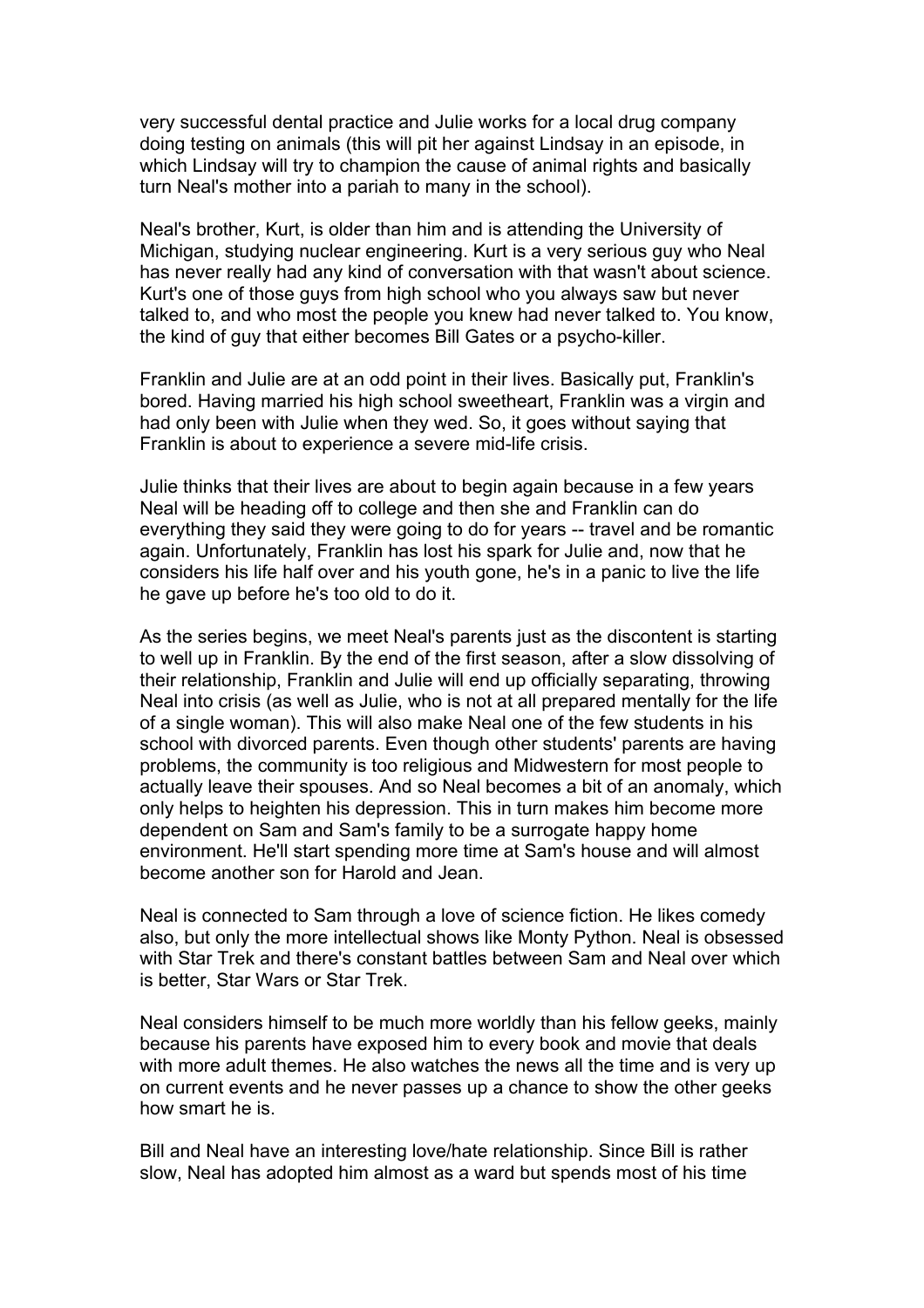very successful dental practice and Julie works for a local drug company doing testing on animals (this will pit her against Lindsay in an episode, in which Lindsay will try to champion the cause of animal rights and basically turn Neal's mother into a pariah to many in the school).

Neal's brother, Kurt, is older than him and is attending the University of Michigan, studying nuclear engineering. Kurt is a very serious guy who Neal has never really had any kind of conversation with that wasn't about science. Kurt's one of those guys from high school who you always saw but never talked to, and who most the people you knew had never talked to. You know, the kind of guy that either becomes Bill Gates or a psycho-killer.

Franklin and Julie are at an odd point in their lives. Basically put, Franklin's bored. Having married his high school sweetheart, Franklin was a virgin and had only been with Julie when they wed. So, it goes without saying that Franklin is about to experience a severe mid-life crisis.

Julie thinks that their lives are about to begin again because in a few years Neal will be heading off to college and then she and Franklin can do everything they said they were going to do for years -- travel and be romantic again. Unfortunately, Franklin has lost his spark for Julie and, now that he considers his life half over and his youth gone, he's in a panic to live the life he gave up before he's too old to do it.

As the series begins, we meet Neal's parents just as the discontent is starting to well up in Franklin. By the end of the first season, after a slow dissolving of their relationship, Franklin and Julie will end up officially separating, throwing Neal into crisis (as well as Julie, who is not at all prepared mentally for the life of a single woman). This will also make Neal one of the few students in his school with divorced parents. Even though other students' parents are having problems, the community is too religious and Midwestern for most people to actually leave their spouses. And so Neal becomes a bit of an anomaly, which only helps to heighten his depression. This in turn makes him become more dependent on Sam and Sam's family to be a surrogate happy home environment. He'll start spending more time at Sam's house and will almost become another son for Harold and Jean.

Neal is connected to Sam through a love of science fiction. He likes comedy also, but only the more intellectual shows like Monty Python. Neal is obsessed with Star Trek and there's constant battles between Sam and Neal over which is better, Star Wars or Star Trek.

Neal considers himself to be much more worldly than his fellow geeks, mainly because his parents have exposed him to every book and movie that deals with more adult themes. He also watches the news all the time and is very up on current events and he never passes up a chance to show the other geeks how smart he is.

Bill and Neal have an interesting love/hate relationship. Since Bill is rather slow, Neal has adopted him almost as a ward but spends most of his time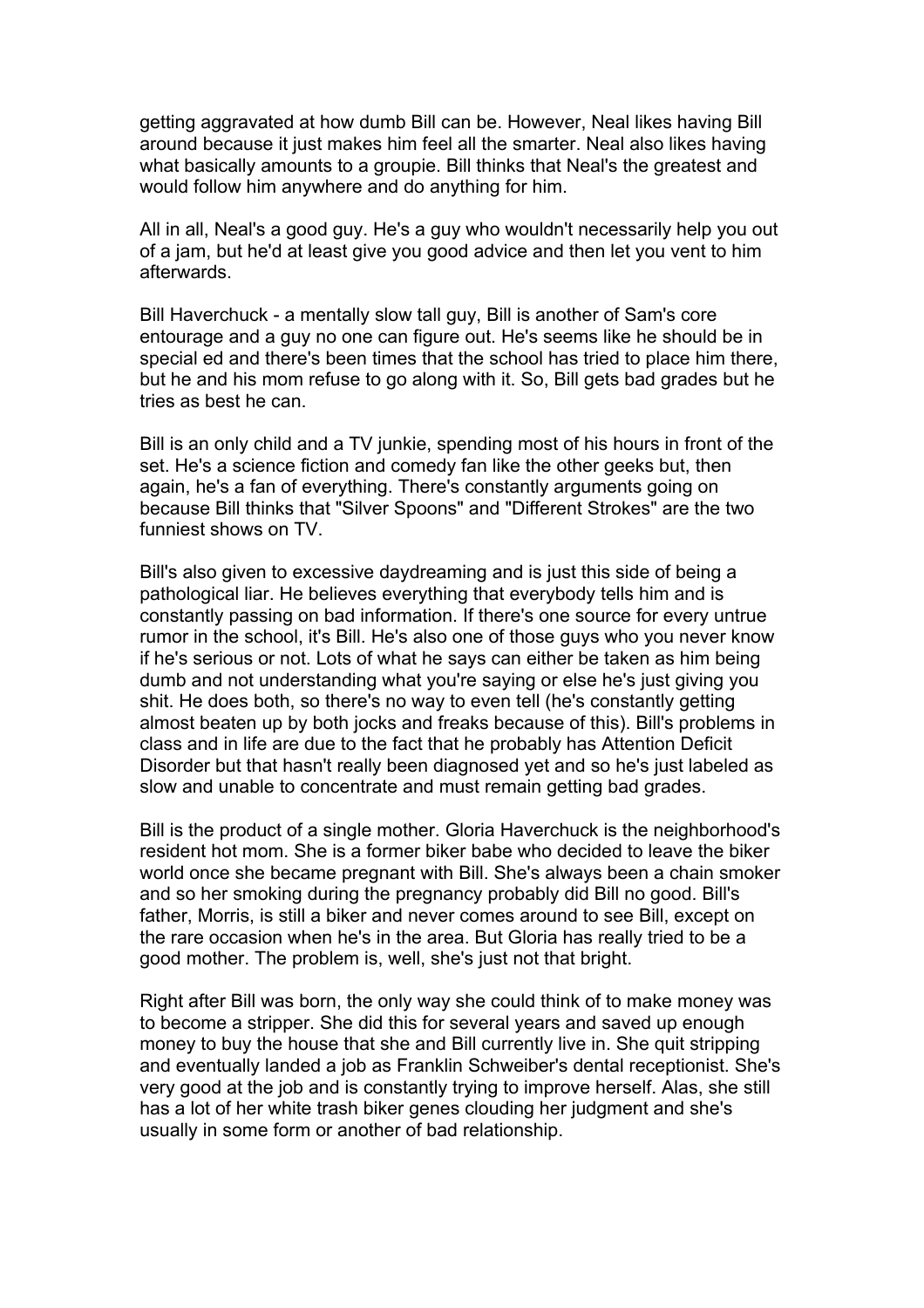getting aggravated at how dumb Bill can be. However, Neal likes having Bill around because it just makes him feel all the smarter. Neal also likes having what basically amounts to a groupie. Bill thinks that Neal's the greatest and would follow him anywhere and do anything for him.

All in all, Neal's a good guy. He's a guy who wouldn't necessarily help you out of a jam, but he'd at least give you good advice and then let you vent to him afterwards.

Bill Haverchuck - a mentally slow tall guy, Bill is another of Sam's core entourage and a guy no one can figure out. He's seems like he should be in special ed and there's been times that the school has tried to place him there, but he and his mom refuse to go along with it. So, Bill gets bad grades but he tries as best he can.

Bill is an only child and a TV junkie, spending most of his hours in front of the set. He's a science fiction and comedy fan like the other geeks but, then again, he's a fan of everything. There's constantly arguments going on because Bill thinks that "Silver Spoons" and "Different Strokes" are the two funniest shows on TV.

Bill's also given to excessive daydreaming and is just this side of being a pathological liar. He believes everything that everybody tells him and is constantly passing on bad information. If there's one source for every untrue rumor in the school, it's Bill. He's also one of those guys who you never know if he's serious or not. Lots of what he says can either be taken as him being dumb and not understanding what you're saying or else he's just giving you shit. He does both, so there's no way to even tell (he's constantly getting almost beaten up by both jocks and freaks because of this). Bill's problems in class and in life are due to the fact that he probably has Attention Deficit Disorder but that hasn't really been diagnosed yet and so he's just labeled as slow and unable to concentrate and must remain getting bad grades.

Bill is the product of a single mother. Gloria Haverchuck is the neighborhood's resident hot mom. She is a former biker babe who decided to leave the biker world once she became pregnant with Bill. She's always been a chain smoker and so her smoking during the pregnancy probably did Bill no good. Bill's father, Morris, is still a biker and never comes around to see Bill, except on the rare occasion when he's in the area. But Gloria has really tried to be a good mother. The problem is, well, she's just not that bright.

Right after Bill was born, the only way she could think of to make money was to become a stripper. She did this for several years and saved up enough money to buy the house that she and Bill currently live in. She quit stripping and eventually landed a job as Franklin Schweiber's dental receptionist. She's very good at the job and is constantly trying to improve herself. Alas, she still has a lot of her white trash biker genes clouding her judgment and she's usually in some form or another of bad relationship.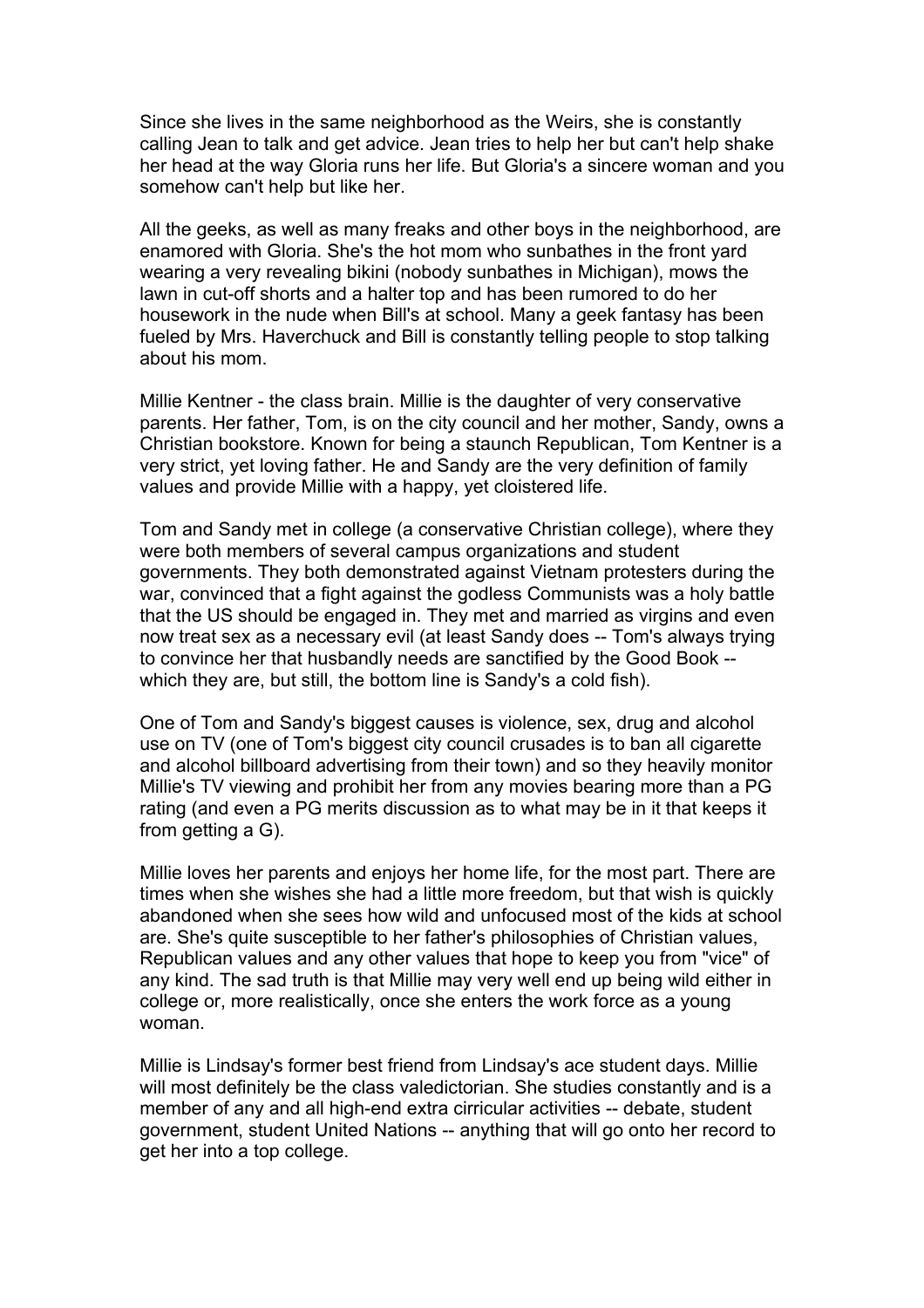Since she lives in the same neighborhood as the Weirs, she is constantly calling Jean to talk and get advice. Jean tries to help her but can't help shake her head at the way Gloria runs her life. But Gloria's a sincere woman and you somehow can't help but like her.

All the geeks, as well as many freaks and other boys in the neighborhood, are enamored with Gloria. She's the hot mom who sunbathes in the front yard wearing a very revealing bikini (nobody sunbathes in Michigan), mows the lawn in cut-off shorts and a halter top and has been rumored to do her housework in the nude when Bill's at school. Many a geek fantasy has been fueled by Mrs. Haverchuck and Bill is constantly telling people to stop talking about his mom.

Millie Kentner - the class brain. Millie is the daughter of very conservative parents. Her father, Tom, is on the city council and her mother, Sandy, owns a Christian bookstore. Known for being a staunch Republican, Tom Kentner is a very strict, yet loving father. He and Sandy are the very definition of family values and provide Millie with a happy, yet cloistered life.

Tom and Sandy met in college (a conservative Christian college), where they were both members of several campus organizations and student governments. They both demonstrated against Vietnam protesters during the war, convinced that a fight against the godless Communists was a holy battle that the US should be engaged in. They met and married as virgins and even now treat sex as a necessary evil (at least Sandy does -- Tom's always trying to convince her that husbandly needs are sanctified by the Good Book - which they are, but still, the bottom line is Sandy's a cold fish).

One of Tom and Sandy's biggest causes is violence, sex, drug and alcohol use on TV (one of Tom's biggest city council crusades is to ban all cigarette and alcohol billboard advertising from their town) and so they heavily monitor Millie's TV viewing and prohibit her from any movies bearing more than a PG rating (and even a PG merits discussion as to what may be in it that keeps it from getting a G).

Millie loves her parents and enjoys her home life, for the most part. There are times when she wishes she had a little more freedom, but that wish is quickly abandoned when she sees how wild and unfocused most of the kids at school are. She's quite susceptible to her father's philosophies of Christian values, Republican values and any other values that hope to keep you from "vice" of any kind. The sad truth is that Millie may very well end up being wild either in college or, more realistically, once she enters the work force as a young woman.

Millie is Lindsay's former best friend from Lindsay's ace student days. Millie will most definitely be the class valedictorian. She studies constantly and is a member of any and all high-end extra cirricular activities -- debate, student government, student United Nations -- anything that will go onto her record to get her into a top college.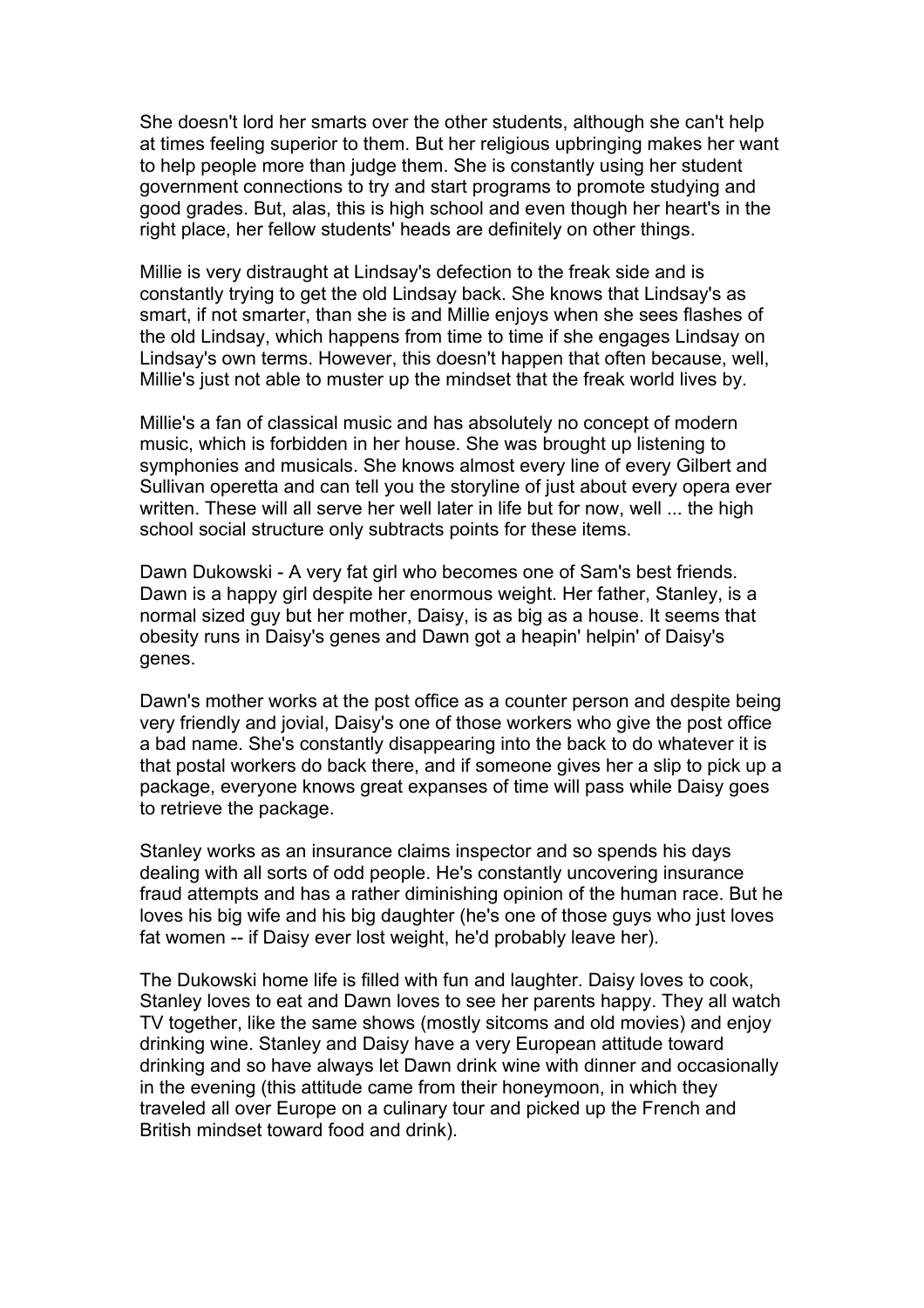She doesn't lord her smarts over the other students, although she can't help at times feeling superior to them. But her religious upbringing makes her want to help people more than judge them. She is constantly using her student government connections to try and start programs to promote studying and good grades. But, alas, this is high school and even though her heart's in the right place, her fellow students' heads are definitely on other things.

Millie is very distraught at Lindsay's defection to the freak side and is constantly trying to get the old Lindsay back. She knows that Lindsay's as smart, if not smarter, than she is and Millie enjoys when she sees flashes of the old Lindsay, which happens from time to time if she engages Lindsay on Lindsay's own terms. However, this doesn't happen that often because, well, Millie's just not able to muster up the mindset that the freak world lives by.

Millie's a fan of classical music and has absolutely no concept of modern music, which is forbidden in her house. She was brought up listening to symphonies and musicals. She knows almost every line of every Gilbert and Sullivan operetta and can tell you the storyline of just about every opera ever written. These will all serve her well later in life but for now, well ... the high school social structure only subtracts points for these items.

Dawn Dukowski - A very fat girl who becomes one of Sam's best friends. Dawn is a happy girl despite her enormous weight. Her father, Stanley, is a normal sized guy but her mother, Daisy, is as big as a house. It seems that obesity runs in Daisy's genes and Dawn got a heapin' helpin' of Daisy's genes.

Dawn's mother works at the post office as a counter person and despite being very friendly and jovial, Daisy's one of those workers who give the post office a bad name. She's constantly disappearing into the back to do whatever it is that postal workers do back there, and if someone gives her a slip to pick up a package, everyone knows great expanses of time will pass while Daisy goes to retrieve the package.

Stanley works as an insurance claims inspector and so spends his days dealing with all sorts of odd people. He's constantly uncovering insurance fraud attempts and has a rather diminishing opinion of the human race. But he loves his big wife and his big daughter (he's one of those guys who just loves fat women -- if Daisy ever lost weight, he'd probably leave her).

The Dukowski home life is filled with fun and laughter. Daisy loves to cook, Stanley loves to eat and Dawn loves to see her parents happy. They all watch TV together, like the same shows (mostly sitcoms and old movies) and enjoy drinking wine. Stanley and Daisy have a very European attitude toward drinking and so have always let Dawn drink wine with dinner and occasionally in the evening (this attitude came from their honeymoon, in which they traveled all over Europe on a culinary tour and picked up the French and British mindset toward food and drink).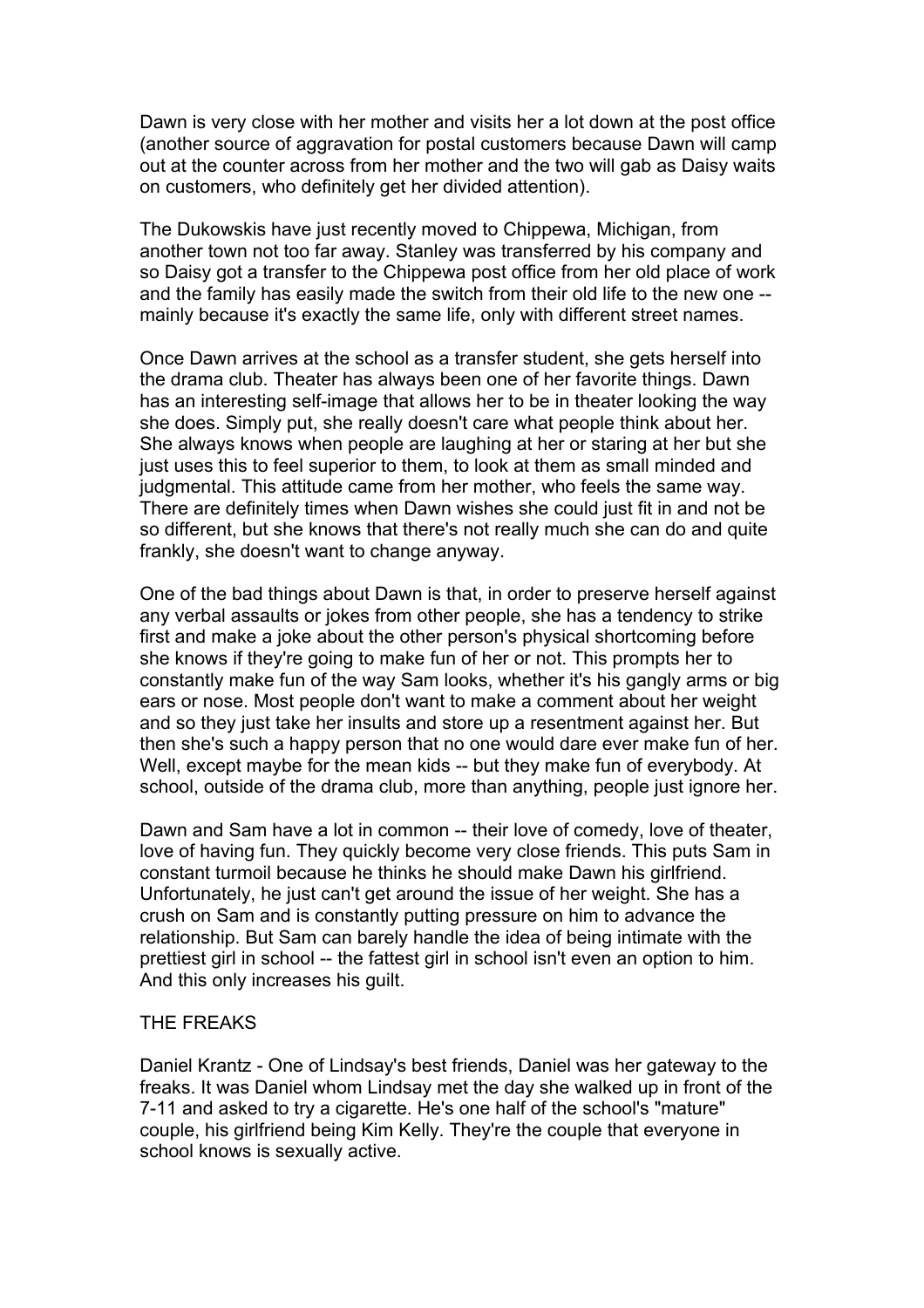Dawn is very close with her mother and visits her a lot down at the post office (another source of aggravation for postal customers because Dawn will camp out at the counter across from her mother and the two will gab as Daisy waits on customers, who definitely get her divided attention).

The Dukowskis have just recently moved to Chippewa, Michigan, from another town not too far away. Stanley was transferred by his company and so Daisy got a transfer to the Chippewa post office from her old place of work and the family has easily made the switch from their old life to the new one - mainly because it's exactly the same life, only with different street names.

Once Dawn arrives at the school as a transfer student, she gets herself into the drama club. Theater has always been one of her favorite things. Dawn has an interesting self-image that allows her to be in theater looking the way she does. Simply put, she really doesn't care what people think about her. She always knows when people are laughing at her or staring at her but she just uses this to feel superior to them, to look at them as small minded and judgmental. This attitude came from her mother, who feels the same way. There are definitely times when Dawn wishes she could just fit in and not be so different, but she knows that there's not really much she can do and quite frankly, she doesn't want to change anyway.

One of the bad things about Dawn is that, in order to preserve herself against any verbal assaults or jokes from other people, she has a tendency to strike first and make a joke about the other person's physical shortcoming before she knows if they're going to make fun of her or not. This prompts her to constantly make fun of the way Sam looks, whether it's his gangly arms or big ears or nose. Most people don't want to make a comment about her weight and so they just take her insults and store up a resentment against her. But then she's such a happy person that no one would dare ever make fun of her. Well, except maybe for the mean kids -- but they make fun of everybody. At school, outside of the drama club, more than anything, people just ignore her.

Dawn and Sam have a lot in common -- their love of comedy, love of theater, love of having fun. They quickly become very close friends. This puts Sam in constant turmoil because he thinks he should make Dawn his girlfriend. Unfortunately, he just can't get around the issue of her weight. She has a crush on Sam and is constantly putting pressure on him to advance the relationship. But Sam can barely handle the idea of being intimate with the prettiest girl in school -- the fattest girl in school isn't even an option to him. And this only increases his guilt.

#### THE FREAKS

Daniel Krantz - One of Lindsay's best friends, Daniel was her gateway to the freaks. It was Daniel whom Lindsay met the day she walked up in front of the 7-11 and asked to try a cigarette. He's one half of the school's "mature" couple, his girlfriend being Kim Kelly. They're the couple that everyone in school knows is sexually active.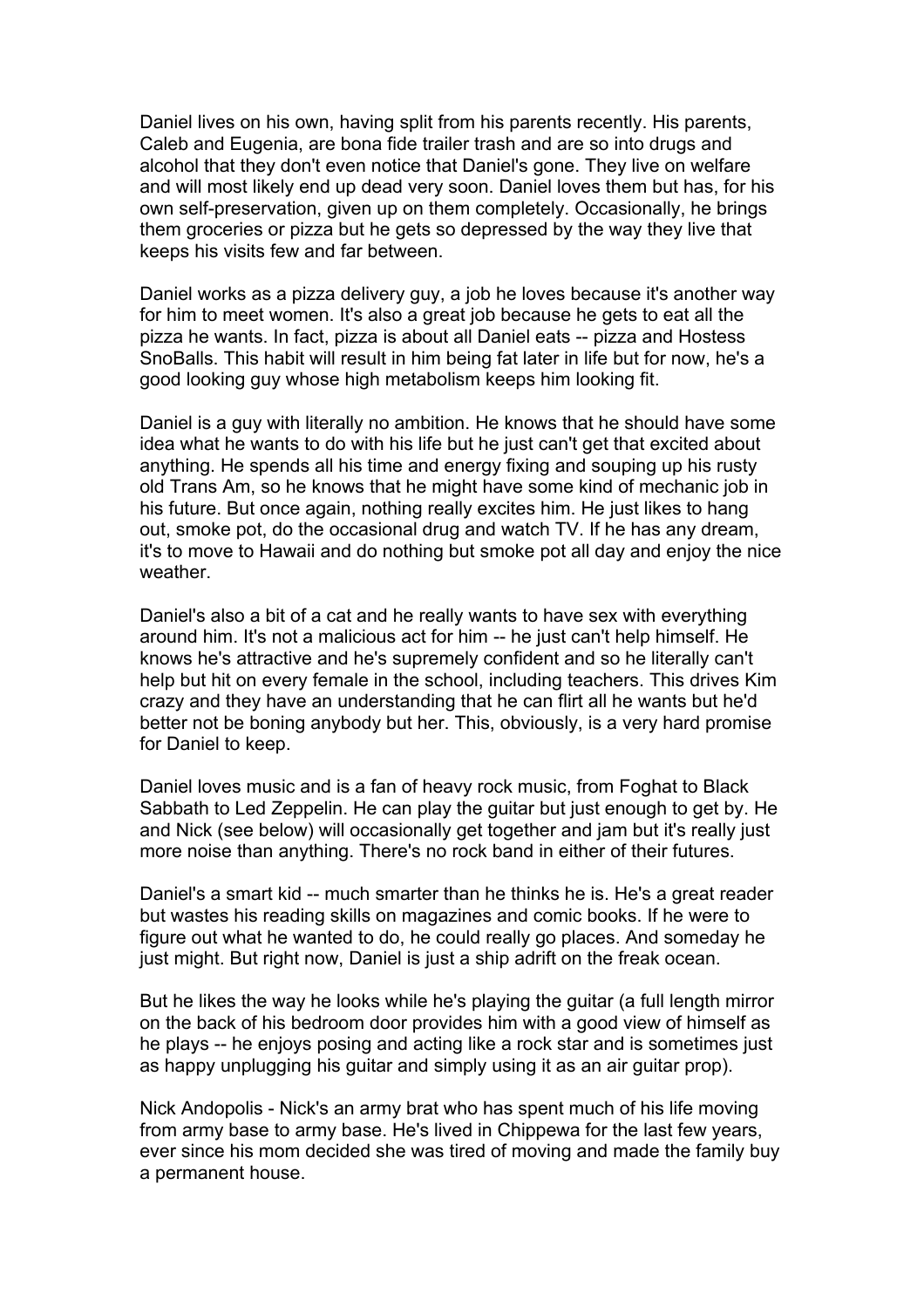Daniel lives on his own, having split from his parents recently. His parents, Caleb and Eugenia, are bona fide trailer trash and are so into drugs and alcohol that they don't even notice that Daniel's gone. They live on welfare and will most likely end up dead very soon. Daniel loves them but has, for his own self-preservation, given up on them completely. Occasionally, he brings them groceries or pizza but he gets so depressed by the way they live that keeps his visits few and far between.

Daniel works as a pizza delivery guy, a job he loves because it's another way for him to meet women. It's also a great job because he gets to eat all the pizza he wants. In fact, pizza is about all Daniel eats -- pizza and Hostess SnoBalls. This habit will result in him being fat later in life but for now, he's a good looking guy whose high metabolism keeps him looking fit.

Daniel is a guy with literally no ambition. He knows that he should have some idea what he wants to do with his life but he just can't get that excited about anything. He spends all his time and energy fixing and souping up his rusty old Trans Am, so he knows that he might have some kind of mechanic job in his future. But once again, nothing really excites him. He just likes to hang out, smoke pot, do the occasional drug and watch TV. If he has any dream, it's to move to Hawaii and do nothing but smoke pot all day and enjoy the nice weather.

Daniel's also a bit of a cat and he really wants to have sex with everything around him. It's not a malicious act for him -- he just can't help himself. He knows he's attractive and he's supremely confident and so he literally can't help but hit on every female in the school, including teachers. This drives Kim crazy and they have an understanding that he can flirt all he wants but he'd better not be boning anybody but her. This, obviously, is a very hard promise for Daniel to keep.

Daniel loves music and is a fan of heavy rock music, from Foghat to Black Sabbath to Led Zeppelin. He can play the guitar but just enough to get by. He and Nick (see below) will occasionally get together and jam but it's really just more noise than anything. There's no rock band in either of their futures.

Daniel's a smart kid -- much smarter than he thinks he is. He's a great reader but wastes his reading skills on magazines and comic books. If he were to figure out what he wanted to do, he could really go places. And someday he just might. But right now, Daniel is just a ship adrift on the freak ocean.

But he likes the way he looks while he's playing the guitar (a full length mirror on the back of his bedroom door provides him with a good view of himself as he plays -- he enjoys posing and acting like a rock star and is sometimes just as happy unplugging his guitar and simply using it as an air guitar prop).

Nick Andopolis - Nick's an army brat who has spent much of his life moving from army base to army base. He's lived in Chippewa for the last few years, ever since his mom decided she was tired of moving and made the family buy a permanent house.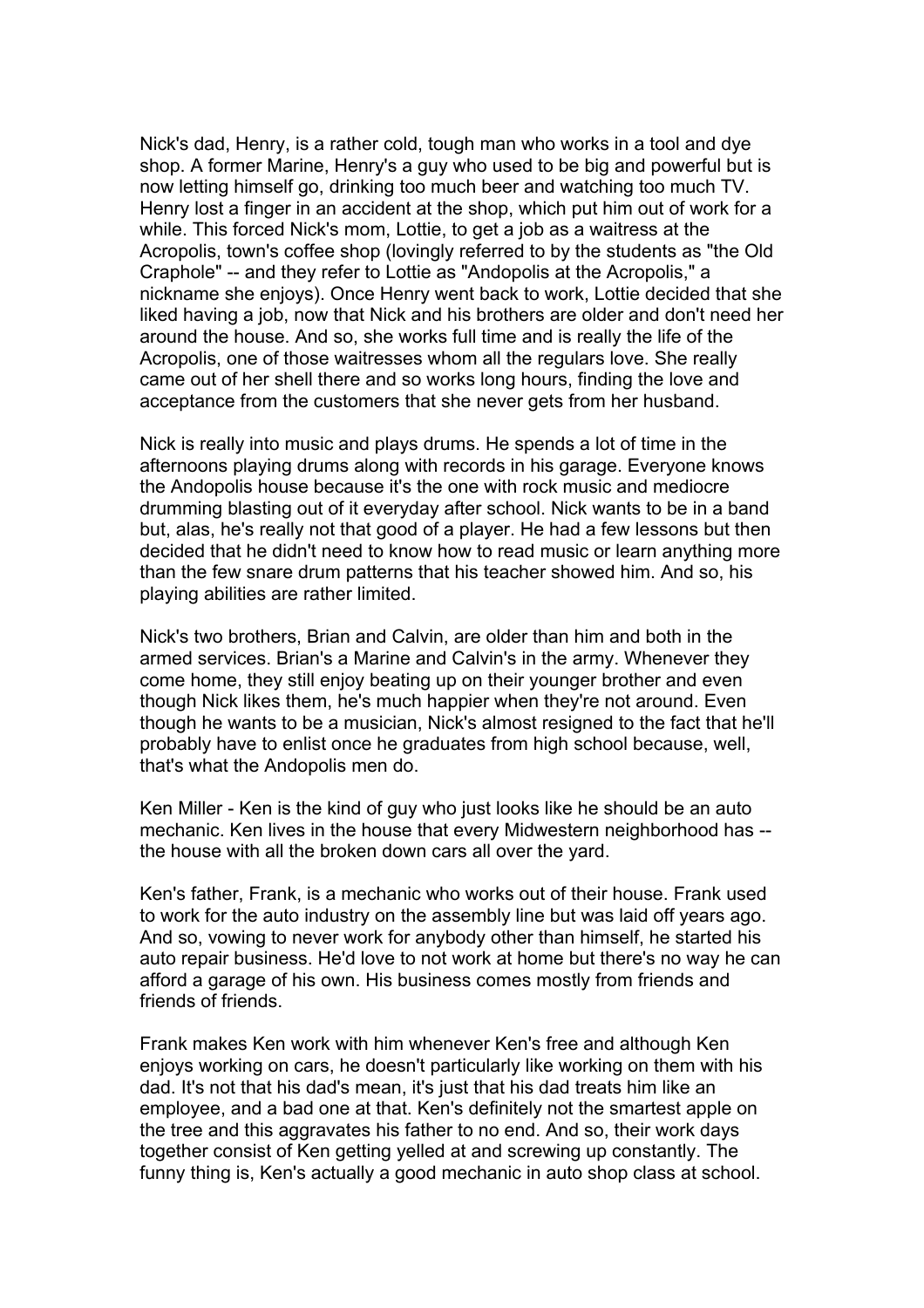Nick's dad, Henry, is a rather cold, tough man who works in a tool and dye shop. A former Marine, Henry's a guy who used to be big and powerful but is now letting himself go, drinking too much beer and watching too much TV. Henry lost a finger in an accident at the shop, which put him out of work for a while. This forced Nick's mom, Lottie, to get a job as a waitress at the Acropolis, town's coffee shop (lovingly referred to by the students as "the Old Craphole" -- and they refer to Lottie as "Andopolis at the Acropolis," a nickname she enjoys). Once Henry went back to work, Lottie decided that she liked having a job, now that Nick and his brothers are older and don't need her around the house. And so, she works full time and is really the life of the Acropolis, one of those waitresses whom all the regulars love. She really came out of her shell there and so works long hours, finding the love and acceptance from the customers that she never gets from her husband.

Nick is really into music and plays drums. He spends a lot of time in the afternoons playing drums along with records in his garage. Everyone knows the Andopolis house because it's the one with rock music and mediocre drumming blasting out of it everyday after school. Nick wants to be in a band but, alas, he's really not that good of a player. He had a few lessons but then decided that he didn't need to know how to read music or learn anything more than the few snare drum patterns that his teacher showed him. And so, his playing abilities are rather limited.

Nick's two brothers, Brian and Calvin, are older than him and both in the armed services. Brian's a Marine and Calvin's in the army. Whenever they come home, they still enjoy beating up on their younger brother and even though Nick likes them, he's much happier when they're not around. Even though he wants to be a musician, Nick's almost resigned to the fact that he'll probably have to enlist once he graduates from high school because, well, that's what the Andopolis men do.

Ken Miller - Ken is the kind of guy who just looks like he should be an auto mechanic. Ken lives in the house that every Midwestern neighborhood has - the house with all the broken down cars all over the yard.

Ken's father, Frank, is a mechanic who works out of their house. Frank used to work for the auto industry on the assembly line but was laid off years ago. And so, vowing to never work for anybody other than himself, he started his auto repair business. He'd love to not work at home but there's no way he can afford a garage of his own. His business comes mostly from friends and friends of friends.

Frank makes Ken work with him whenever Ken's free and although Ken enjoys working on cars, he doesn't particularly like working on them with his dad. It's not that his dad's mean, it's just that his dad treats him like an employee, and a bad one at that. Ken's definitely not the smartest apple on the tree and this aggravates his father to no end. And so, their work days together consist of Ken getting yelled at and screwing up constantly. The funny thing is, Ken's actually a good mechanic in auto shop class at school.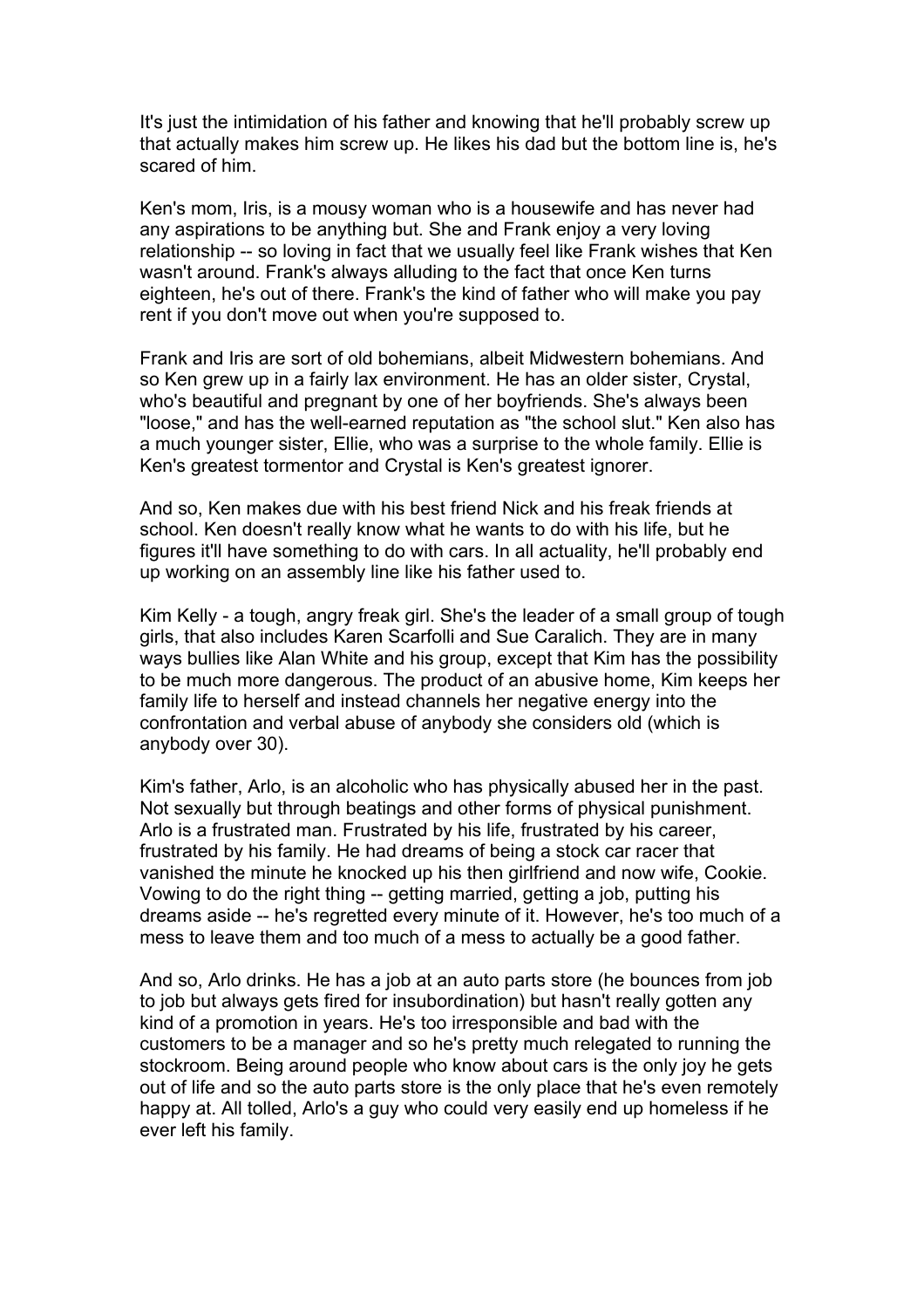It's just the intimidation of his father and knowing that he'll probably screw up that actually makes him screw up. He likes his dad but the bottom line is, he's scared of him.

Ken's mom, Iris, is a mousy woman who is a housewife and has never had any aspirations to be anything but. She and Frank enjoy a very loving relationship -- so loving in fact that we usually feel like Frank wishes that Ken wasn't around. Frank's always alluding to the fact that once Ken turns eighteen, he's out of there. Frank's the kind of father who will make you pay rent if you don't move out when you're supposed to.

Frank and Iris are sort of old bohemians, albeit Midwestern bohemians. And so Ken grew up in a fairly lax environment. He has an older sister, Crystal, who's beautiful and pregnant by one of her boyfriends. She's always been "loose," and has the well-earned reputation as "the school slut." Ken also has a much younger sister, Ellie, who was a surprise to the whole family. Ellie is Ken's greatest tormentor and Crystal is Ken's greatest ignorer.

And so, Ken makes due with his best friend Nick and his freak friends at school. Ken doesn't really know what he wants to do with his life, but he figures it'll have something to do with cars. In all actuality, he'll probably end up working on an assembly line like his father used to.

Kim Kelly - a tough, angry freak girl. She's the leader of a small group of tough girls, that also includes Karen Scarfolli and Sue Caralich. They are in many ways bullies like Alan White and his group, except that Kim has the possibility to be much more dangerous. The product of an abusive home, Kim keeps her family life to herself and instead channels her negative energy into the confrontation and verbal abuse of anybody she considers old (which is anybody over 30).

Kim's father, Arlo, is an alcoholic who has physically abused her in the past. Not sexually but through beatings and other forms of physical punishment. Arlo is a frustrated man. Frustrated by his life, frustrated by his career, frustrated by his family. He had dreams of being a stock car racer that vanished the minute he knocked up his then girlfriend and now wife, Cookie. Vowing to do the right thing -- getting married, getting a job, putting his dreams aside -- he's regretted every minute of it. However, he's too much of a mess to leave them and too much of a mess to actually be a good father.

And so, Arlo drinks. He has a job at an auto parts store (he bounces from job to job but always gets fired for insubordination) but hasn't really gotten any kind of a promotion in years. He's too irresponsible and bad with the customers to be a manager and so he's pretty much relegated to running the stockroom. Being around people who know about cars is the only joy he gets out of life and so the auto parts store is the only place that he's even remotely happy at. All tolled, Arlo's a guy who could very easily end up homeless if he ever left his family.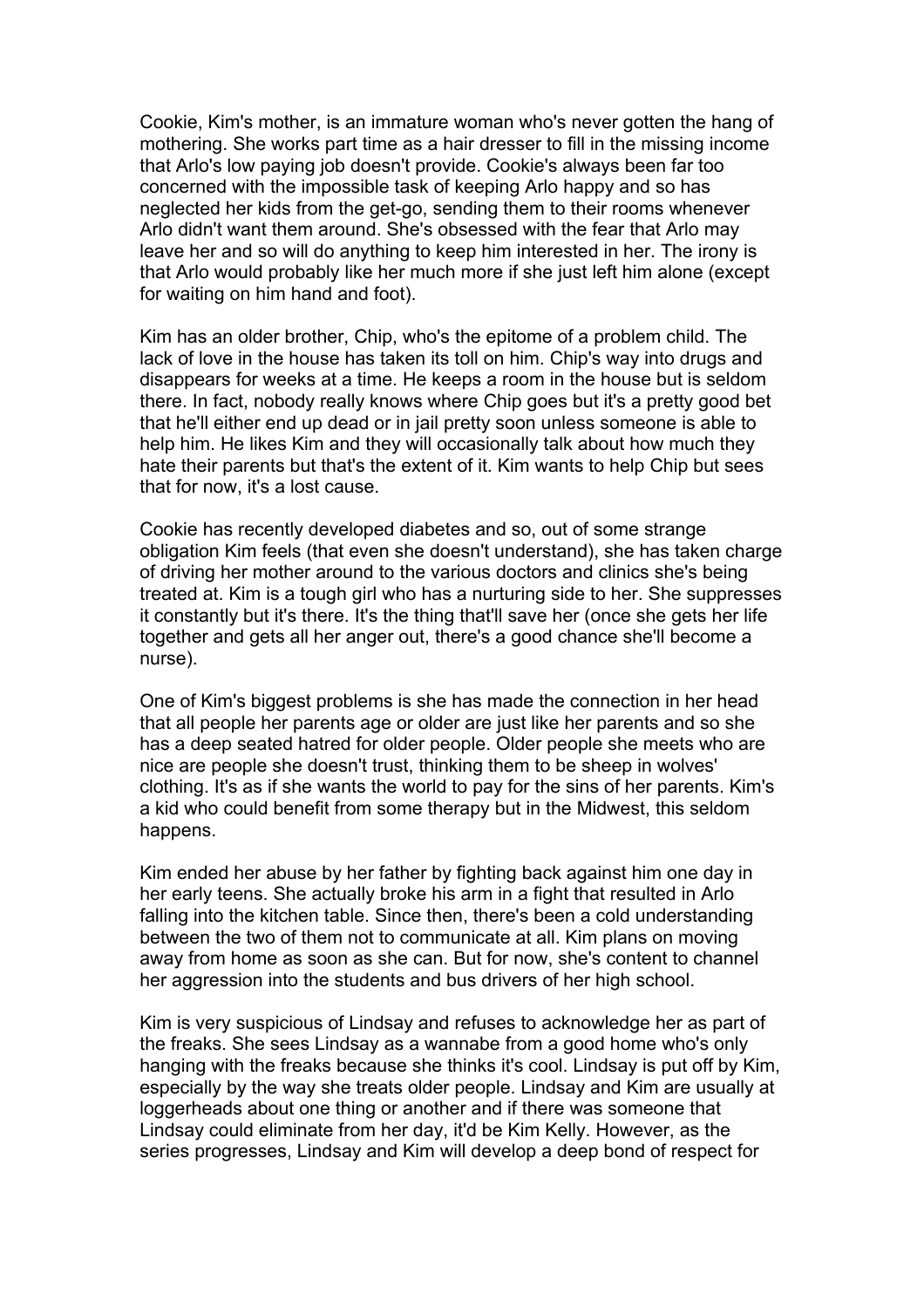Cookie, Kim's mother, is an immature woman who's never gotten the hang of mothering. She works part time as a hair dresser to fill in the missing income that Arlo's low paying job doesn't provide. Cookie's always been far too concerned with the impossible task of keeping Arlo happy and so has neglected her kids from the get-go, sending them to their rooms whenever Arlo didn't want them around. She's obsessed with the fear that Arlo may leave her and so will do anything to keep him interested in her. The irony is that Arlo would probably like her much more if she just left him alone (except for waiting on him hand and foot).

Kim has an older brother, Chip, who's the epitome of a problem child. The lack of love in the house has taken its toll on him. Chip's way into drugs and disappears for weeks at a time. He keeps a room in the house but is seldom there. In fact, nobody really knows where Chip goes but it's a pretty good bet that he'll either end up dead or in jail pretty soon unless someone is able to help him. He likes Kim and they will occasionally talk about how much they hate their parents but that's the extent of it. Kim wants to help Chip but sees that for now, it's a lost cause.

Cookie has recently developed diabetes and so, out of some strange obligation Kim feels (that even she doesn't understand), she has taken charge of driving her mother around to the various doctors and clinics she's being treated at. Kim is a tough girl who has a nurturing side to her. She suppresses it constantly but it's there. It's the thing that'll save her (once she gets her life together and gets all her anger out, there's a good chance she'll become a nurse).

One of Kim's biggest problems is she has made the connection in her head that all people her parents age or older are just like her parents and so she has a deep seated hatred for older people. Older people she meets who are nice are people she doesn't trust, thinking them to be sheep in wolves' clothing. It's as if she wants the world to pay for the sins of her parents. Kim's a kid who could benefit from some therapy but in the Midwest, this seldom happens.

Kim ended her abuse by her father by fighting back against him one day in her early teens. She actually broke his arm in a fight that resulted in Arlo falling into the kitchen table. Since then, there's been a cold understanding between the two of them not to communicate at all. Kim plans on moving away from home as soon as she can. But for now, she's content to channel her aggression into the students and bus drivers of her high school.

Kim is very suspicious of Lindsay and refuses to acknowledge her as part of the freaks. She sees Lindsay as a wannabe from a good home who's only hanging with the freaks because she thinks it's cool. Lindsay is put off by Kim, especially by the way she treats older people. Lindsay and Kim are usually at loggerheads about one thing or another and if there was someone that Lindsay could eliminate from her day, it'd be Kim Kelly. However, as the series progresses, Lindsay and Kim will develop a deep bond of respect for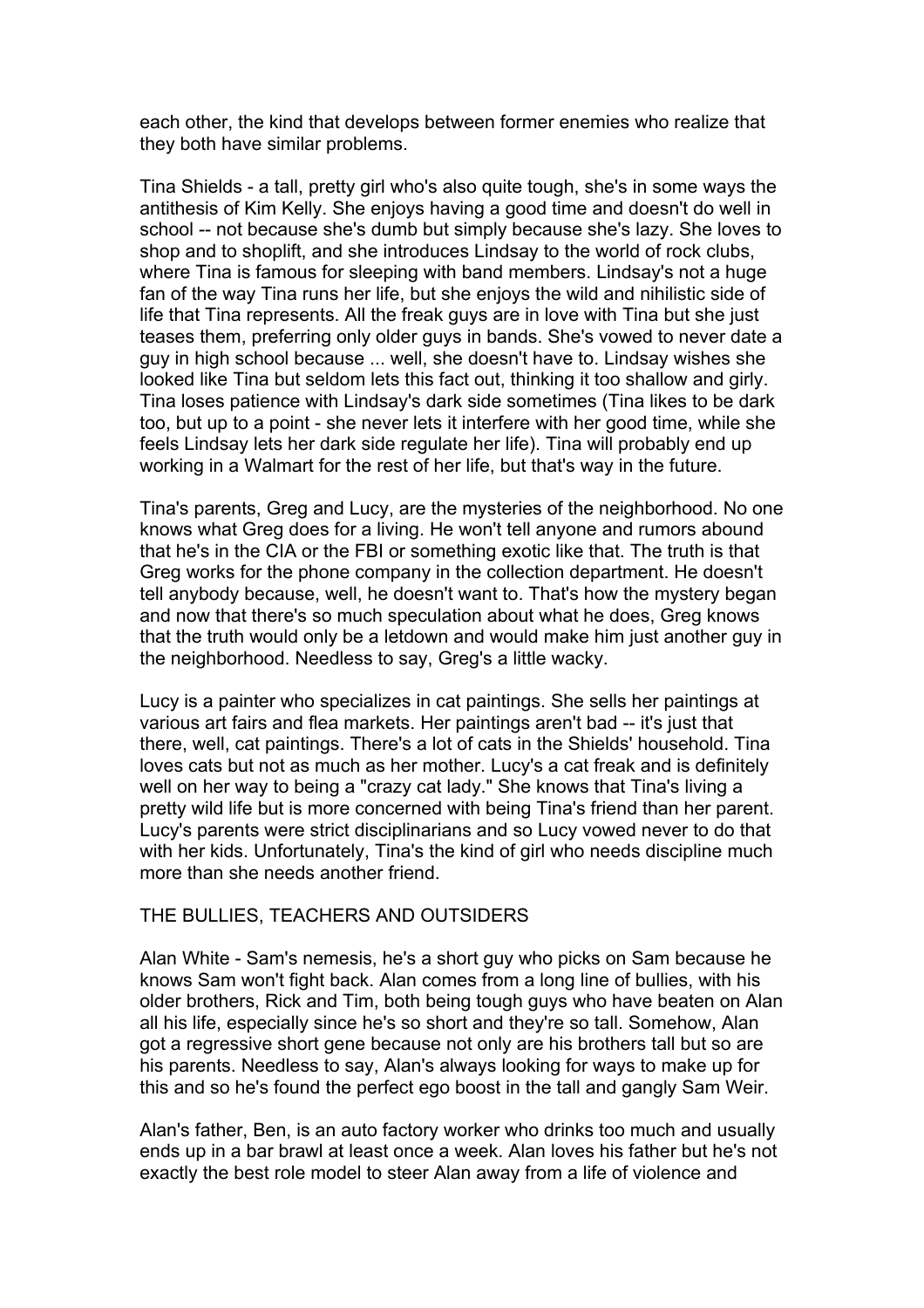each other, the kind that develops between former enemies who realize that they both have similar problems.

Tina Shields - a tall, pretty girl who's also quite tough, she's in some ways the antithesis of Kim Kelly. She enjoys having a good time and doesn't do well in school -- not because she's dumb but simply because she's lazy. She loves to shop and to shoplift, and she introduces Lindsay to the world of rock clubs, where Tina is famous for sleeping with band members. Lindsay's not a huge fan of the way Tina runs her life, but she enjoys the wild and nihilistic side of life that Tina represents. All the freak guys are in love with Tina but she just teases them, preferring only older guys in bands. She's vowed to never date a guy in high school because ... well, she doesn't have to. Lindsay wishes she looked like Tina but seldom lets this fact out, thinking it too shallow and girly. Tina loses patience with Lindsay's dark side sometimes (Tina likes to be dark too, but up to a point - she never lets it interfere with her good time, while she feels Lindsay lets her dark side regulate her life). Tina will probably end up working in a Walmart for the rest of her life, but that's way in the future.

Tina's parents, Greg and Lucy, are the mysteries of the neighborhood. No one knows what Greg does for a living. He won't tell anyone and rumors abound that he's in the CIA or the FBI or something exotic like that. The truth is that Greg works for the phone company in the collection department. He doesn't tell anybody because, well, he doesn't want to. That's how the mystery began and now that there's so much speculation about what he does, Greg knows that the truth would only be a letdown and would make him just another guy in the neighborhood. Needless to say, Greg's a little wacky.

Lucy is a painter who specializes in cat paintings. She sells her paintings at various art fairs and flea markets. Her paintings aren't bad -- it's just that there, well, cat paintings. There's a lot of cats in the Shields' household. Tina loves cats but not as much as her mother. Lucy's a cat freak and is definitely well on her way to being a "crazy cat lady." She knows that Tina's living a pretty wild life but is more concerned with being Tina's friend than her parent. Lucy's parents were strict disciplinarians and so Lucy vowed never to do that with her kids. Unfortunately, Tina's the kind of girl who needs discipline much more than she needs another friend.

# THE BULLIES, TEACHERS AND OUTSIDERS

Alan White - Sam's nemesis, he's a short guy who picks on Sam because he knows Sam won't fight back. Alan comes from a long line of bullies, with his older brothers, Rick and Tim, both being tough guys who have beaten on Alan all his life, especially since he's so short and they're so tall. Somehow, Alan got a regressive short gene because not only are his brothers tall but so are his parents. Needless to say, Alan's always looking for ways to make up for this and so he's found the perfect ego boost in the tall and gangly Sam Weir.

Alan's father, Ben, is an auto factory worker who drinks too much and usually ends up in a bar brawl at least once a week. Alan loves his father but he's not exactly the best role model to steer Alan away from a life of violence and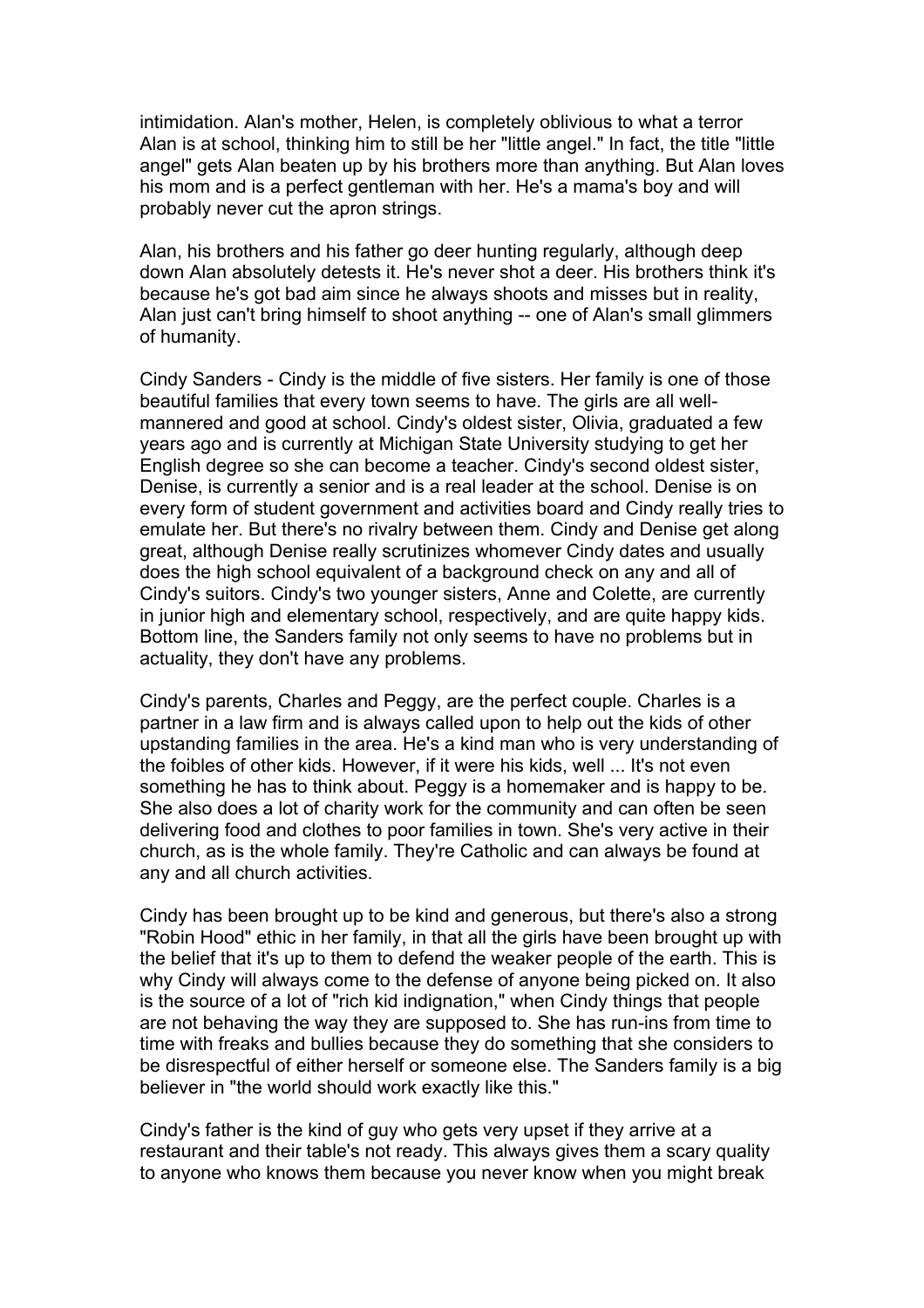intimidation. Alan's mother, Helen, is completely oblivious to what a terror Alan is at school, thinking him to still be her "little angel." In fact, the title "little angel" gets Alan beaten up by his brothers more than anything. But Alan loves his mom and is a perfect gentleman with her. He's a mama's boy and will probably never cut the apron strings.

Alan, his brothers and his father go deer hunting regularly, although deep down Alan absolutely detests it. He's never shot a deer. His brothers think it's because he's got bad aim since he always shoots and misses but in reality, Alan just can't bring himself to shoot anything -- one of Alan's small glimmers of humanity.

Cindy Sanders - Cindy is the middle of five sisters. Her family is one of those beautiful families that every town seems to have. The girls are all wellmannered and good at school. Cindy's oldest sister, Olivia, graduated a few years ago and is currently at Michigan State University studying to get her English degree so she can become a teacher. Cindy's second oldest sister, Denise, is currently a senior and is a real leader at the school. Denise is on every form of student government and activities board and Cindy really tries to emulate her. But there's no rivalry between them. Cindy and Denise get along great, although Denise really scrutinizes whomever Cindy dates and usually does the high school equivalent of a background check on any and all of Cindy's suitors. Cindy's two younger sisters, Anne and Colette, are currently in junior high and elementary school, respectively, and are quite happy kids. Bottom line, the Sanders family not only seems to have no problems but in actuality, they don't have any problems.

Cindy's parents, Charles and Peggy, are the perfect couple. Charles is a partner in a law firm and is always called upon to help out the kids of other upstanding families in the area. He's a kind man who is very understanding of the foibles of other kids. However, if it were his kids, well ... It's not even something he has to think about. Peggy is a homemaker and is happy to be. She also does a lot of charity work for the community and can often be seen delivering food and clothes to poor families in town. She's very active in their church, as is the whole family. They're Catholic and can always be found at any and all church activities.

Cindy has been brought up to be kind and generous, but there's also a strong "Robin Hood" ethic in her family, in that all the girls have been brought up with the belief that it's up to them to defend the weaker people of the earth. This is why Cindy will always come to the defense of anyone being picked on. It also is the source of a lot of "rich kid indignation," when Cindy things that people are not behaving the way they are supposed to. She has run-ins from time to time with freaks and bullies because they do something that she considers to be disrespectful of either herself or someone else. The Sanders family is a big believer in "the world should work exactly like this."

Cindy's father is the kind of guy who gets very upset if they arrive at a restaurant and their table's not ready. This always gives them a scary quality to anyone who knows them because you never know when you might break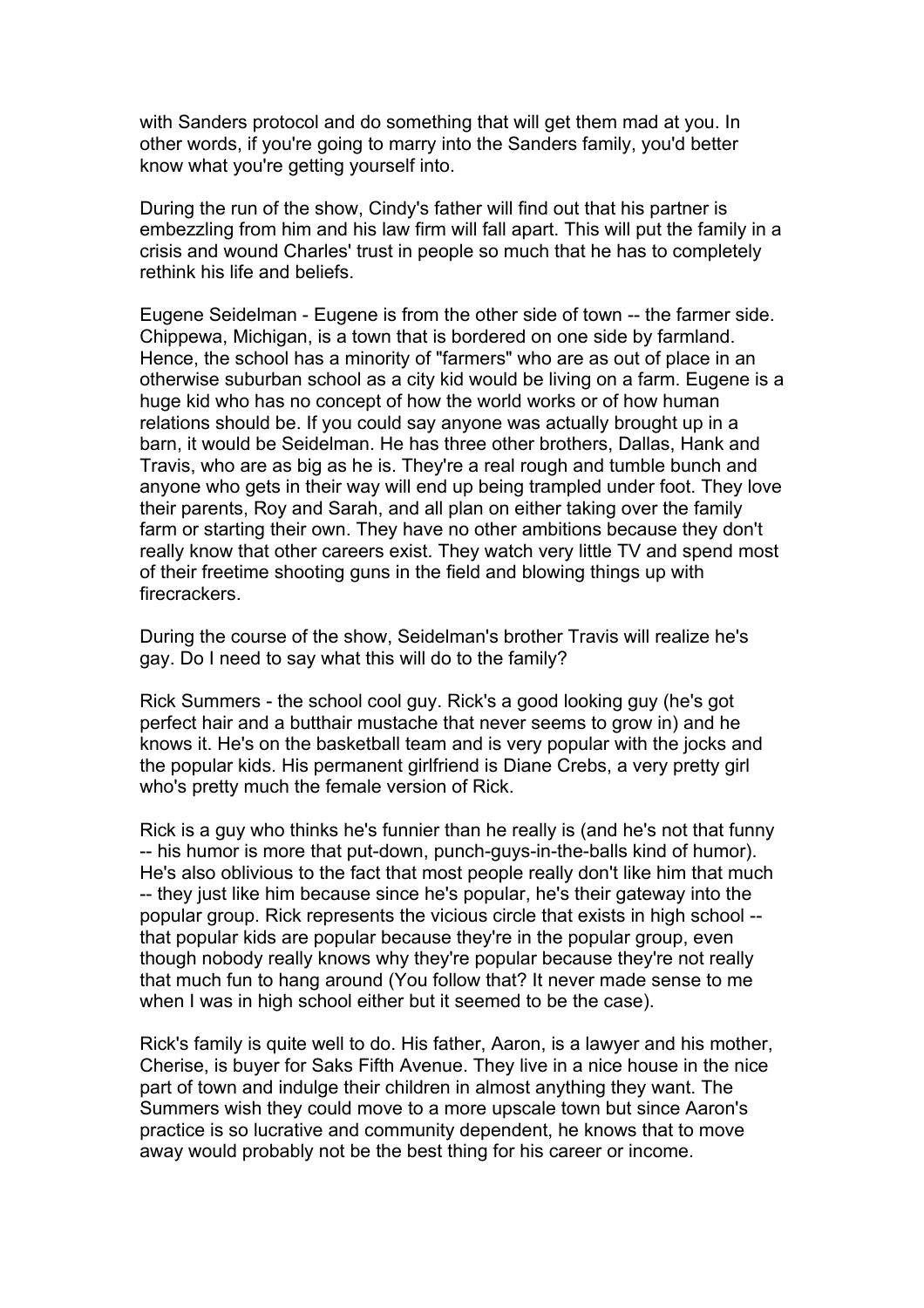with Sanders protocol and do something that will get them mad at you. In other words, if you're going to marry into the Sanders family, you'd better know what you're getting yourself into.

During the run of the show, Cindy's father will find out that his partner is embezzling from him and his law firm will fall apart. This will put the family in a crisis and wound Charles' trust in people so much that he has to completely rethink his life and beliefs.

Eugene Seidelman - Eugene is from the other side of town -- the farmer side. Chippewa, Michigan, is a town that is bordered on one side by farmland. Hence, the school has a minority of "farmers" who are as out of place in an otherwise suburban school as a city kid would be living on a farm. Eugene is a huge kid who has no concept of how the world works or of how human relations should be. If you could say anyone was actually brought up in a barn, it would be Seidelman. He has three other brothers, Dallas, Hank and Travis, who are as big as he is. They're a real rough and tumble bunch and anyone who gets in their way will end up being trampled under foot. They love their parents, Roy and Sarah, and all plan on either taking over the family farm or starting their own. They have no other ambitions because they don't really know that other careers exist. They watch very little TV and spend most of their freetime shooting guns in the field and blowing things up with firecrackers.

During the course of the show, Seidelman's brother Travis will realize he's gay. Do I need to say what this will do to the family?

Rick Summers - the school cool guy. Rick's a good looking guy (he's got perfect hair and a butthair mustache that never seems to grow in) and he knows it. He's on the basketball team and is very popular with the jocks and the popular kids. His permanent girlfriend is Diane Crebs, a very pretty girl who's pretty much the female version of Rick.

Rick is a guy who thinks he's funnier than he really is (and he's not that funny -- his humor is more that put-down, punch-guys-in-the-balls kind of humor). He's also oblivious to the fact that most people really don't like him that much -- they just like him because since he's popular, he's their gateway into the popular group. Rick represents the vicious circle that exists in high school - that popular kids are popular because they're in the popular group, even though nobody really knows why they're popular because they're not really that much fun to hang around (You follow that? It never made sense to me when I was in high school either but it seemed to be the case).

Rick's family is quite well to do. His father, Aaron, is a lawyer and his mother, Cherise, is buyer for Saks Fifth Avenue. They live in a nice house in the nice part of town and indulge their children in almost anything they want. The Summers wish they could move to a more upscale town but since Aaron's practice is so lucrative and community dependent, he knows that to move away would probably not be the best thing for his career or income.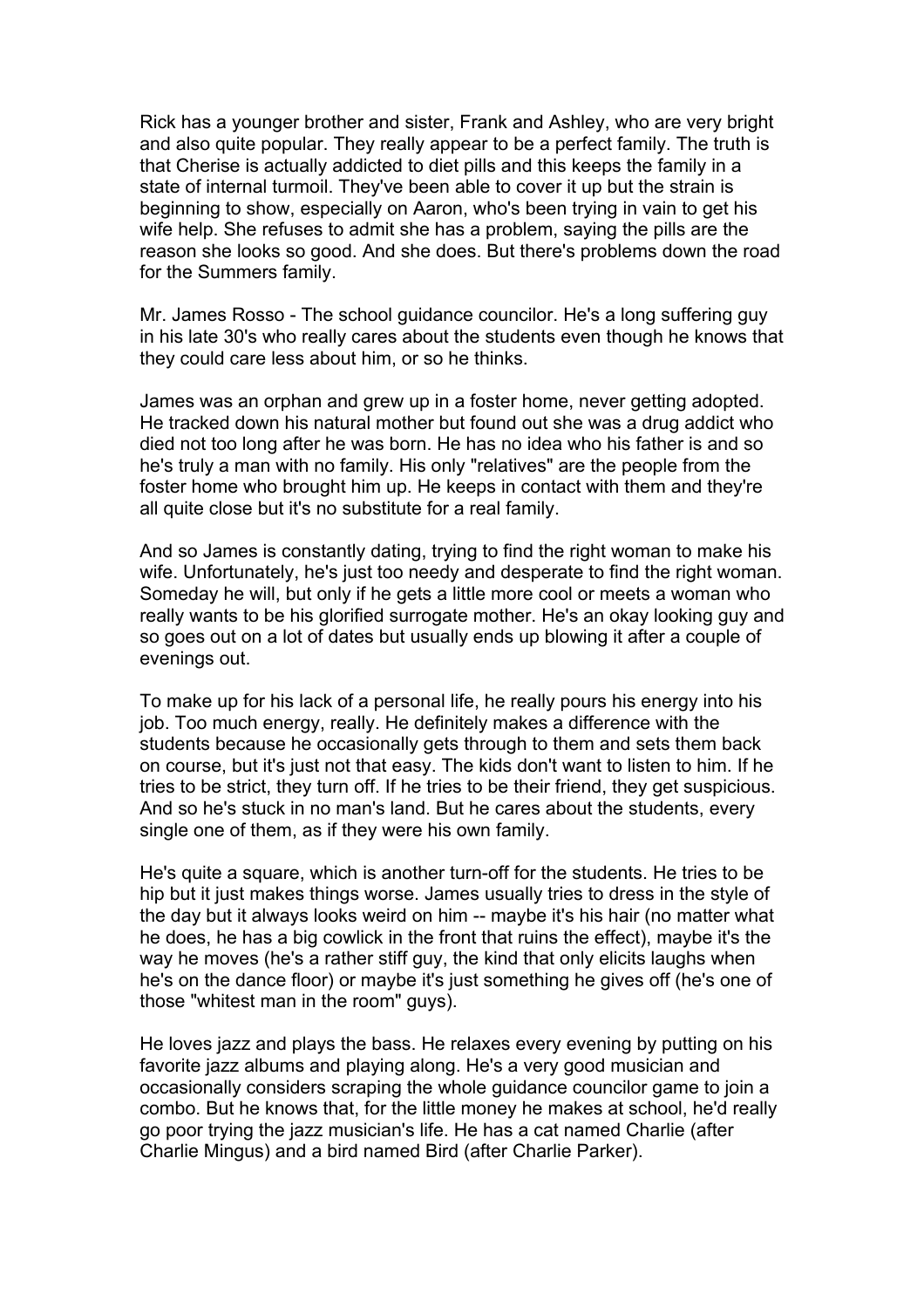Rick has a younger brother and sister, Frank and Ashley, who are very bright and also quite popular. They really appear to be a perfect family. The truth is that Cherise is actually addicted to diet pills and this keeps the family in a state of internal turmoil. They've been able to cover it up but the strain is beginning to show, especially on Aaron, who's been trying in vain to get his wife help. She refuses to admit she has a problem, saying the pills are the reason she looks so good. And she does. But there's problems down the road for the Summers family.

Mr. James Rosso - The school guidance councilor. He's a long suffering guy in his late 30's who really cares about the students even though he knows that they could care less about him, or so he thinks.

James was an orphan and grew up in a foster home, never getting adopted. He tracked down his natural mother but found out she was a drug addict who died not too long after he was born. He has no idea who his father is and so he's truly a man with no family. His only "relatives" are the people from the foster home who brought him up. He keeps in contact with them and they're all quite close but it's no substitute for a real family.

And so James is constantly dating, trying to find the right woman to make his wife. Unfortunately, he's just too needy and desperate to find the right woman. Someday he will, but only if he gets a little more cool or meets a woman who really wants to be his glorified surrogate mother. He's an okay looking guy and so goes out on a lot of dates but usually ends up blowing it after a couple of evenings out.

To make up for his lack of a personal life, he really pours his energy into his job. Too much energy, really. He definitely makes a difference with the students because he occasionally gets through to them and sets them back on course, but it's just not that easy. The kids don't want to listen to him. If he tries to be strict, they turn off. If he tries to be their friend, they get suspicious. And so he's stuck in no man's land. But he cares about the students, every single one of them, as if they were his own family.

He's quite a square, which is another turn-off for the students. He tries to be hip but it just makes things worse. James usually tries to dress in the style of the day but it always looks weird on him -- maybe it's his hair (no matter what he does, he has a big cowlick in the front that ruins the effect), maybe it's the way he moves (he's a rather stiff guy, the kind that only elicits laughs when he's on the dance floor) or maybe it's just something he gives off (he's one of those "whitest man in the room" guys).

He loves jazz and plays the bass. He relaxes every evening by putting on his favorite jazz albums and playing along. He's a very good musician and occasionally considers scraping the whole guidance councilor game to join a combo. But he knows that, for the little money he makes at school, he'd really go poor trying the jazz musician's life. He has a cat named Charlie (after Charlie Mingus) and a bird named Bird (after Charlie Parker).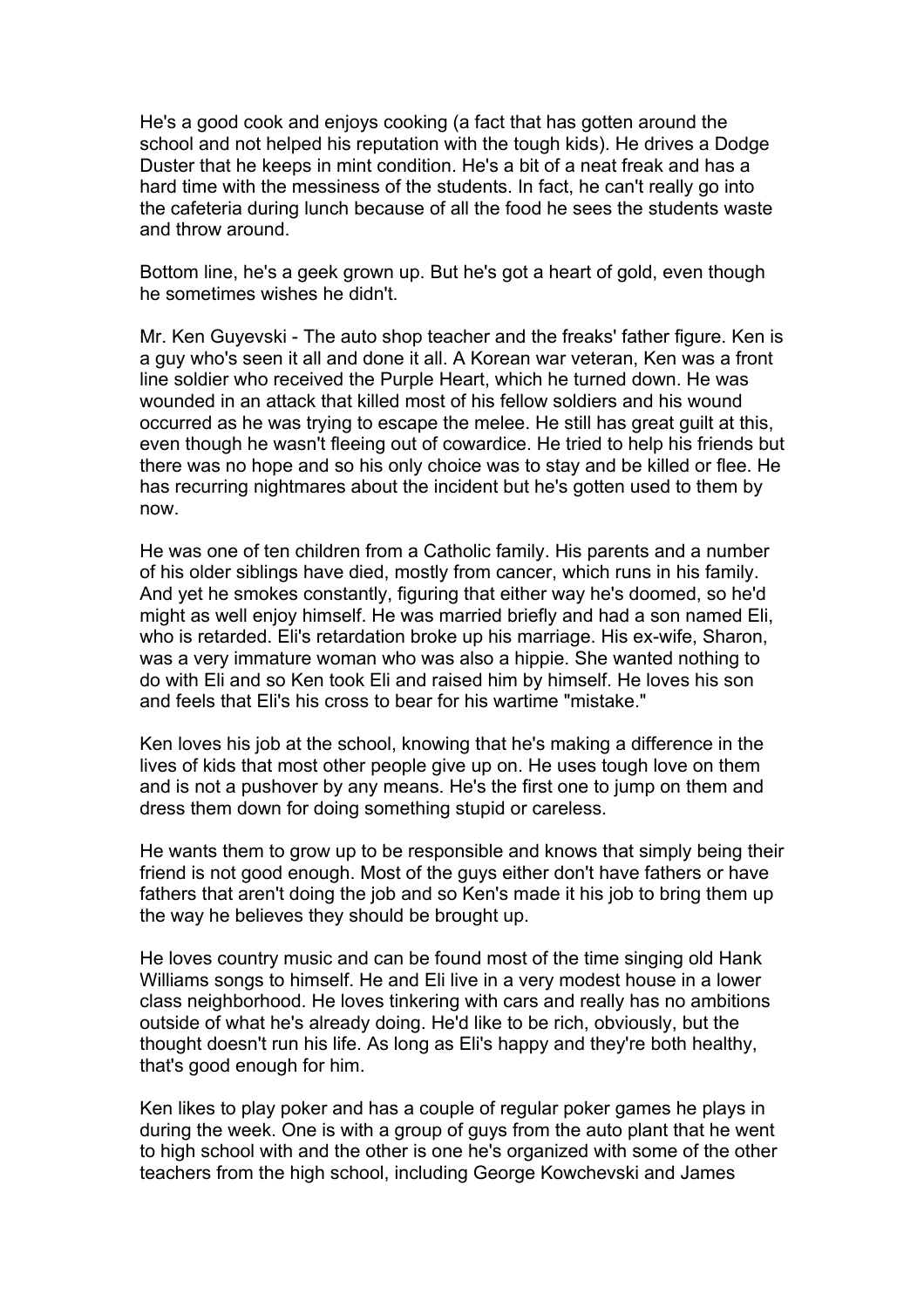He's a good cook and enjoys cooking (a fact that has gotten around the school and not helped his reputation with the tough kids). He drives a Dodge Duster that he keeps in mint condition. He's a bit of a neat freak and has a hard time with the messiness of the students. In fact, he can't really go into the cafeteria during lunch because of all the food he sees the students waste and throw around.

Bottom line, he's a geek grown up. But he's got a heart of gold, even though he sometimes wishes he didn't.

Mr. Ken Guyevski - The auto shop teacher and the freaks' father figure. Ken is a guy who's seen it all and done it all. A Korean war veteran, Ken was a front line soldier who received the Purple Heart, which he turned down. He was wounded in an attack that killed most of his fellow soldiers and his wound occurred as he was trying to escape the melee. He still has great guilt at this, even though he wasn't fleeing out of cowardice. He tried to help his friends but there was no hope and so his only choice was to stay and be killed or flee. He has recurring nightmares about the incident but he's gotten used to them by now.

He was one of ten children from a Catholic family. His parents and a number of his older siblings have died, mostly from cancer, which runs in his family. And yet he smokes constantly, figuring that either way he's doomed, so he'd might as well enjoy himself. He was married briefly and had a son named Eli, who is retarded. Eli's retardation broke up his marriage. His ex-wife, Sharon, was a very immature woman who was also a hippie. She wanted nothing to do with Eli and so Ken took Eli and raised him by himself. He loves his son and feels that Eli's his cross to bear for his wartime "mistake."

Ken loves his job at the school, knowing that he's making a difference in the lives of kids that most other people give up on. He uses tough love on them and is not a pushover by any means. He's the first one to jump on them and dress them down for doing something stupid or careless.

He wants them to grow up to be responsible and knows that simply being their friend is not good enough. Most of the guys either don't have fathers or have fathers that aren't doing the job and so Ken's made it his job to bring them up the way he believes they should be brought up.

He loves country music and can be found most of the time singing old Hank Williams songs to himself. He and Eli live in a very modest house in a lower class neighborhood. He loves tinkering with cars and really has no ambitions outside of what he's already doing. He'd like to be rich, obviously, but the thought doesn't run his life. As long as Eli's happy and they're both healthy, that's good enough for him.

Ken likes to play poker and has a couple of regular poker games he plays in during the week. One is with a group of guys from the auto plant that he went to high school with and the other is one he's organized with some of the other teachers from the high school, including George Kowchevski and James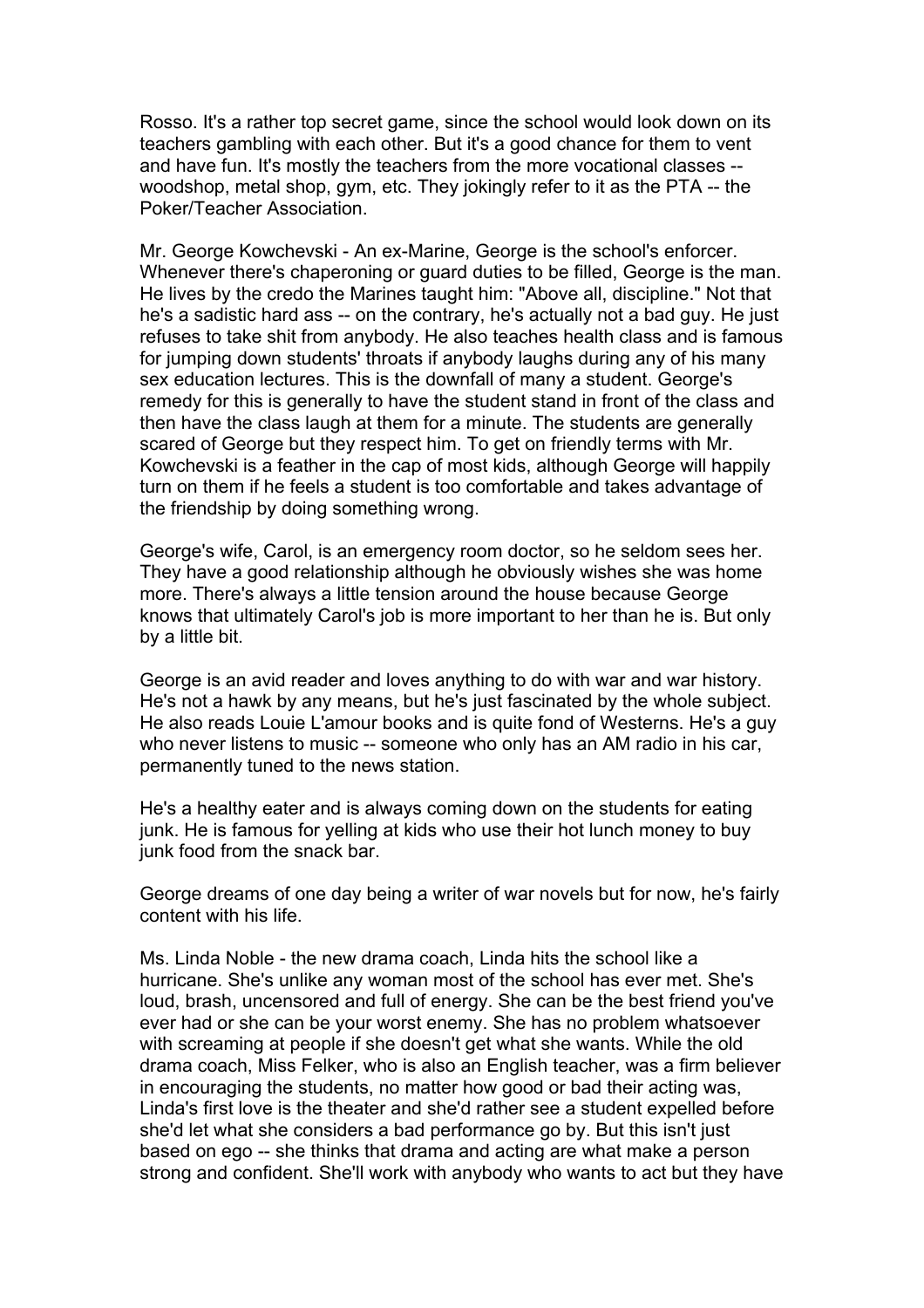Rosso. It's a rather top secret game, since the school would look down on its teachers gambling with each other. But it's a good chance for them to vent and have fun. It's mostly the teachers from the more vocational classes - woodshop, metal shop, gym, etc. They jokingly refer to it as the PTA -- the Poker/Teacher Association.

Mr. George Kowchevski - An ex-Marine, George is the school's enforcer. Whenever there's chaperoning or guard duties to be filled, George is the man. He lives by the credo the Marines taught him: "Above all, discipline." Not that he's a sadistic hard ass -- on the contrary, he's actually not a bad guy. He just refuses to take shit from anybody. He also teaches health class and is famous for jumping down students' throats if anybody laughs during any of his many sex education lectures. This is the downfall of many a student. George's remedy for this is generally to have the student stand in front of the class and then have the class laugh at them for a minute. The students are generally scared of George but they respect him. To get on friendly terms with Mr. Kowchevski is a feather in the cap of most kids, although George will happily turn on them if he feels a student is too comfortable and takes advantage of the friendship by doing something wrong.

George's wife, Carol, is an emergency room doctor, so he seldom sees her. They have a good relationship although he obviously wishes she was home more. There's always a little tension around the house because George knows that ultimately Carol's job is more important to her than he is. But only by a little bit.

George is an avid reader and loves anything to do with war and war history. He's not a hawk by any means, but he's just fascinated by the whole subject. He also reads Louie L'amour books and is quite fond of Westerns. He's a guy who never listens to music -- someone who only has an AM radio in his car, permanently tuned to the news station.

He's a healthy eater and is always coming down on the students for eating junk. He is famous for yelling at kids who use their hot lunch money to buy junk food from the snack bar.

George dreams of one day being a writer of war novels but for now, he's fairly content with his life.

Ms. Linda Noble - the new drama coach, Linda hits the school like a hurricane. She's unlike any woman most of the school has ever met. She's loud, brash, uncensored and full of energy. She can be the best friend you've ever had or she can be your worst enemy. She has no problem whatsoever with screaming at people if she doesn't get what she wants. While the old drama coach, Miss Felker, who is also an English teacher, was a firm believer in encouraging the students, no matter how good or bad their acting was, Linda's first love is the theater and she'd rather see a student expelled before she'd let what she considers a bad performance go by. But this isn't just based on ego -- she thinks that drama and acting are what make a person strong and confident. She'll work with anybody who wants to act but they have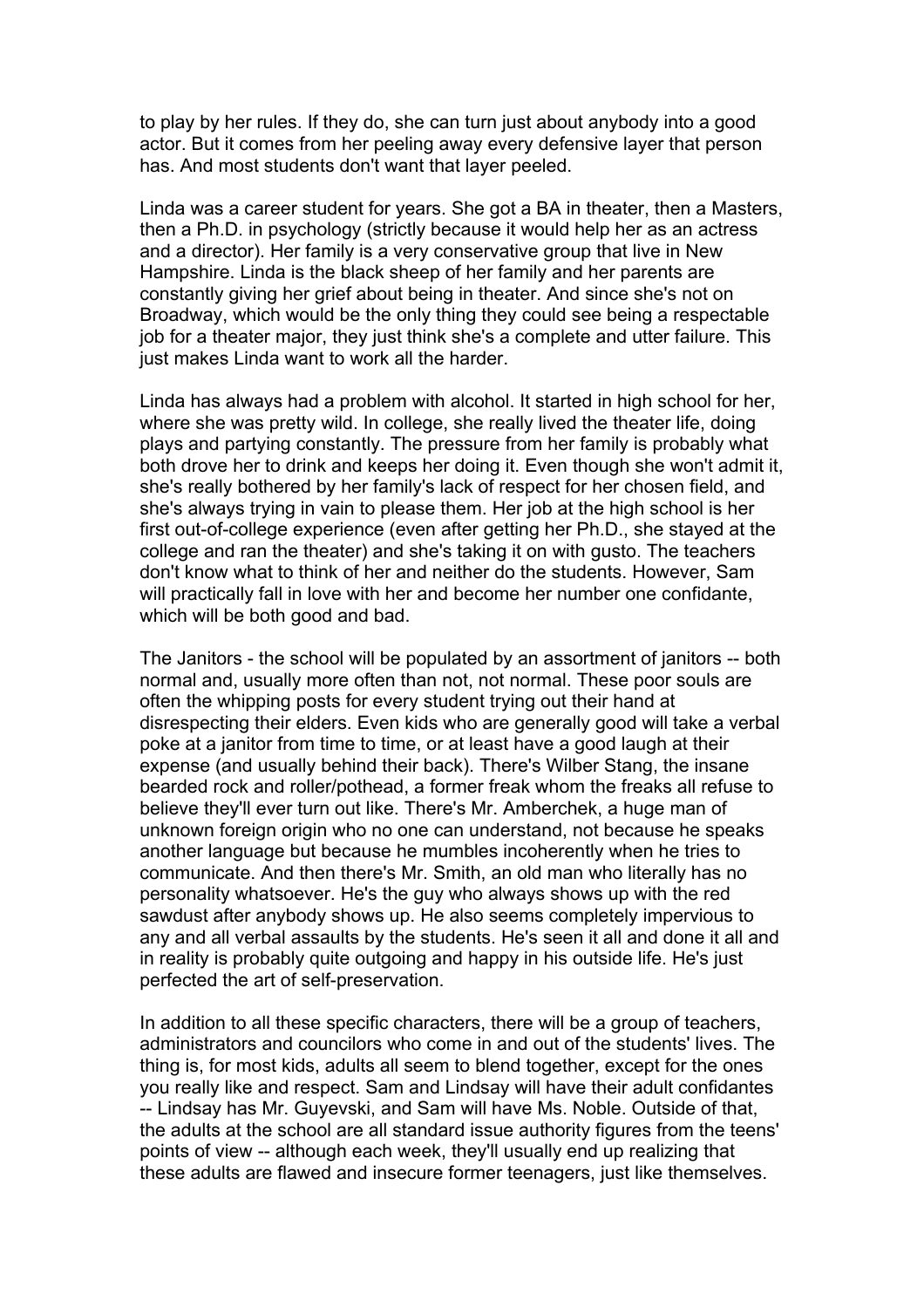to play by her rules. If they do, she can turn just about anybody into a good actor. But it comes from her peeling away every defensive layer that person has. And most students don't want that layer peeled.

Linda was a career student for years. She got a BA in theater, then a Masters, then a Ph.D. in psychology (strictly because it would help her as an actress and a director). Her family is a very conservative group that live in New Hampshire. Linda is the black sheep of her family and her parents are constantly giving her grief about being in theater. And since she's not on Broadway, which would be the only thing they could see being a respectable job for a theater major, they just think she's a complete and utter failure. This just makes Linda want to work all the harder.

Linda has always had a problem with alcohol. It started in high school for her, where she was pretty wild. In college, she really lived the theater life, doing plays and partying constantly. The pressure from her family is probably what both drove her to drink and keeps her doing it. Even though she won't admit it, she's really bothered by her family's lack of respect for her chosen field, and she's always trying in vain to please them. Her job at the high school is her first out-of-college experience (even after getting her Ph.D., she stayed at the college and ran the theater) and she's taking it on with gusto. The teachers don't know what to think of her and neither do the students. However, Sam will practically fall in love with her and become her number one confidante, which will be both good and bad.

The Janitors - the school will be populated by an assortment of janitors -- both normal and, usually more often than not, not normal. These poor souls are often the whipping posts for every student trying out their hand at disrespecting their elders. Even kids who are generally good will take a verbal poke at a janitor from time to time, or at least have a good laugh at their expense (and usually behind their back). There's Wilber Stang, the insane bearded rock and roller/pothead, a former freak whom the freaks all refuse to believe they'll ever turn out like. There's Mr. Amberchek, a huge man of unknown foreign origin who no one can understand, not because he speaks another language but because he mumbles incoherently when he tries to communicate. And then there's Mr. Smith, an old man who literally has no personality whatsoever. He's the guy who always shows up with the red sawdust after anybody shows up. He also seems completely impervious to any and all verbal assaults by the students. He's seen it all and done it all and in reality is probably quite outgoing and happy in his outside life. He's just perfected the art of self-preservation.

In addition to all these specific characters, there will be a group of teachers, administrators and councilors who come in and out of the students' lives. The thing is, for most kids, adults all seem to blend together, except for the ones you really like and respect. Sam and Lindsay will have their adult confidantes -- Lindsay has Mr. Guyevski, and Sam will have Ms. Noble. Outside of that, the adults at the school are all standard issue authority figures from the teens' points of view -- although each week, they'll usually end up realizing that these adults are flawed and insecure former teenagers, just like themselves.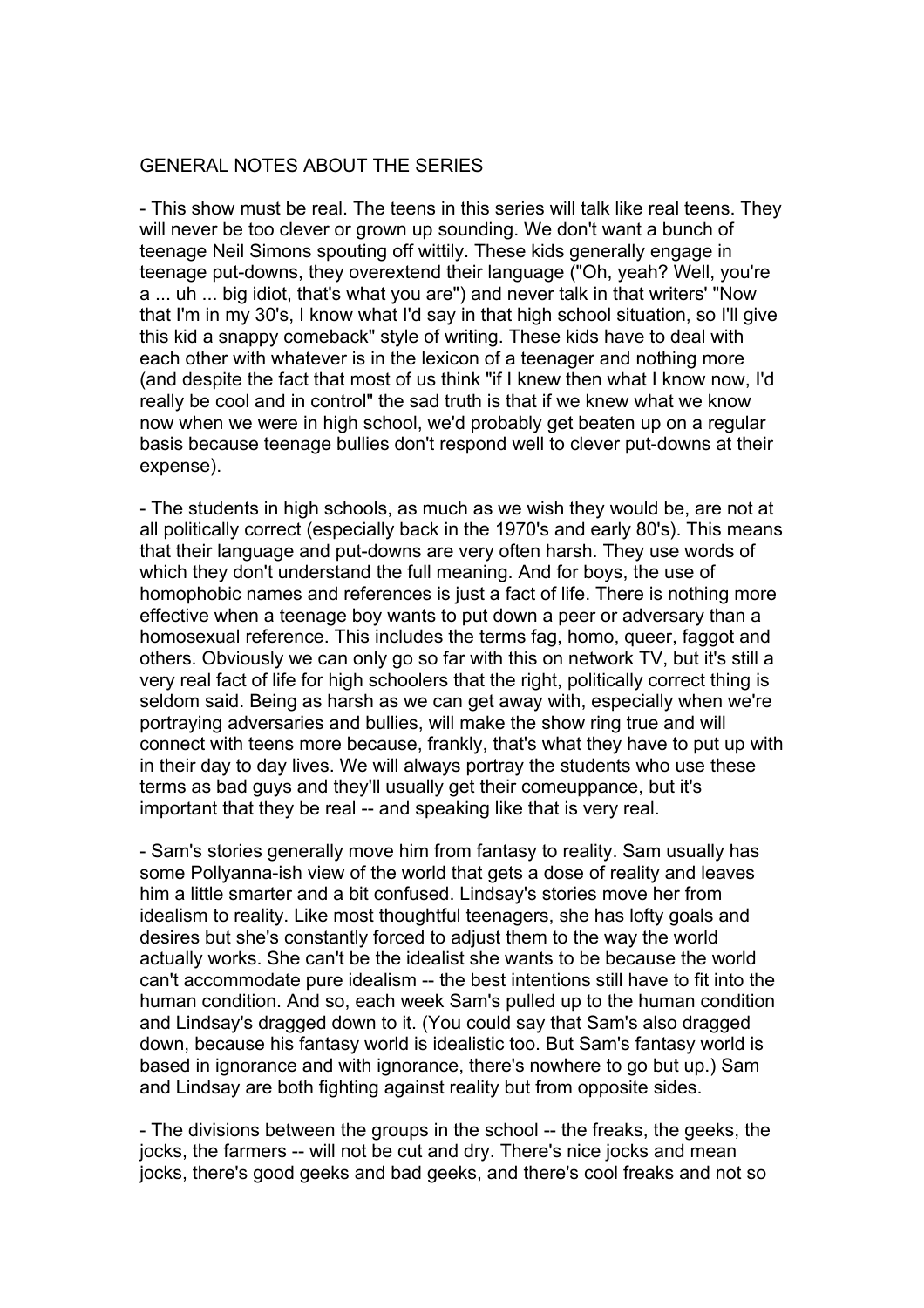# GENERAL NOTES ABOUT THE SERIES

- This show must be real. The teens in this series will talk like real teens. They will never be too clever or grown up sounding. We don't want a bunch of teenage Neil Simons spouting off wittily. These kids generally engage in teenage put-downs, they overextend their language ("Oh, yeah? Well, you're a ... uh ... big idiot, that's what you are") and never talk in that writers' "Now that I'm in my 30's, I know what I'd say in that high school situation, so I'll give this kid a snappy comeback" style of writing. These kids have to deal with each other with whatever is in the lexicon of a teenager and nothing more (and despite the fact that most of us think "if I knew then what I know now, I'd really be cool and in control" the sad truth is that if we knew what we know now when we were in high school, we'd probably get beaten up on a regular basis because teenage bullies don't respond well to clever put-downs at their expense).

- The students in high schools, as much as we wish they would be, are not at all politically correct (especially back in the 1970's and early 80's). This means that their language and put-downs are very often harsh. They use words of which they don't understand the full meaning. And for boys, the use of homophobic names and references is just a fact of life. There is nothing more effective when a teenage boy wants to put down a peer or adversary than a homosexual reference. This includes the terms fag, homo, queer, faggot and others. Obviously we can only go so far with this on network TV, but it's still a very real fact of life for high schoolers that the right, politically correct thing is seldom said. Being as harsh as we can get away with, especially when we're portraying adversaries and bullies, will make the show ring true and will connect with teens more because, frankly, that's what they have to put up with in their day to day lives. We will always portray the students who use these terms as bad guys and they'll usually get their comeuppance, but it's important that they be real -- and speaking like that is very real.

- Sam's stories generally move him from fantasy to reality. Sam usually has some Pollyanna-ish view of the world that gets a dose of reality and leaves him a little smarter and a bit confused. Lindsay's stories move her from idealism to reality. Like most thoughtful teenagers, she has lofty goals and desires but she's constantly forced to adjust them to the way the world actually works. She can't be the idealist she wants to be because the world can't accommodate pure idealism -- the best intentions still have to fit into the human condition. And so, each week Sam's pulled up to the human condition and Lindsay's dragged down to it. (You could say that Sam's also dragged down, because his fantasy world is idealistic too. But Sam's fantasy world is based in ignorance and with ignorance, there's nowhere to go but up.) Sam and Lindsay are both fighting against reality but from opposite sides.

- The divisions between the groups in the school -- the freaks, the geeks, the jocks, the farmers -- will not be cut and dry. There's nice jocks and mean jocks, there's good geeks and bad geeks, and there's cool freaks and not so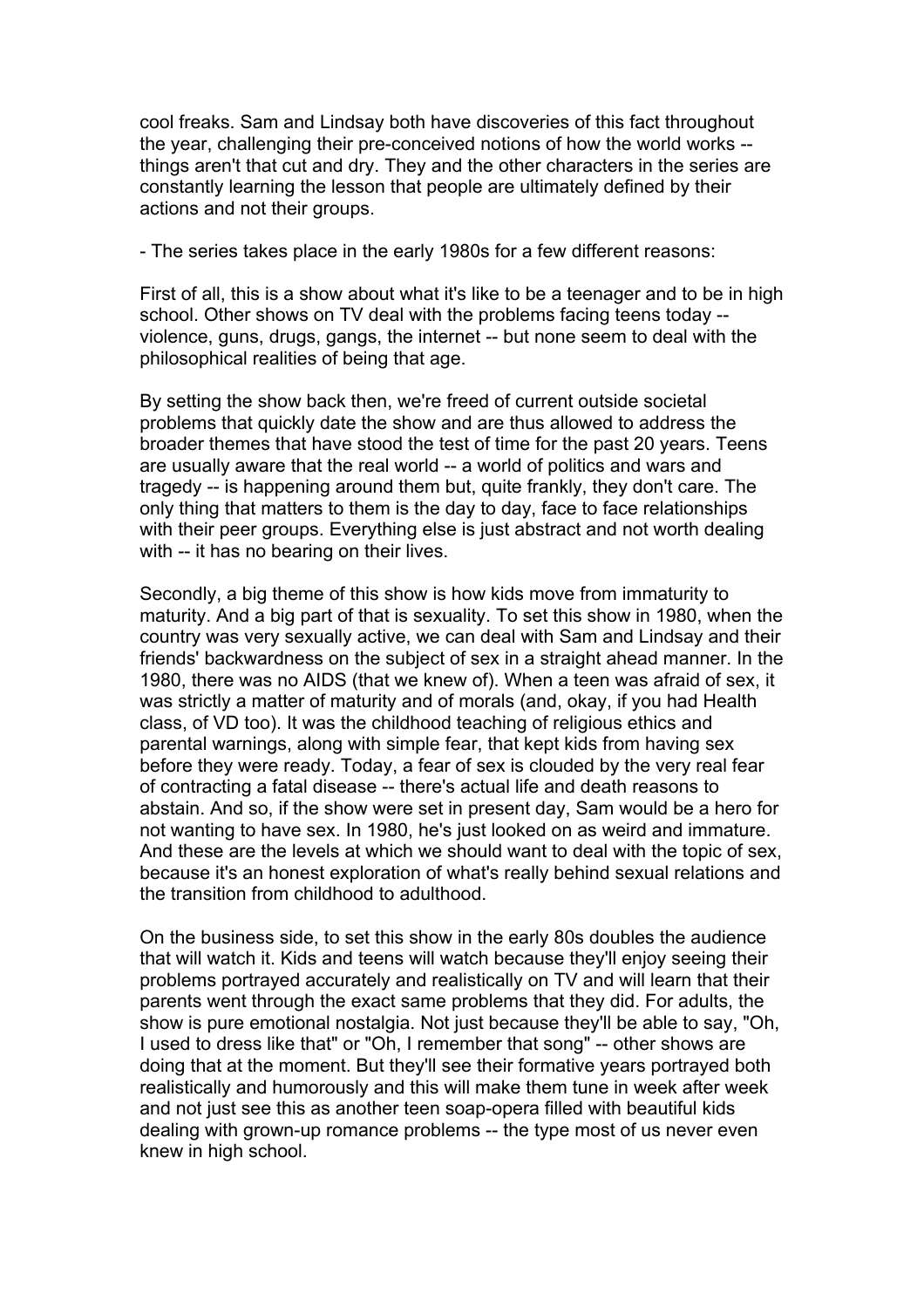cool freaks. Sam and Lindsay both have discoveries of this fact throughout the year, challenging their pre-conceived notions of how the world works - things aren't that cut and dry. They and the other characters in the series are constantly learning the lesson that people are ultimately defined by their actions and not their groups.

- The series takes place in the early 1980s for a few different reasons:

First of all, this is a show about what it's like to be a teenager and to be in high school. Other shows on TV deal with the problems facing teens today - violence, guns, drugs, gangs, the internet -- but none seem to deal with the philosophical realities of being that age.

By setting the show back then, we're freed of current outside societal problems that quickly date the show and are thus allowed to address the broader themes that have stood the test of time for the past 20 years. Teens are usually aware that the real world -- a world of politics and wars and tragedy -- is happening around them but, quite frankly, they don't care. The only thing that matters to them is the day to day, face to face relationships with their peer groups. Everything else is just abstract and not worth dealing with -- it has no bearing on their lives.

Secondly, a big theme of this show is how kids move from immaturity to maturity. And a big part of that is sexuality. To set this show in 1980, when the country was very sexually active, we can deal with Sam and Lindsay and their friends' backwardness on the subject of sex in a straight ahead manner. In the 1980, there was no AIDS (that we knew of). When a teen was afraid of sex, it was strictly a matter of maturity and of morals (and, okay, if you had Health class, of VD too). It was the childhood teaching of religious ethics and parental warnings, along with simple fear, that kept kids from having sex before they were ready. Today, a fear of sex is clouded by the very real fear of contracting a fatal disease -- there's actual life and death reasons to abstain. And so, if the show were set in present day, Sam would be a hero for not wanting to have sex. In 1980, he's just looked on as weird and immature. And these are the levels at which we should want to deal with the topic of sex, because it's an honest exploration of what's really behind sexual relations and the transition from childhood to adulthood.

On the business side, to set this show in the early 80s doubles the audience that will watch it. Kids and teens will watch because they'll enjoy seeing their problems portrayed accurately and realistically on TV and will learn that their parents went through the exact same problems that they did. For adults, the show is pure emotional nostalgia. Not just because they'll be able to say, "Oh, I used to dress like that" or "Oh, I remember that song" -- other shows are doing that at the moment. But they'll see their formative years portrayed both realistically and humorously and this will make them tune in week after week and not just see this as another teen soap-opera filled with beautiful kids dealing with grown-up romance problems -- the type most of us never even knew in high school.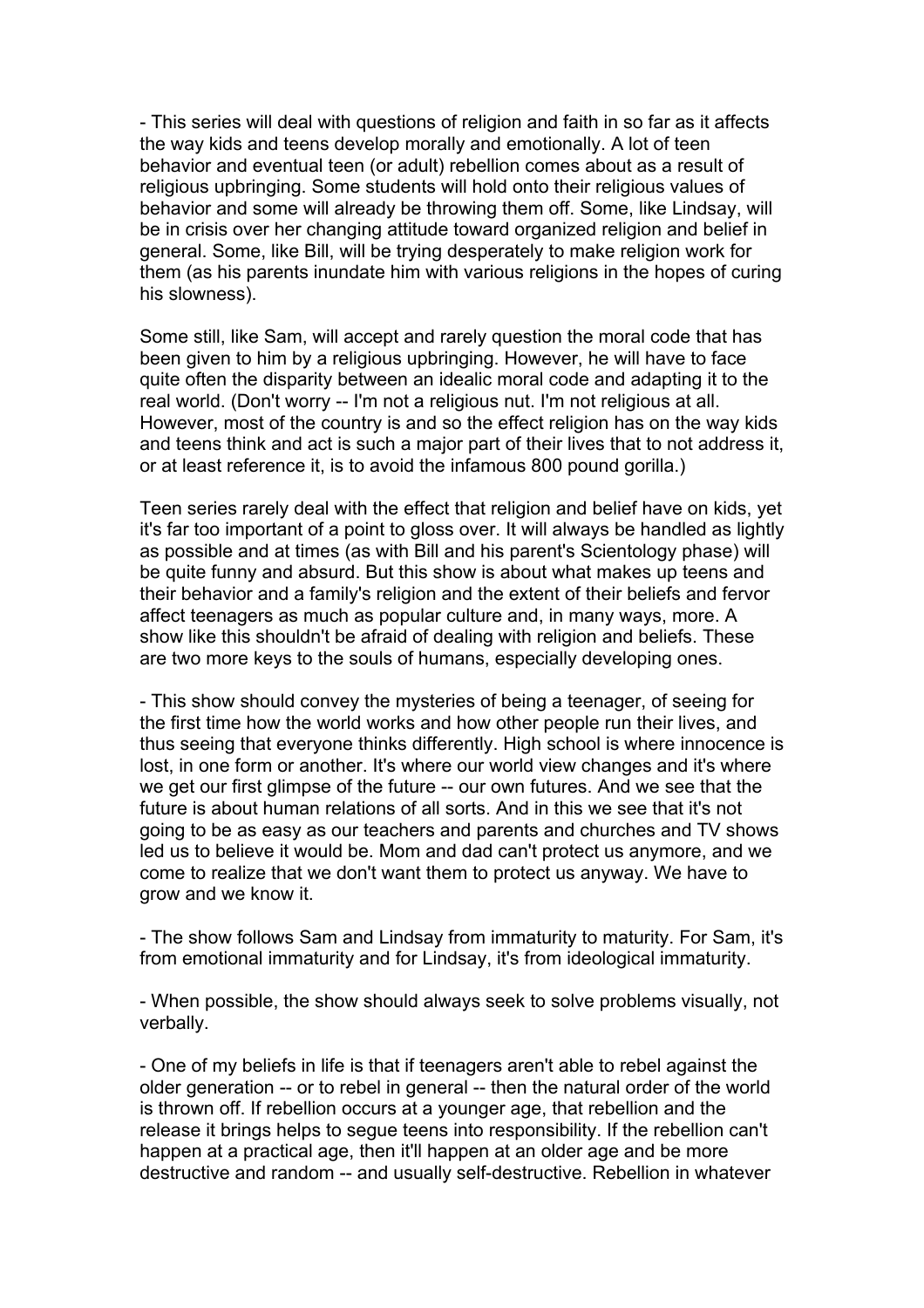- This series will deal with questions of religion and faith in so far as it affects the way kids and teens develop morally and emotionally. A lot of teen behavior and eventual teen (or adult) rebellion comes about as a result of religious upbringing. Some students will hold onto their religious values of behavior and some will already be throwing them off. Some, like Lindsay, will be in crisis over her changing attitude toward organized religion and belief in general. Some, like Bill, will be trying desperately to make religion work for them (as his parents inundate him with various religions in the hopes of curing his slowness).

Some still, like Sam, will accept and rarely question the moral code that has been given to him by a religious upbringing. However, he will have to face quite often the disparity between an idealic moral code and adapting it to the real world. (Don't worry -- I'm not a religious nut. I'm not religious at all. However, most of the country is and so the effect religion has on the way kids and teens think and act is such a major part of their lives that to not address it, or at least reference it, is to avoid the infamous 800 pound gorilla.)

Teen series rarely deal with the effect that religion and belief have on kids, yet it's far too important of a point to gloss over. It will always be handled as lightly as possible and at times (as with Bill and his parent's Scientology phase) will be quite funny and absurd. But this show is about what makes up teens and their behavior and a family's religion and the extent of their beliefs and fervor affect teenagers as much as popular culture and, in many ways, more. A show like this shouldn't be afraid of dealing with religion and beliefs. These are two more keys to the souls of humans, especially developing ones.

- This show should convey the mysteries of being a teenager, of seeing for the first time how the world works and how other people run their lives, and thus seeing that everyone thinks differently. High school is where innocence is lost, in one form or another. It's where our world view changes and it's where we get our first glimpse of the future -- our own futures. And we see that the future is about human relations of all sorts. And in this we see that it's not going to be as easy as our teachers and parents and churches and TV shows led us to believe it would be. Mom and dad can't protect us anymore, and we come to realize that we don't want them to protect us anyway. We have to grow and we know it.

- The show follows Sam and Lindsay from immaturity to maturity. For Sam, it's from emotional immaturity and for Lindsay, it's from ideological immaturity.

- When possible, the show should always seek to solve problems visually, not verbally.

- One of my beliefs in life is that if teenagers aren't able to rebel against the older generation -- or to rebel in general -- then the natural order of the world is thrown off. If rebellion occurs at a younger age, that rebellion and the release it brings helps to segue teens into responsibility. If the rebellion can't happen at a practical age, then it'll happen at an older age and be more destructive and random -- and usually self-destructive. Rebellion in whatever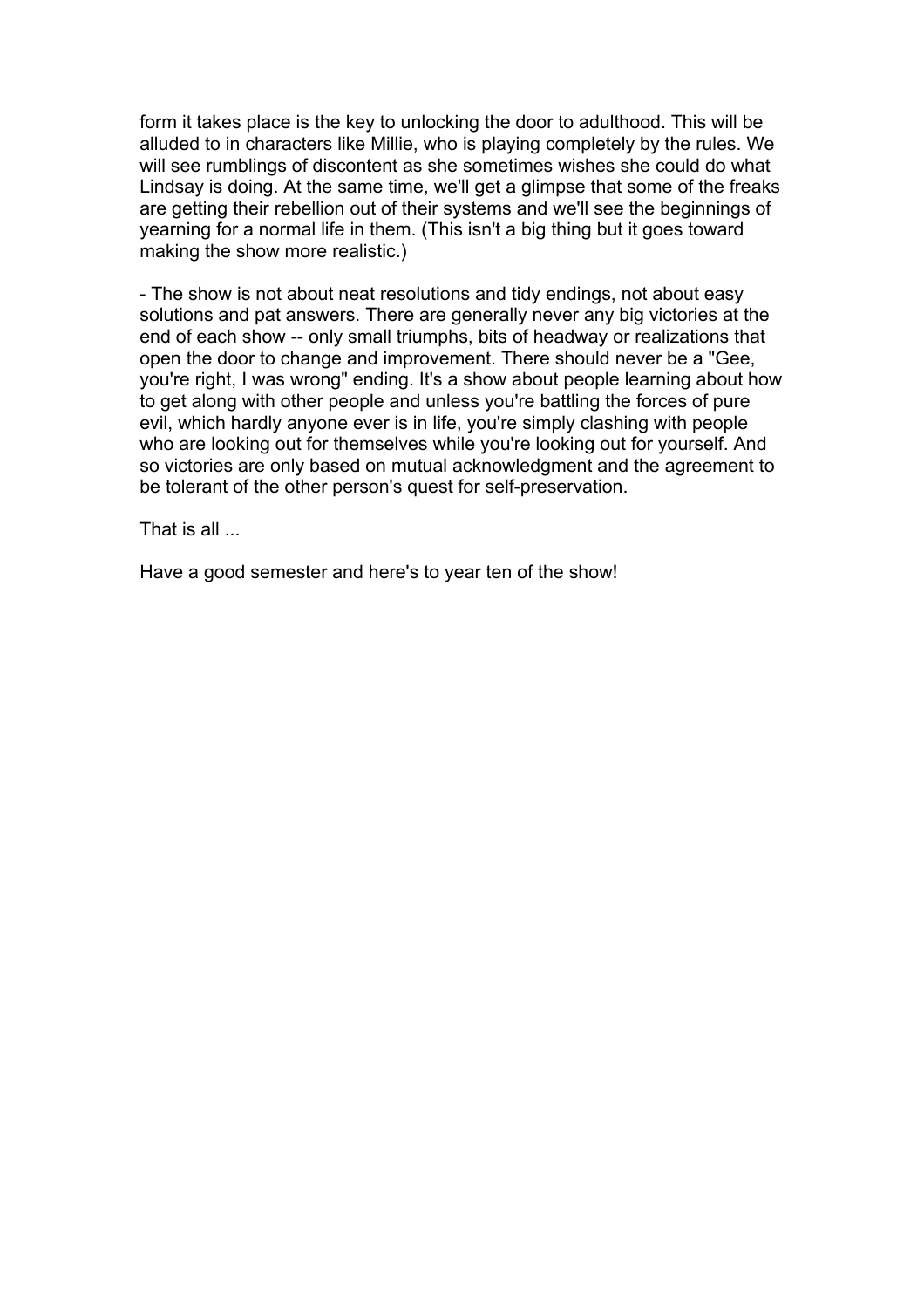form it takes place is the key to unlocking the door to adulthood. This will be alluded to in characters like Millie, who is playing completely by the rules. We will see rumblings of discontent as she sometimes wishes she could do what Lindsay is doing. At the same time, we'll get a glimpse that some of the freaks are getting their rebellion out of their systems and we'll see the beginnings of yearning for a normal life in them. (This isn't a big thing but it goes toward making the show more realistic.)

- The show is not about neat resolutions and tidy endings, not about easy solutions and pat answers. There are generally never any big victories at the end of each show -- only small triumphs, bits of headway or realizations that open the door to change and improvement. There should never be a "Gee, you're right, I was wrong" ending. It's a show about people learning about how to get along with other people and unless you're battling the forces of pure evil, which hardly anyone ever is in life, you're simply clashing with people who are looking out for themselves while you're looking out for yourself. And so victories are only based on mutual acknowledgment and the agreement to be tolerant of the other person's quest for self-preservation.

That is all ...

Have a good semester and here's to year ten of the show!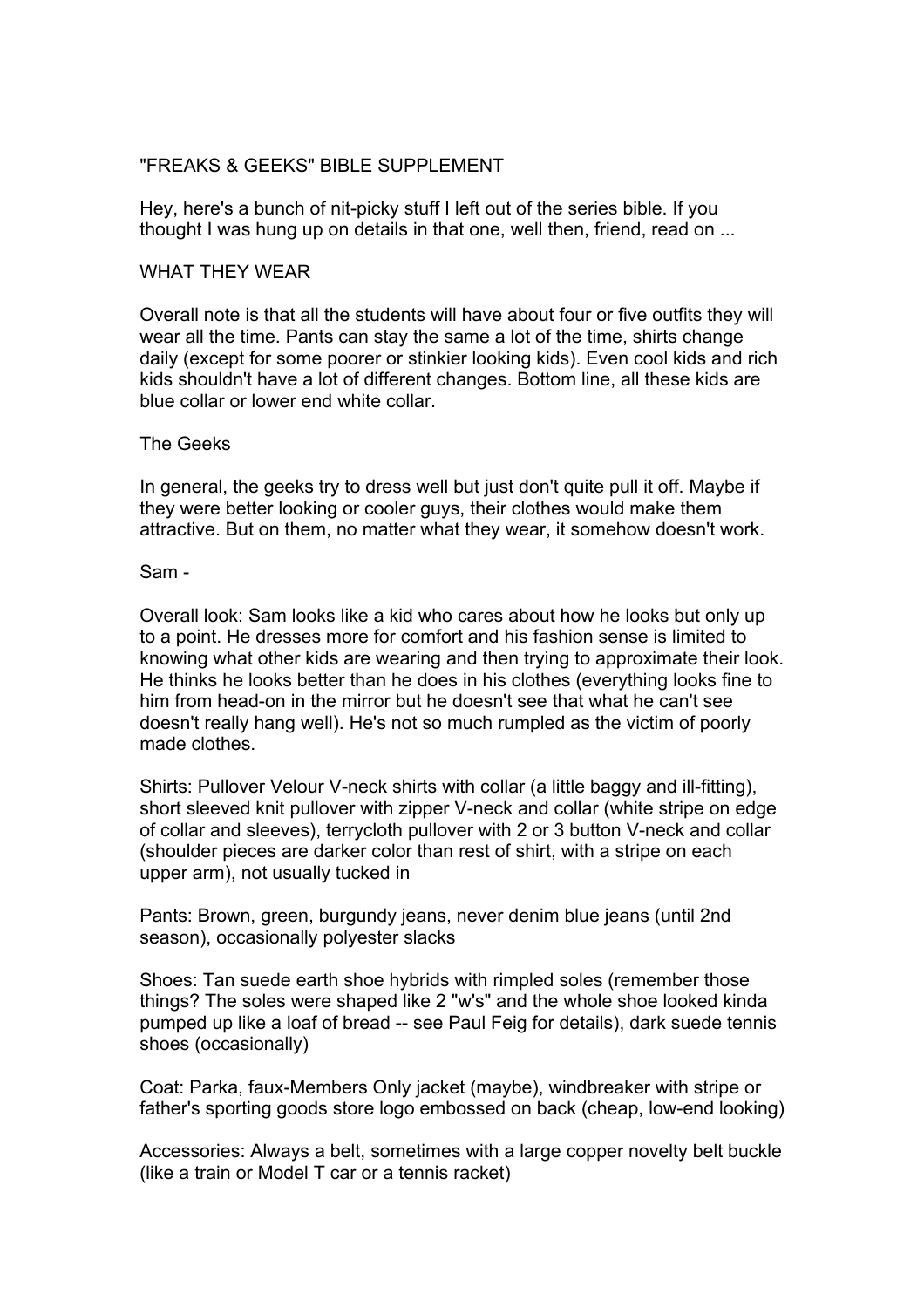# "FREAKS & GEEKS" BIBLE SUPPLEMENT

Hey, here's a bunch of nit-picky stuff I left out of the series bible. If you thought I was hung up on details in that one, well then, friend, read on ...

## WHAT THEY WEAR

Overall note is that all the students will have about four or five outfits they will wear all the time. Pants can stay the same a lot of the time, shirts change daily (except for some poorer or stinkier looking kids). Even cool kids and rich kids shouldn't have a lot of different changes. Bottom line, all these kids are blue collar or lower end white collar.

## The Geeks

In general, the geeks try to dress well but just don't quite pull it off. Maybe if they were better looking or cooler guys, their clothes would make them attractive. But on them, no matter what they wear, it somehow doesn't work.

#### Sam -

Overall look: Sam looks like a kid who cares about how he looks but only up to a point. He dresses more for comfort and his fashion sense is limited to knowing what other kids are wearing and then trying to approximate their look. He thinks he looks better than he does in his clothes (everything looks fine to him from head-on in the mirror but he doesn't see that what he can't see doesn't really hang well). He's not so much rumpled as the victim of poorly made clothes.

Shirts: Pullover Velour V-neck shirts with collar (a little baggy and ill-fitting), short sleeved knit pullover with zipper V-neck and collar (white stripe on edge of collar and sleeves), terrycloth pullover with 2 or 3 button V-neck and collar (shoulder pieces are darker color than rest of shirt, with a stripe on each upper arm), not usually tucked in

Pants: Brown, green, burgundy jeans, never denim blue jeans (until 2nd season), occasionally polyester slacks

Shoes: Tan suede earth shoe hybrids with rimpled soles (remember those things? The soles were shaped like 2 "w's" and the whole shoe looked kinda pumped up like a loaf of bread -- see Paul Feig for details), dark suede tennis shoes (occasionally)

Coat: Parka, faux-Members Only jacket (maybe), windbreaker with stripe or father's sporting goods store logo embossed on back (cheap, low-end looking)

Accessories: Always a belt, sometimes with a large copper novelty belt buckle (like a train or Model T car or a tennis racket)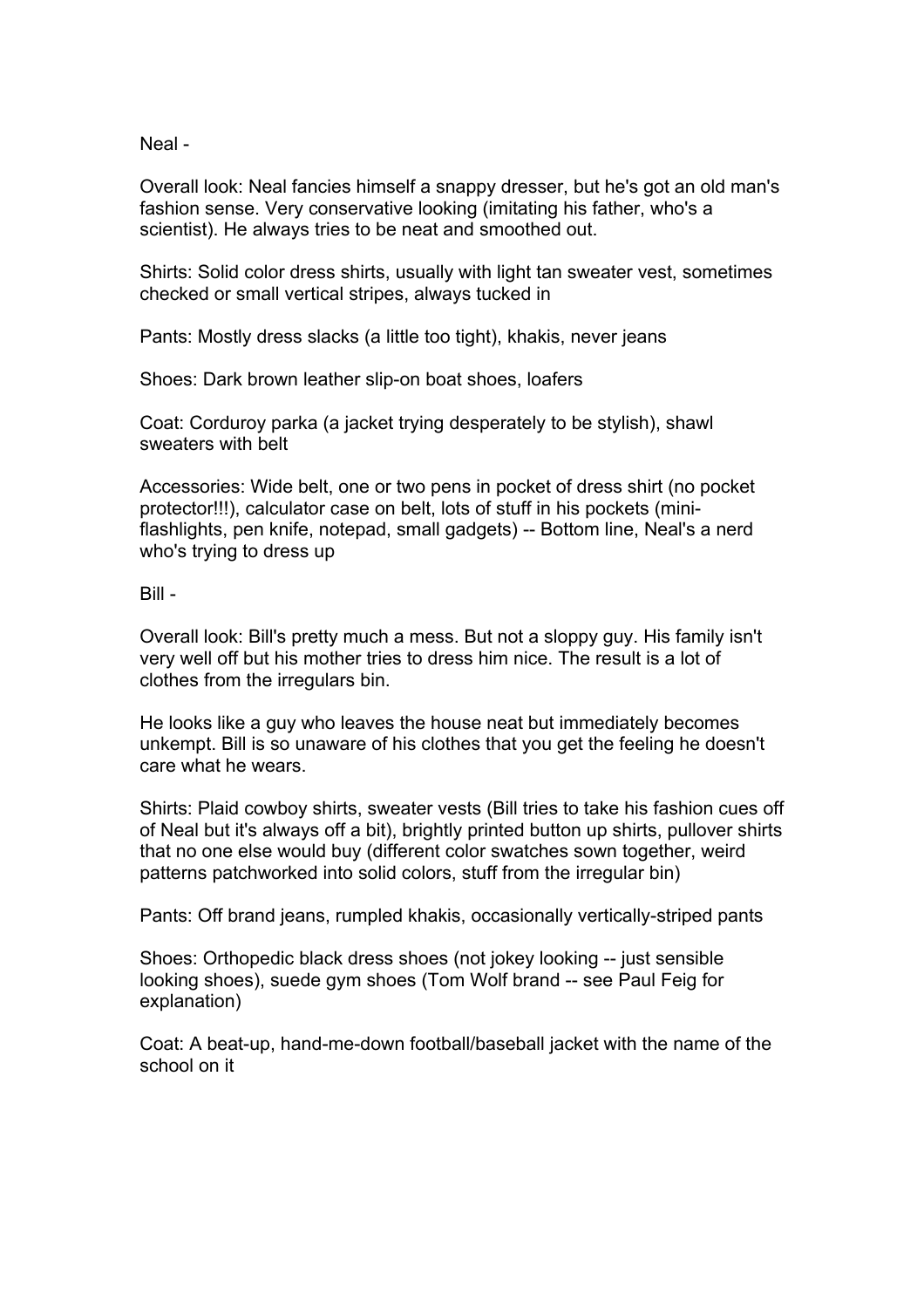Neal -

Overall look: Neal fancies himself a snappy dresser, but he's got an old man's fashion sense. Very conservative looking (imitating his father, who's a scientist). He always tries to be neat and smoothed out.

Shirts: Solid color dress shirts, usually with light tan sweater vest, sometimes checked or small vertical stripes, always tucked in

Pants: Mostly dress slacks (a little too tight), khakis, never jeans

Shoes: Dark brown leather slip-on boat shoes, loafers

Coat: Corduroy parka (a jacket trying desperately to be stylish), shawl sweaters with belt

Accessories: Wide belt, one or two pens in pocket of dress shirt (no pocket protector!!!), calculator case on belt, lots of stuff in his pockets (miniflashlights, pen knife, notepad, small gadgets) -- Bottom line, Neal's a nerd who's trying to dress up

Bill -

Overall look: Bill's pretty much a mess. But not a sloppy guy. His family isn't very well off but his mother tries to dress him nice. The result is a lot of clothes from the irregulars bin.

He looks like a guy who leaves the house neat but immediately becomes unkempt. Bill is so unaware of his clothes that you get the feeling he doesn't care what he wears.

Shirts: Plaid cowboy shirts, sweater vests (Bill tries to take his fashion cues off of Neal but it's always off a bit), brightly printed button up shirts, pullover shirts that no one else would buy (different color swatches sown together, weird patterns patchworked into solid colors, stuff from the irregular bin)

Pants: Off brand jeans, rumpled khakis, occasionally vertically-striped pants

Shoes: Orthopedic black dress shoes (not jokey looking -- just sensible looking shoes), suede gym shoes (Tom Wolf brand -- see Paul Feig for explanation)

Coat: A beat-up, hand-me-down football/baseball jacket with the name of the school on it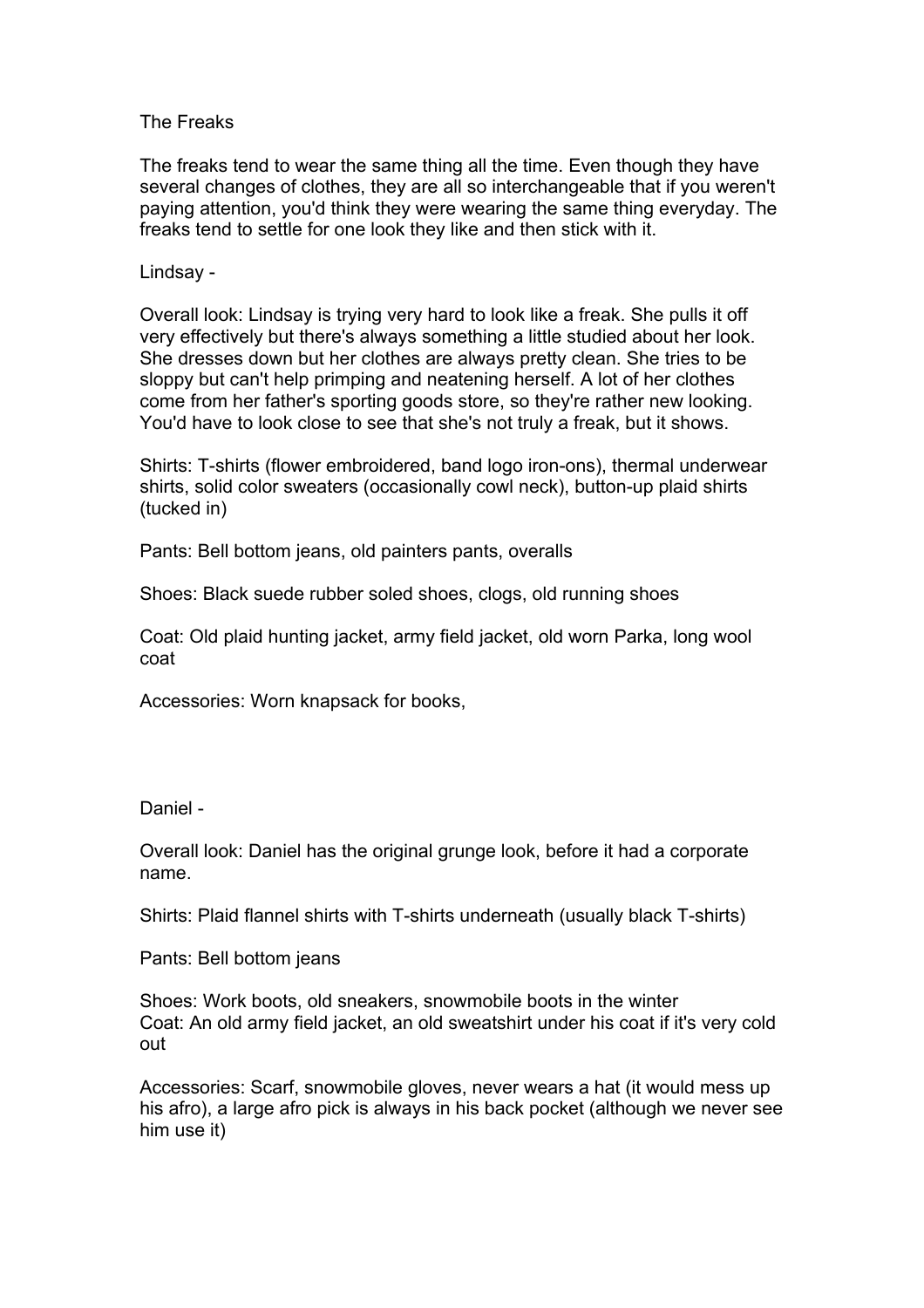# The Freaks

The freaks tend to wear the same thing all the time. Even though they have several changes of clothes, they are all so interchangeable that if you weren't paying attention, you'd think they were wearing the same thing everyday. The freaks tend to settle for one look they like and then stick with it.

# Lindsay -

Overall look: Lindsay is trying very hard to look like a freak. She pulls it off very effectively but there's always something a little studied about her look. She dresses down but her clothes are always pretty clean. She tries to be sloppy but can't help primping and neatening herself. A lot of her clothes come from her father's sporting goods store, so they're rather new looking. You'd have to look close to see that she's not truly a freak, but it shows.

Shirts: T-shirts (flower embroidered, band logo iron-ons), thermal underwear shirts, solid color sweaters (occasionally cowl neck), button-up plaid shirts (tucked in)

Pants: Bell bottom jeans, old painters pants, overalls

Shoes: Black suede rubber soled shoes, clogs, old running shoes

Coat: Old plaid hunting jacket, army field jacket, old worn Parka, long wool coat

Accessories: Worn knapsack for books,

Daniel -

Overall look: Daniel has the original grunge look, before it had a corporate name.

Shirts: Plaid flannel shirts with T-shirts underneath (usually black T-shirts)

Pants: Bell bottom jeans

Shoes: Work boots, old sneakers, snowmobile boots in the winter Coat: An old army field jacket, an old sweatshirt under his coat if it's very cold out

Accessories: Scarf, snowmobile gloves, never wears a hat (it would mess up his afro), a large afro pick is always in his back pocket (although we never see him use it)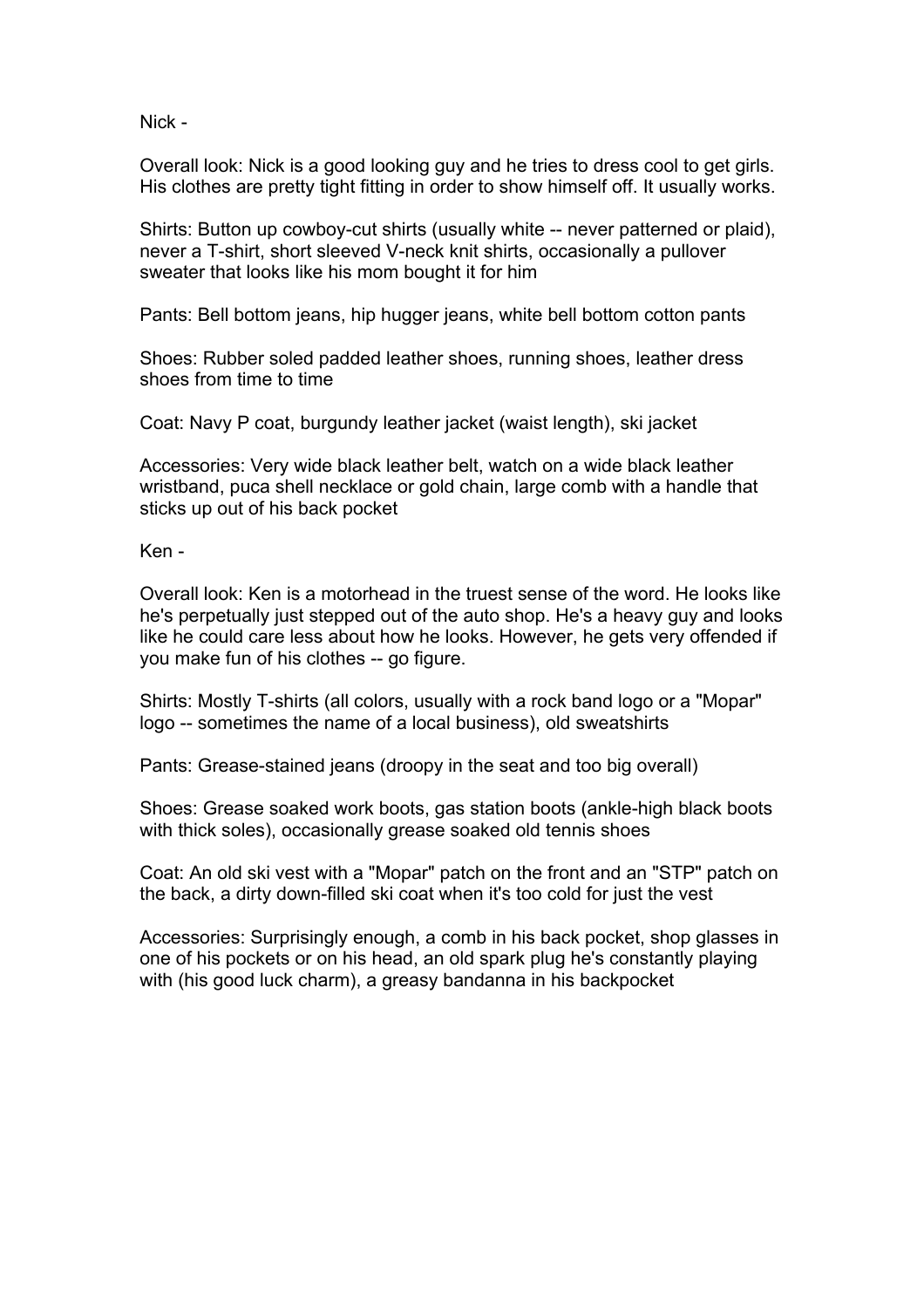Nick -

Overall look: Nick is a good looking guy and he tries to dress cool to get girls. His clothes are pretty tight fitting in order to show himself off. It usually works.

Shirts: Button up cowboy-cut shirts (usually white -- never patterned or plaid), never a T-shirt, short sleeved V-neck knit shirts, occasionally a pullover sweater that looks like his mom bought it for him

Pants: Bell bottom jeans, hip hugger jeans, white bell bottom cotton pants

Shoes: Rubber soled padded leather shoes, running shoes, leather dress shoes from time to time

Coat: Navy P coat, burgundy leather jacket (waist length), ski jacket

Accessories: Very wide black leather belt, watch on a wide black leather wristband, puca shell necklace or gold chain, large comb with a handle that sticks up out of his back pocket

Ken -

Overall look: Ken is a motorhead in the truest sense of the word. He looks like he's perpetually just stepped out of the auto shop. He's a heavy guy and looks like he could care less about how he looks. However, he gets very offended if you make fun of his clothes -- go figure.

Shirts: Mostly T-shirts (all colors, usually with a rock band logo or a "Mopar" logo -- sometimes the name of a local business), old sweatshirts

Pants: Grease-stained jeans (droopy in the seat and too big overall)

Shoes: Grease soaked work boots, gas station boots (ankle-high black boots with thick soles), occasionally grease soaked old tennis shoes

Coat: An old ski vest with a "Mopar" patch on the front and an "STP" patch on the back, a dirty down-filled ski coat when it's too cold for just the vest

Accessories: Surprisingly enough, a comb in his back pocket, shop glasses in one of his pockets or on his head, an old spark plug he's constantly playing with (his good luck charm), a greasy bandanna in his backpocket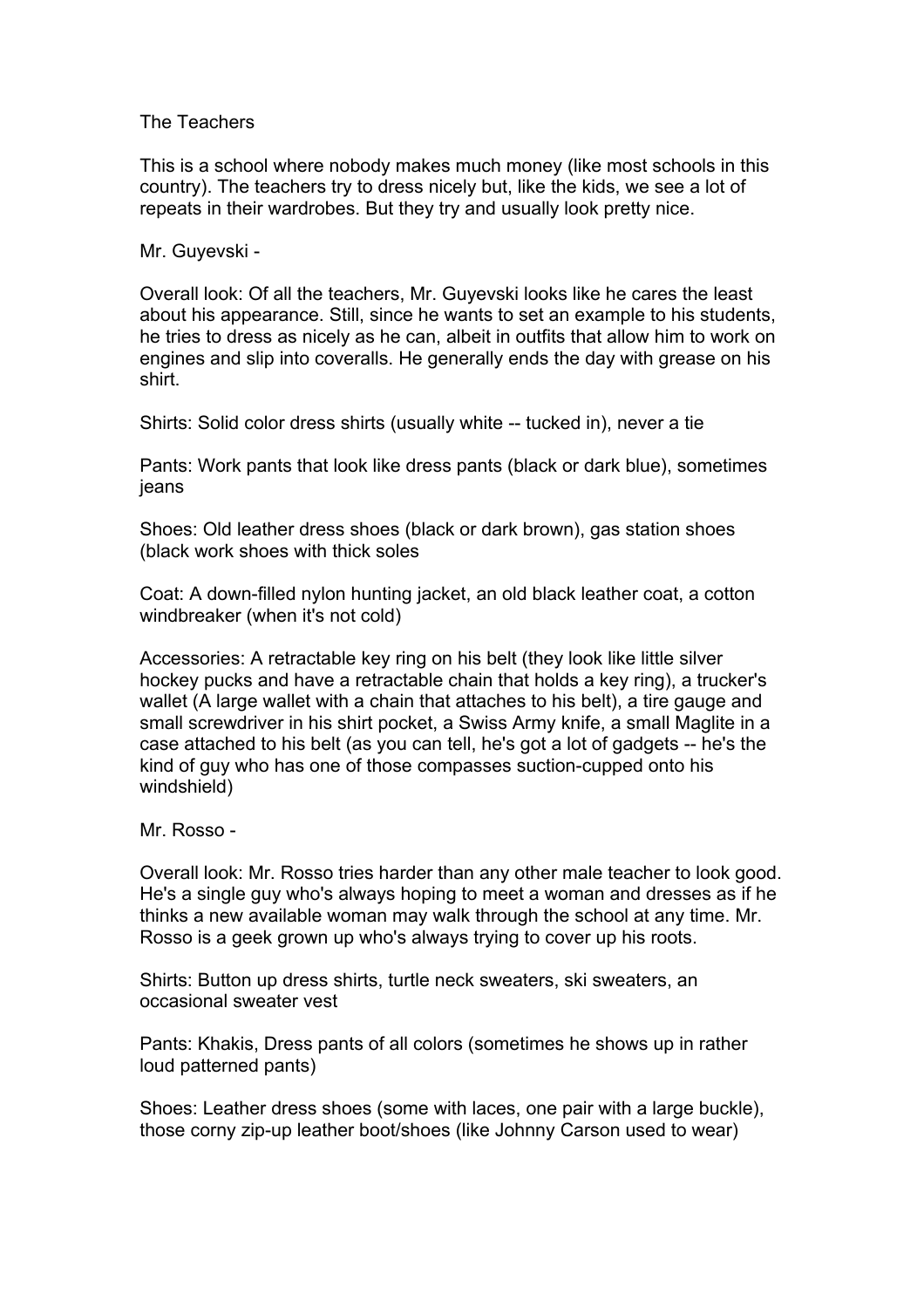The Teachers

This is a school where nobody makes much money (like most schools in this country). The teachers try to dress nicely but, like the kids, we see a lot of repeats in their wardrobes. But they try and usually look pretty nice.

Mr. Guyevski -

Overall look: Of all the teachers, Mr. Guyevski looks like he cares the least about his appearance. Still, since he wants to set an example to his students, he tries to dress as nicely as he can, albeit in outfits that allow him to work on engines and slip into coveralls. He generally ends the day with grease on his shirt.

Shirts: Solid color dress shirts (usually white -- tucked in), never a tie

Pants: Work pants that look like dress pants (black or dark blue), sometimes jeans

Shoes: Old leather dress shoes (black or dark brown), gas station shoes (black work shoes with thick soles

Coat: A down-filled nylon hunting jacket, an old black leather coat, a cotton windbreaker (when it's not cold)

Accessories: A retractable key ring on his belt (they look like little silver hockey pucks and have a retractable chain that holds a key ring), a trucker's wallet (A large wallet with a chain that attaches to his belt), a tire gauge and small screwdriver in his shirt pocket, a Swiss Army knife, a small Maglite in a case attached to his belt (as you can tell, he's got a lot of gadgets -- he's the kind of guy who has one of those compasses suction-cupped onto his windshield)

Mr. Rosso -

Overall look: Mr. Rosso tries harder than any other male teacher to look good. He's a single guy who's always hoping to meet a woman and dresses as if he thinks a new available woman may walk through the school at any time. Mr. Rosso is a geek grown up who's always trying to cover up his roots.

Shirts: Button up dress shirts, turtle neck sweaters, ski sweaters, an occasional sweater vest

Pants: Khakis, Dress pants of all colors (sometimes he shows up in rather loud patterned pants)

Shoes: Leather dress shoes (some with laces, one pair with a large buckle), those corny zip-up leather boot/shoes (like Johnny Carson used to wear)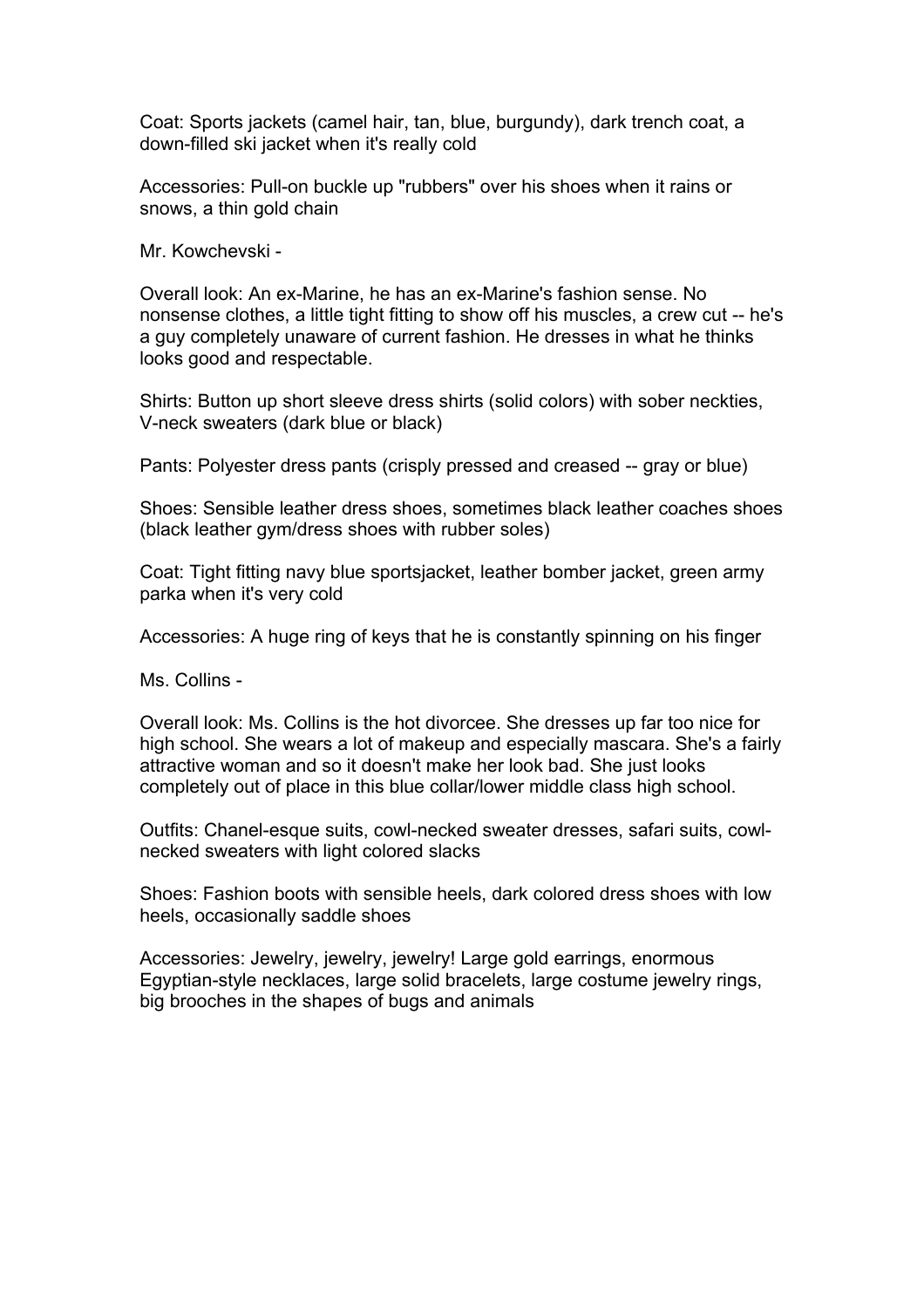Coat: Sports jackets (camel hair, tan, blue, burgundy), dark trench coat, a down-filled ski jacket when it's really cold

Accessories: Pull-on buckle up "rubbers" over his shoes when it rains or snows, a thin gold chain

Mr. Kowchevski -

Overall look: An ex-Marine, he has an ex-Marine's fashion sense. No nonsense clothes, a little tight fitting to show off his muscles, a crew cut -- he's a guy completely unaware of current fashion. He dresses in what he thinks looks good and respectable.

Shirts: Button up short sleeve dress shirts (solid colors) with sober neckties, V-neck sweaters (dark blue or black)

Pants: Polyester dress pants (crisply pressed and creased -- gray or blue)

Shoes: Sensible leather dress shoes, sometimes black leather coaches shoes (black leather gym/dress shoes with rubber soles)

Coat: Tight fitting navy blue sportsjacket, leather bomber jacket, green army parka when it's very cold

Accessories: A huge ring of keys that he is constantly spinning on his finger

Ms. Collins -

Overall look: Ms. Collins is the hot divorcee. She dresses up far too nice for high school. She wears a lot of makeup and especially mascara. She's a fairly attractive woman and so it doesn't make her look bad. She just looks completely out of place in this blue collar/lower middle class high school.

Outfits: Chanel-esque suits, cowl-necked sweater dresses, safari suits, cowlnecked sweaters with light colored slacks

Shoes: Fashion boots with sensible heels, dark colored dress shoes with low heels, occasionally saddle shoes

Accessories: Jewelry, jewelry, jewelry! Large gold earrings, enormous Egyptian-style necklaces, large solid bracelets, large costume jewelry rings, big brooches in the shapes of bugs and animals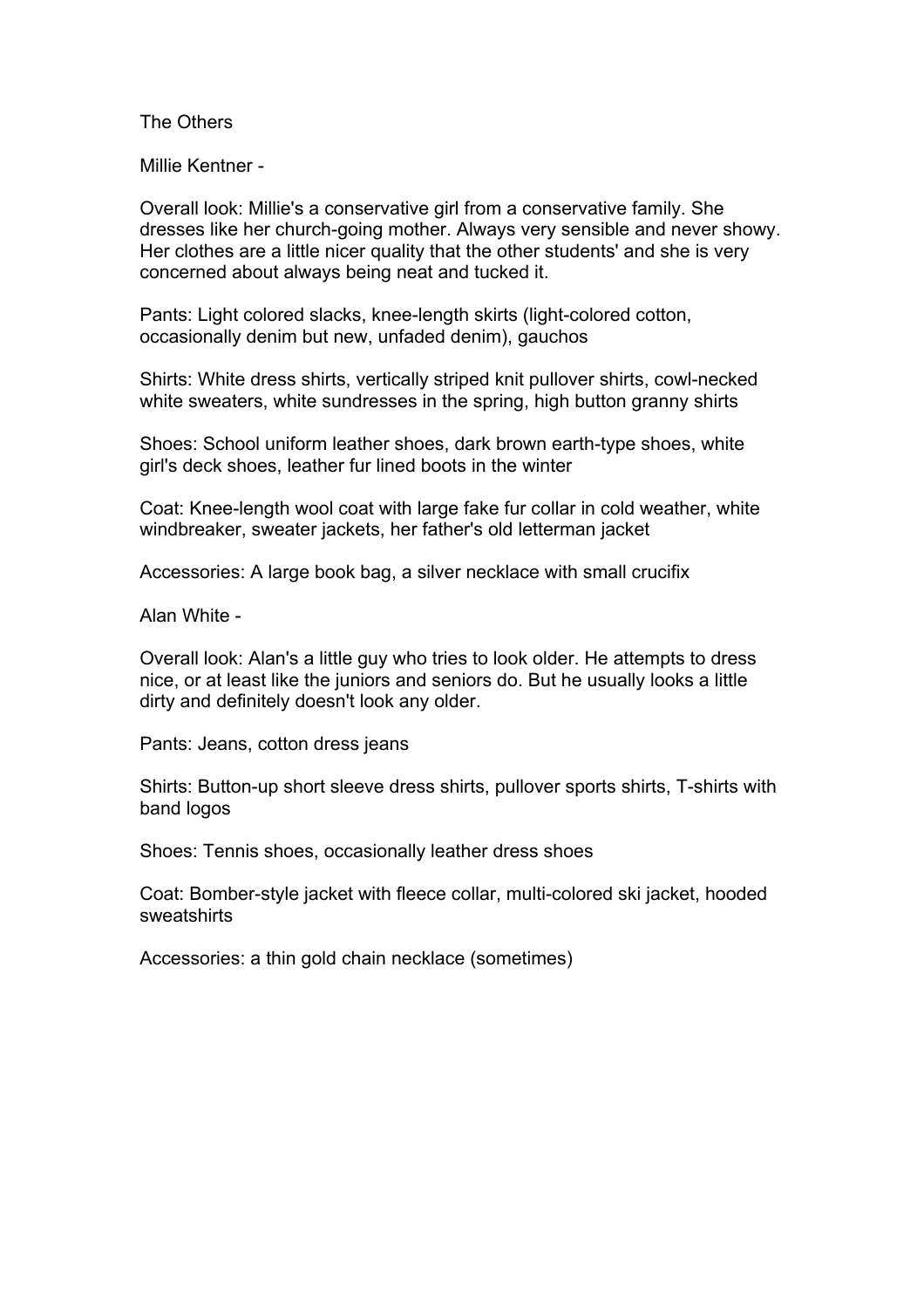The Others

Millie Kentner -

Overall look: Millie's a conservative girl from a conservative family. She dresses like her church-going mother. Always very sensible and never showy. Her clothes are a little nicer quality that the other students' and she is very concerned about always being neat and tucked it.

Pants: Light colored slacks, knee-length skirts (light-colored cotton, occasionally denim but new, unfaded denim), gauchos

Shirts: White dress shirts, vertically striped knit pullover shirts, cowl-necked white sweaters, white sundresses in the spring, high button granny shirts

Shoes: School uniform leather shoes, dark brown earth-type shoes, white girl's deck shoes, leather fur lined boots in the winter

Coat: Knee-length wool coat with large fake fur collar in cold weather, white windbreaker, sweater jackets, her father's old letterman jacket

Accessories: A large book bag, a silver necklace with small crucifix

Alan White -

Overall look: Alan's a little guy who tries to look older. He attempts to dress nice, or at least like the juniors and seniors do. But he usually looks a little dirty and definitely doesn't look any older.

Pants: Jeans, cotton dress jeans

Shirts: Button-up short sleeve dress shirts, pullover sports shirts, T-shirts with band logos

Shoes: Tennis shoes, occasionally leather dress shoes

Coat: Bomber-style jacket with fleece collar, multi-colored ski jacket, hooded sweatshirts

Accessories: a thin gold chain necklace (sometimes)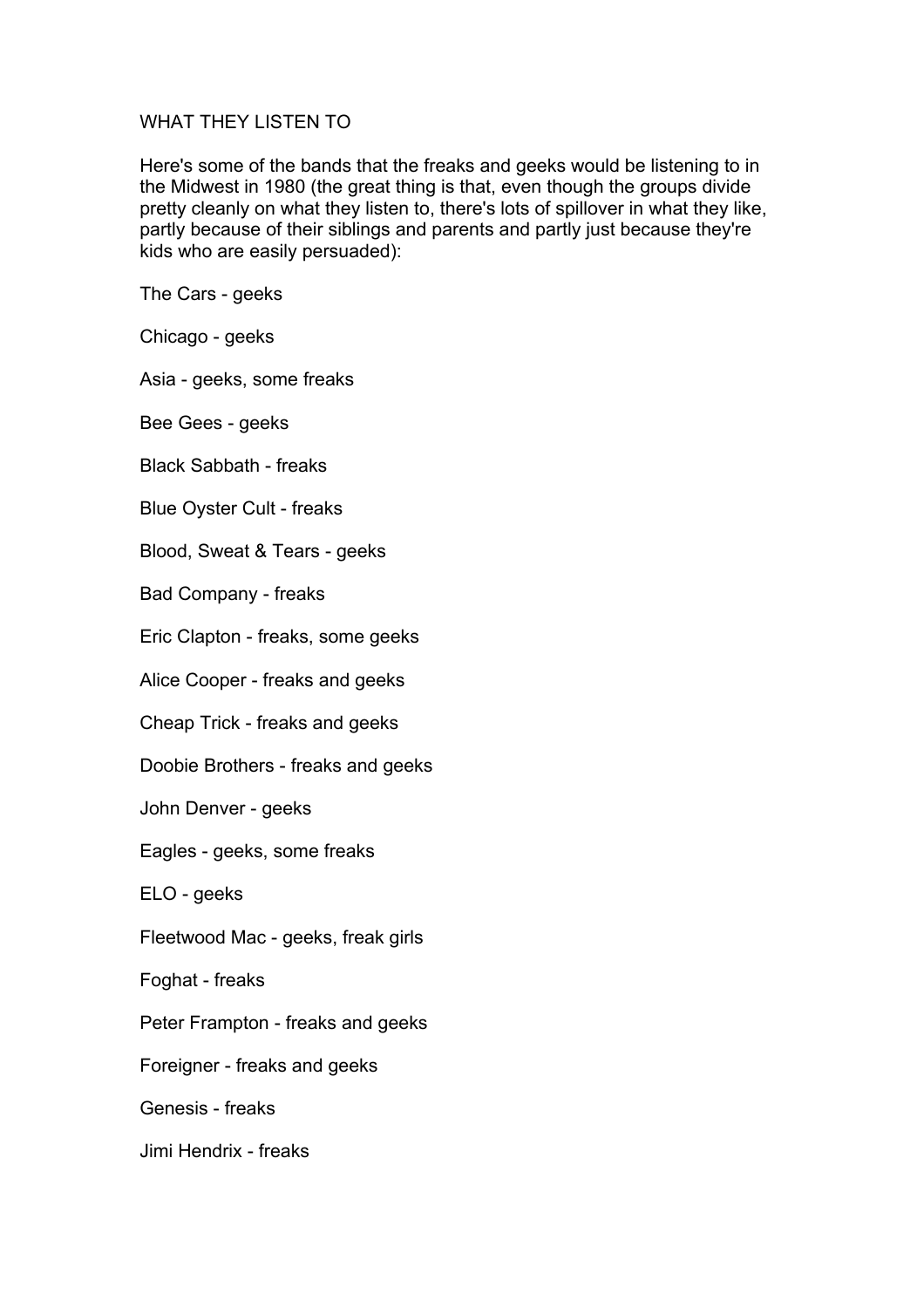# WHAT THEY LISTEN TO

Here's some of the bands that the freaks and geeks would be listening to in the Midwest in 1980 (the great thing is that, even though the groups divide pretty cleanly on what they listen to, there's lots of spillover in what they like, partly because of their siblings and parents and partly just because they're kids who are easily persuaded):

The Cars - geeks

Chicago - geeks

Asia - geeks, some freaks

Bee Gees - geeks

Black Sabbath - freaks

Blue Oyster Cult - freaks

Blood, Sweat & Tears - geeks

Bad Company - freaks

Eric Clapton - freaks, some geeks

Alice Cooper - freaks and geeks

Cheap Trick - freaks and geeks

Doobie Brothers - freaks and geeks

John Denver - geeks

Eagles - geeks, some freaks

ELO - geeks

Fleetwood Mac - geeks, freak girls

Foghat - freaks

Peter Frampton - freaks and geeks

Foreigner - freaks and geeks

Genesis - freaks

Jimi Hendrix - freaks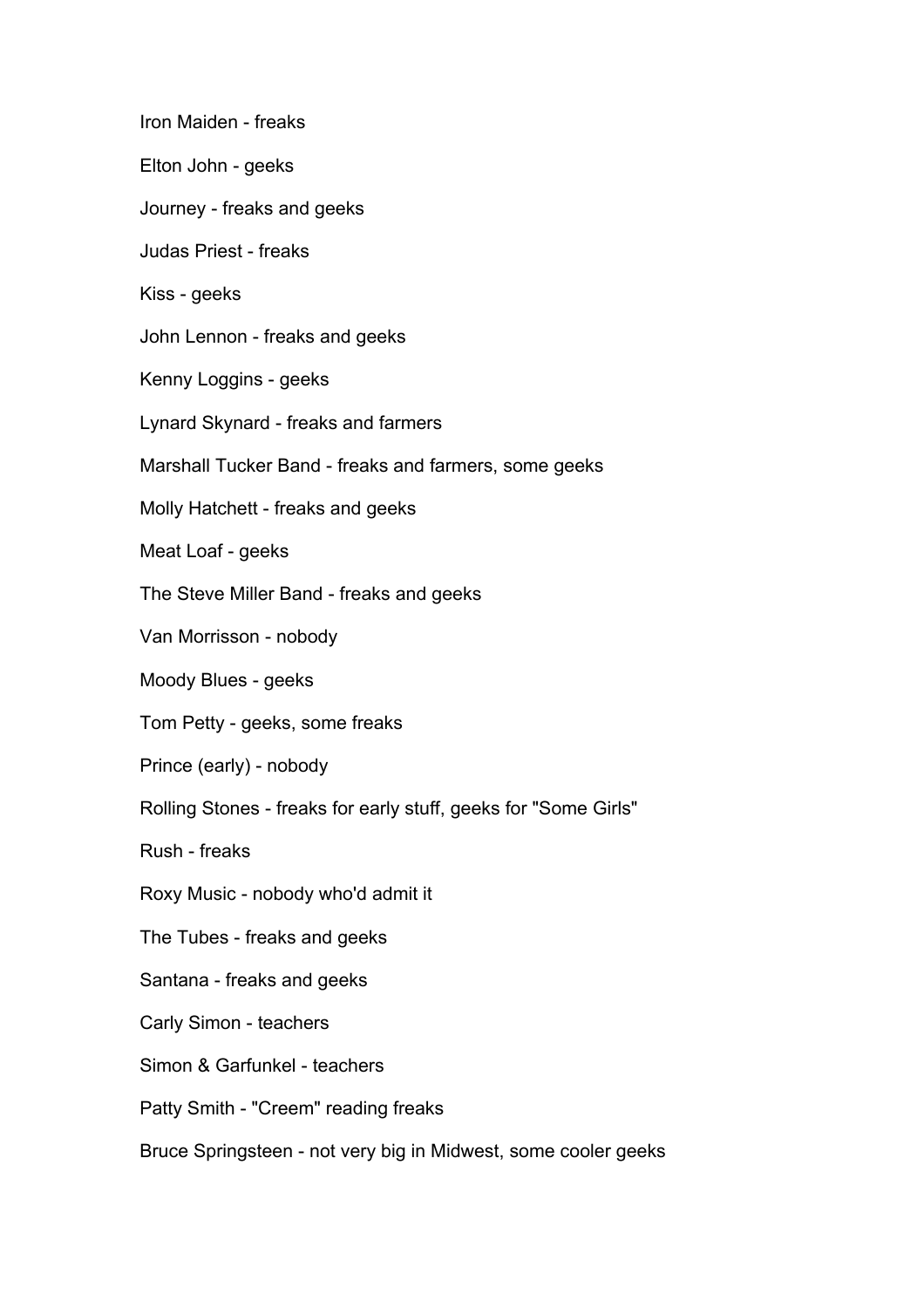Iron Maiden - freaks Elton John - geeks Journey - freaks and geeks Judas Priest - freaks Kiss - geeks John Lennon - freaks and geeks Kenny Loggins - geeks Lynard Skynard - freaks and farmers Marshall Tucker Band - freaks and farmers, some geeks Molly Hatchett - freaks and geeks Meat Loaf - geeks The Steve Miller Band - freaks and geeks Van Morrisson - nobody Moody Blues - geeks Tom Petty - geeks, some freaks Prince (early) - nobody Rolling Stones - freaks for early stuff, geeks for "Some Girls" Rush - freaks Roxy Music - nobody who'd admit it The Tubes - freaks and geeks Santana - freaks and geeks Carly Simon - teachers Simon & Garfunkel - teachers Patty Smith - "Creem" reading freaks Bruce Springsteen - not very big in Midwest, some cooler geeks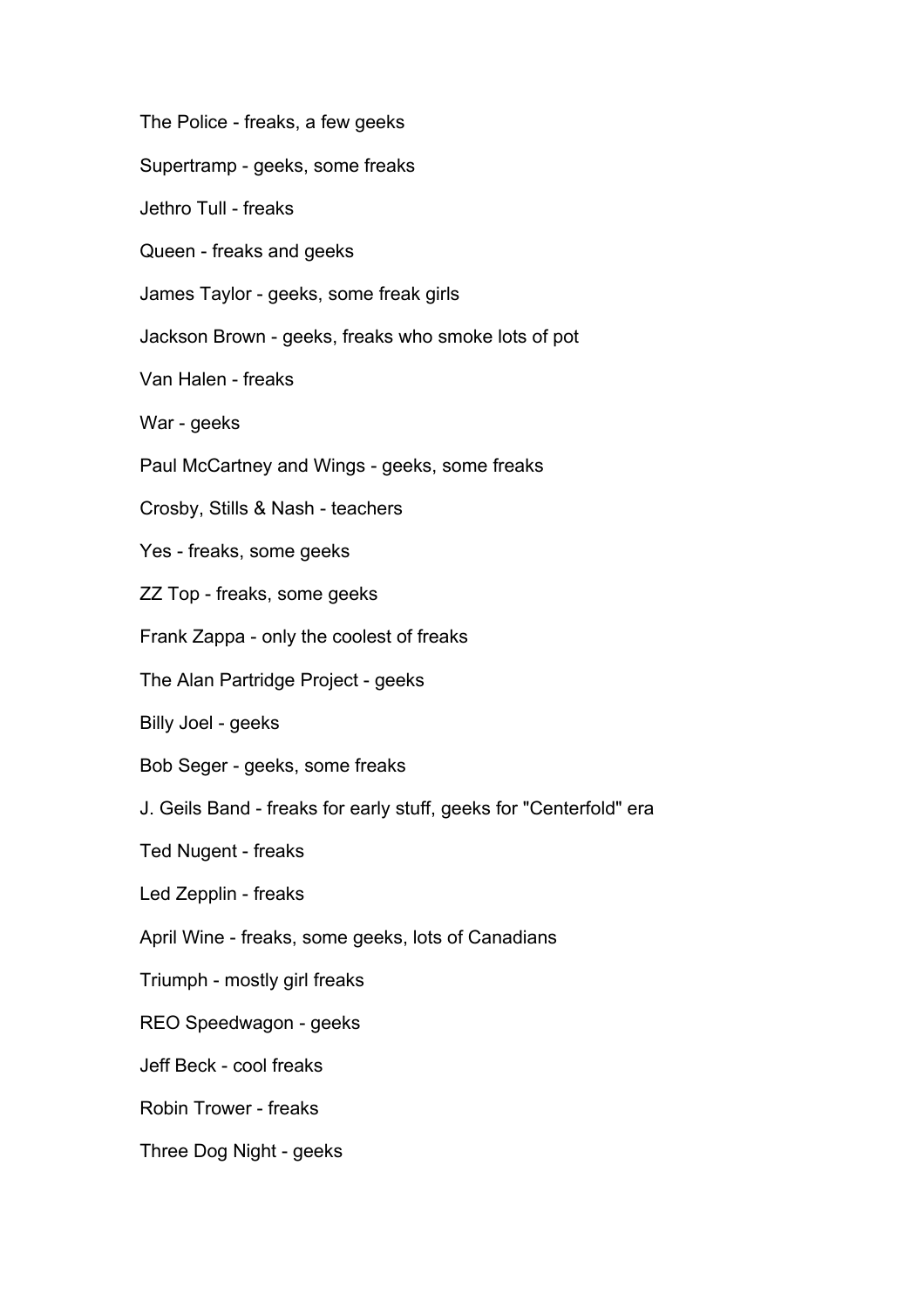The Police - freaks, a few geeks Supertramp - geeks, some freaks Jethro Tull - freaks Queen - freaks and geeks James Taylor - geeks, some freak girls Jackson Brown - geeks, freaks who smoke lots of pot Van Halen - freaks War - geeks Paul McCartney and Wings - geeks, some freaks Crosby, Stills & Nash - teachers Yes - freaks, some geeks ZZ Top - freaks, some geeks Frank Zappa - only the coolest of freaks The Alan Partridge Project - geeks Billy Joel - geeks Bob Seger - geeks, some freaks J. Geils Band - freaks for early stuff, geeks for "Centerfold" era Ted Nugent - freaks Led Zepplin - freaks April Wine - freaks, some geeks, lots of Canadians Triumph - mostly girl freaks REO Speedwagon - geeks Jeff Beck - cool freaks Robin Trower - freaks Three Dog Night - geeks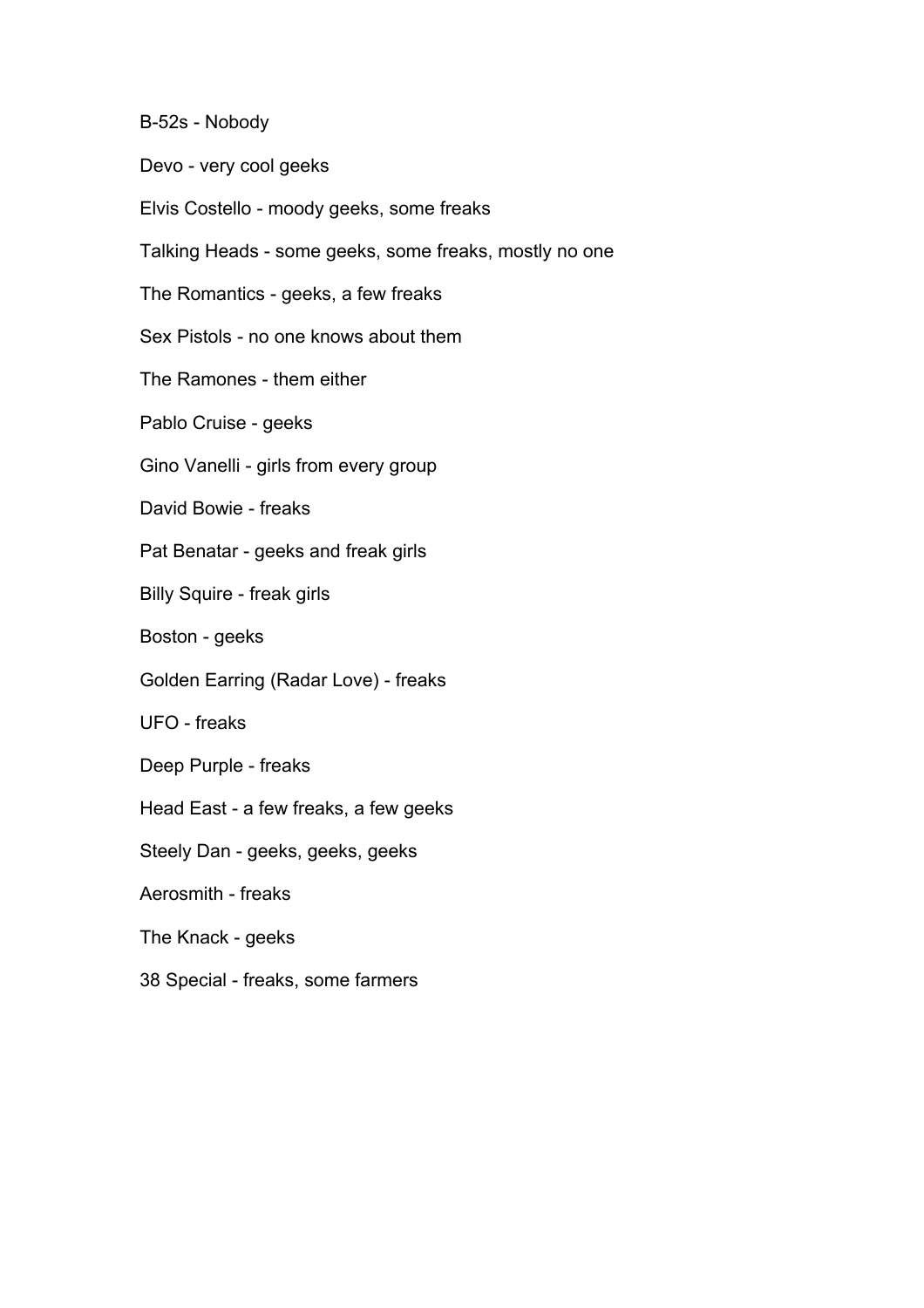B-52s - Nobody

Devo - very cool geeks

Elvis Costello - moody geeks, some freaks

Talking Heads - some geeks, some freaks, mostly no one

The Romantics - geeks, a few freaks

Sex Pistols - no one knows about them

The Ramones - them either

Pablo Cruise - geeks

Gino Vanelli - girls from every group

David Bowie - freaks

Pat Benatar - geeks and freak girls

Billy Squire - freak girls

Boston - geeks

Golden Earring (Radar Love) - freaks

UFO - freaks

Deep Purple - freaks

Head East - a few freaks, a few geeks

Steely Dan - geeks, geeks, geeks

Aerosmith - freaks

The Knack - geeks

38 Special - freaks, some farmers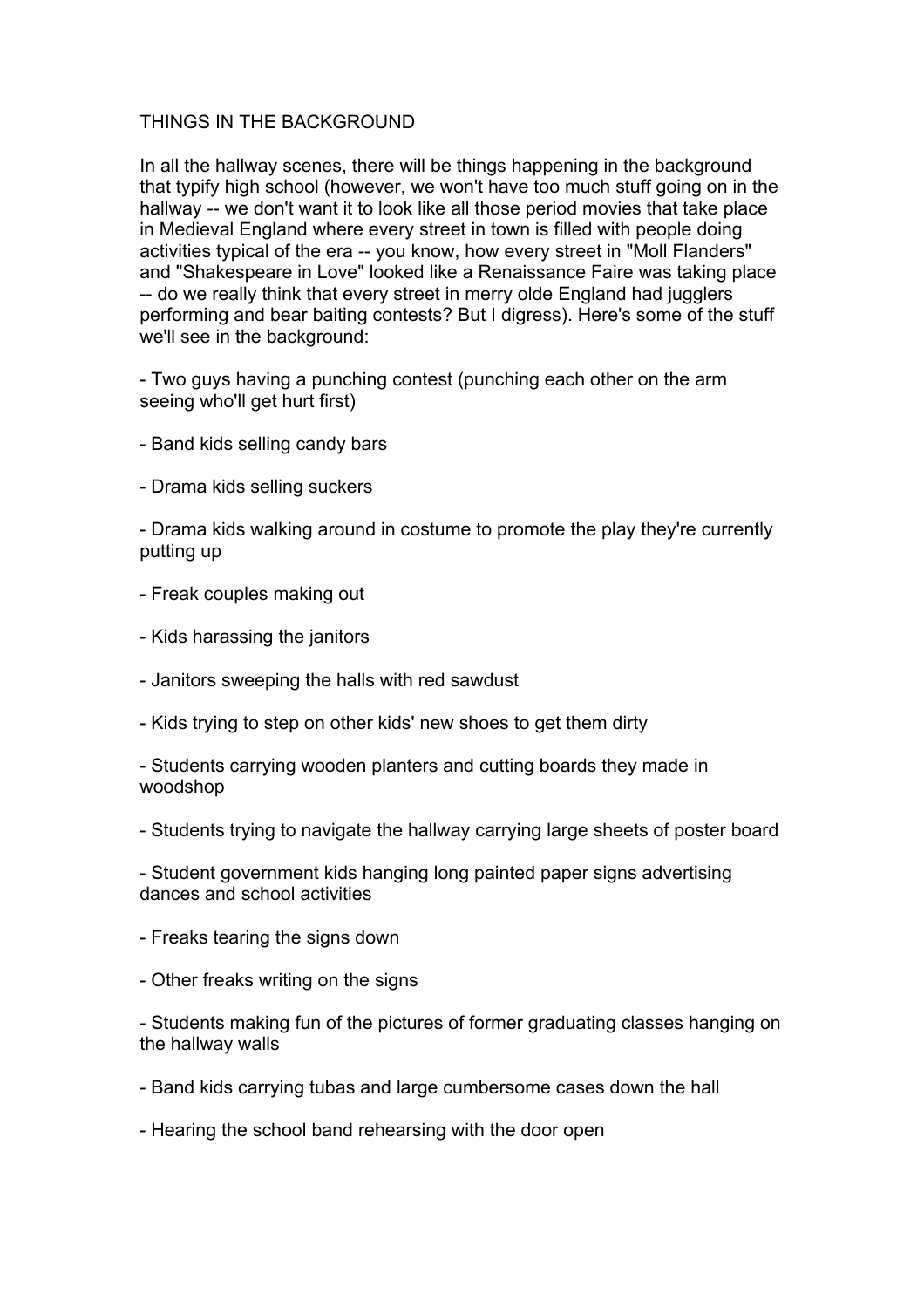# THINGS IN THE BACKGROUND

In all the hallway scenes, there will be things happening in the background that typify high school (however, we won't have too much stuff going on in the hallway -- we don't want it to look like all those period movies that take place in Medieval England where every street in town is filled with people doing activities typical of the era -- you know, how every street in "Moll Flanders" and "Shakespeare in Love" looked like a Renaissance Faire was taking place -- do we really think that every street in merry olde England had jugglers performing and bear baiting contests? But I digress). Here's some of the stuff we'll see in the background:

- Two guys having a punching contest (punching each other on the arm seeing who'll get hurt first)

- Band kids selling candy bars
- Drama kids selling suckers

- Drama kids walking around in costume to promote the play they're currently putting up

- Freak couples making out
- Kids harassing the janitors
- Janitors sweeping the halls with red sawdust
- Kids trying to step on other kids' new shoes to get them dirty

- Students carrying wooden planters and cutting boards they made in woodshop

- Students trying to navigate the hallway carrying large sheets of poster board

- Student government kids hanging long painted paper signs advertising dances and school activities

- Freaks tearing the signs down
- Other freaks writing on the signs

- Students making fun of the pictures of former graduating classes hanging on the hallway walls

- Band kids carrying tubas and large cumbersome cases down the hall

- Hearing the school band rehearsing with the door open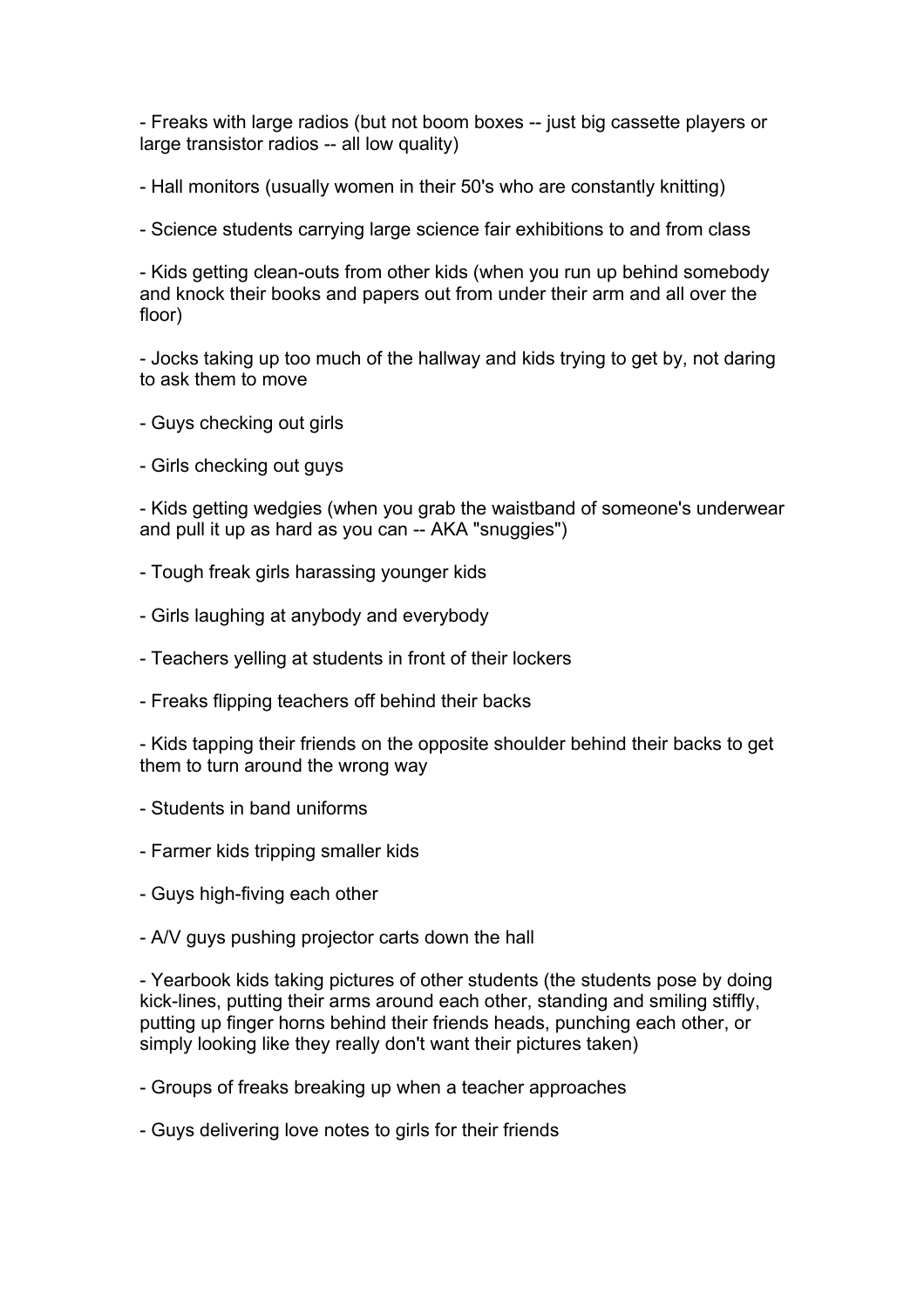- Freaks with large radios (but not boom boxes -- just big cassette players or large transistor radios -- all low quality)

- Hall monitors (usually women in their 50's who are constantly knitting)

- Science students carrying large science fair exhibitions to and from class

- Kids getting clean-outs from other kids (when you run up behind somebody and knock their books and papers out from under their arm and all over the floor)

- Jocks taking up too much of the hallway and kids trying to get by, not daring to ask them to move

- Guys checking out girls
- Girls checking out guys

- Kids getting wedgies (when you grab the waistband of someone's underwear and pull it up as hard as you can -- AKA "snuggies")

- Tough freak girls harassing younger kids
- Girls laughing at anybody and everybody
- Teachers yelling at students in front of their lockers
- Freaks flipping teachers off behind their backs

- Kids tapping their friends on the opposite shoulder behind their backs to get them to turn around the wrong way

- Students in band uniforms
- Farmer kids tripping smaller kids
- Guys high-fiving each other
- A/V guys pushing projector carts down the hall

- Yearbook kids taking pictures of other students (the students pose by doing kick-lines, putting their arms around each other, standing and smiling stiffly, putting up finger horns behind their friends heads, punching each other, or simply looking like they really don't want their pictures taken)

- Groups of freaks breaking up when a teacher approaches
- Guys delivering love notes to girls for their friends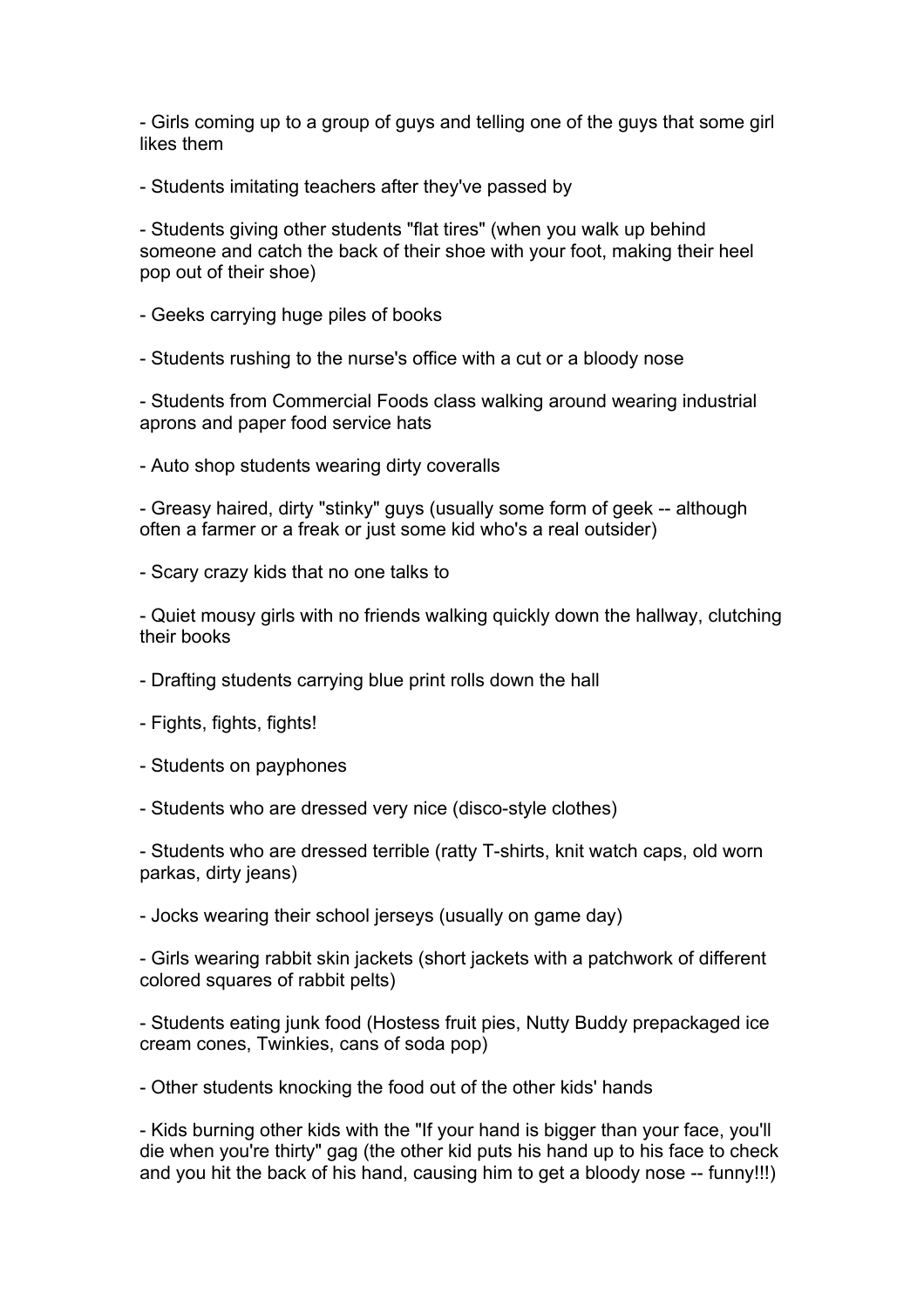- Girls coming up to a group of guys and telling one of the guys that some girl likes them

- Students imitating teachers after they've passed by

- Students giving other students "flat tires" (when you walk up behind someone and catch the back of their shoe with your foot, making their heel pop out of their shoe)

- Geeks carrying huge piles of books

- Students rushing to the nurse's office with a cut or a bloody nose

- Students from Commercial Foods class walking around wearing industrial aprons and paper food service hats

- Auto shop students wearing dirty coveralls

- Greasy haired, dirty "stinky" guys (usually some form of geek -- although often a farmer or a freak or just some kid who's a real outsider)

- Scary crazy kids that no one talks to

- Quiet mousy girls with no friends walking quickly down the hallway, clutching their books

- Drafting students carrying blue print rolls down the hall
- Fights, fights, fights!
- Students on payphones
- Students who are dressed very nice (disco-style clothes)

- Students who are dressed terrible (ratty T-shirts, knit watch caps, old worn parkas, dirty jeans)

- Jocks wearing their school jerseys (usually on game day)

- Girls wearing rabbit skin jackets (short jackets with a patchwork of different colored squares of rabbit pelts)

- Students eating junk food (Hostess fruit pies, Nutty Buddy prepackaged ice cream cones, Twinkies, cans of soda pop)

- Other students knocking the food out of the other kids' hands

- Kids burning other kids with the "If your hand is bigger than your face, you'll die when you're thirty" gag (the other kid puts his hand up to his face to check and you hit the back of his hand, causing him to get a bloody nose -- funny!!!)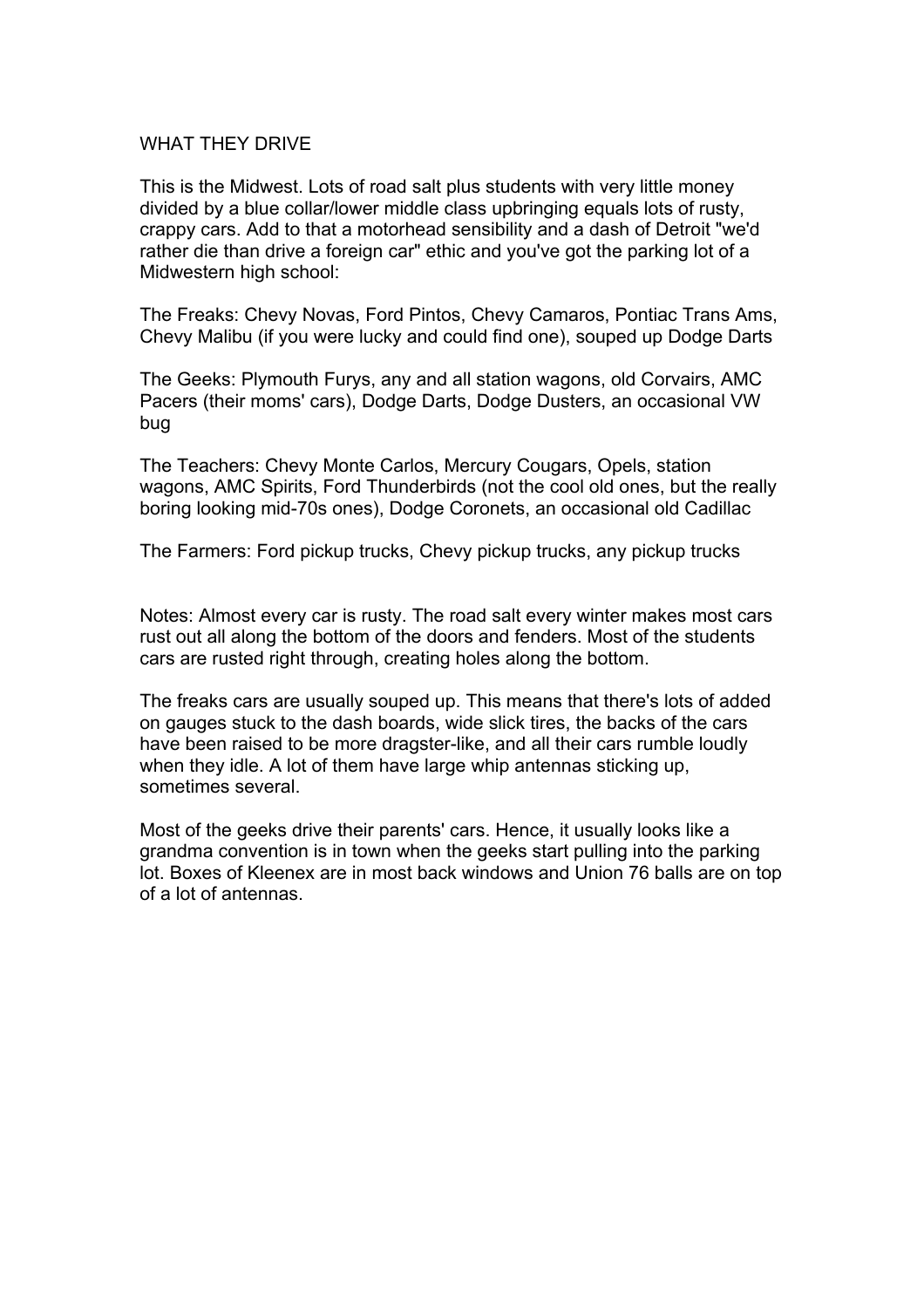# WHAT THEY DRIVE

This is the Midwest. Lots of road salt plus students with very little money divided by a blue collar/lower middle class upbringing equals lots of rusty, crappy cars. Add to that a motorhead sensibility and a dash of Detroit "we'd rather die than drive a foreign car" ethic and you've got the parking lot of a Midwestern high school:

The Freaks: Chevy Novas, Ford Pintos, Chevy Camaros, Pontiac Trans Ams, Chevy Malibu (if you were lucky and could find one), souped up Dodge Darts

The Geeks: Plymouth Furys, any and all station wagons, old Corvairs, AMC Pacers (their moms' cars), Dodge Darts, Dodge Dusters, an occasional VW bug

The Teachers: Chevy Monte Carlos, Mercury Cougars, Opels, station wagons, AMC Spirits, Ford Thunderbirds (not the cool old ones, but the really boring looking mid-70s ones), Dodge Coronets, an occasional old Cadillac

The Farmers: Ford pickup trucks, Chevy pickup trucks, any pickup trucks

Notes: Almost every car is rusty. The road salt every winter makes most cars rust out all along the bottom of the doors and fenders. Most of the students cars are rusted right through, creating holes along the bottom.

The freaks cars are usually souped up. This means that there's lots of added on gauges stuck to the dash boards, wide slick tires, the backs of the cars have been raised to be more dragster-like, and all their cars rumble loudly when they idle. A lot of them have large whip antennas sticking up, sometimes several.

Most of the geeks drive their parents' cars. Hence, it usually looks like a grandma convention is in town when the geeks start pulling into the parking lot. Boxes of Kleenex are in most back windows and Union 76 balls are on top of a lot of antennas.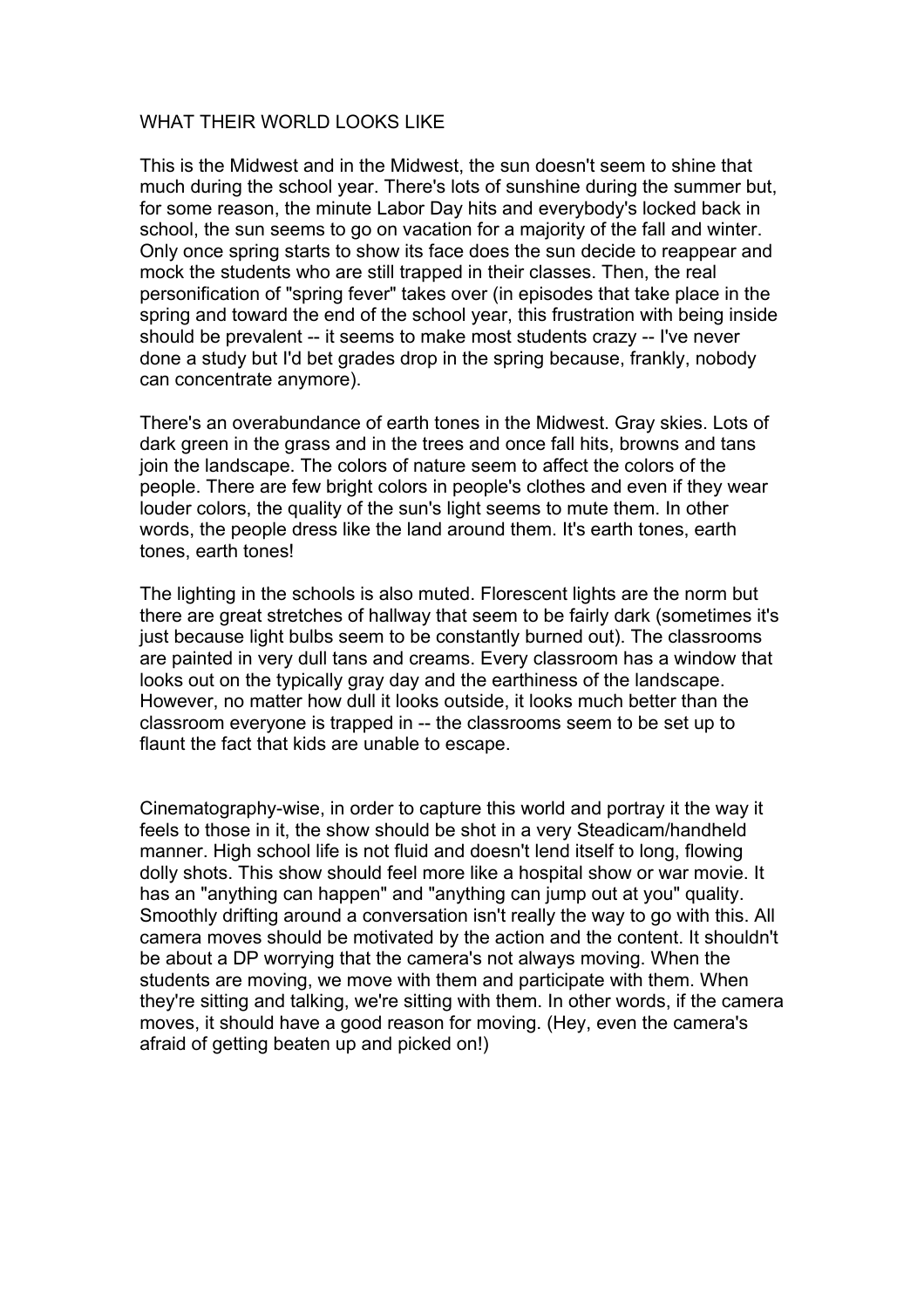# WHAT THEIR WORLD LOOKS LIKE

This is the Midwest and in the Midwest, the sun doesn't seem to shine that much during the school year. There's lots of sunshine during the summer but, for some reason, the minute Labor Day hits and everybody's locked back in school, the sun seems to go on vacation for a majority of the fall and winter. Only once spring starts to show its face does the sun decide to reappear and mock the students who are still trapped in their classes. Then, the real personification of "spring fever" takes over (in episodes that take place in the spring and toward the end of the school year, this frustration with being inside should be prevalent -- it seems to make most students crazy -- I've never done a study but I'd bet grades drop in the spring because, frankly, nobody can concentrate anymore).

There's an overabundance of earth tones in the Midwest. Gray skies. Lots of dark green in the grass and in the trees and once fall hits, browns and tans join the landscape. The colors of nature seem to affect the colors of the people. There are few bright colors in people's clothes and even if they wear louder colors, the quality of the sun's light seems to mute them. In other words, the people dress like the land around them. It's earth tones, earth tones, earth tones!

The lighting in the schools is also muted. Florescent lights are the norm but there are great stretches of hallway that seem to be fairly dark (sometimes it's just because light bulbs seem to be constantly burned out). The classrooms are painted in very dull tans and creams. Every classroom has a window that looks out on the typically gray day and the earthiness of the landscape. However, no matter how dull it looks outside, it looks much better than the classroom everyone is trapped in -- the classrooms seem to be set up to flaunt the fact that kids are unable to escape.

Cinematography-wise, in order to capture this world and portray it the way it feels to those in it, the show should be shot in a very Steadicam/handheld manner. High school life is not fluid and doesn't lend itself to long, flowing dolly shots. This show should feel more like a hospital show or war movie. It has an "anything can happen" and "anything can jump out at you" quality. Smoothly drifting around a conversation isn't really the way to go with this. All camera moves should be motivated by the action and the content. It shouldn't be about a DP worrying that the camera's not always moving. When the students are moving, we move with them and participate with them. When they're sitting and talking, we're sitting with them. In other words, if the camera moves, it should have a good reason for moving. (Hey, even the camera's afraid of getting beaten up and picked on!)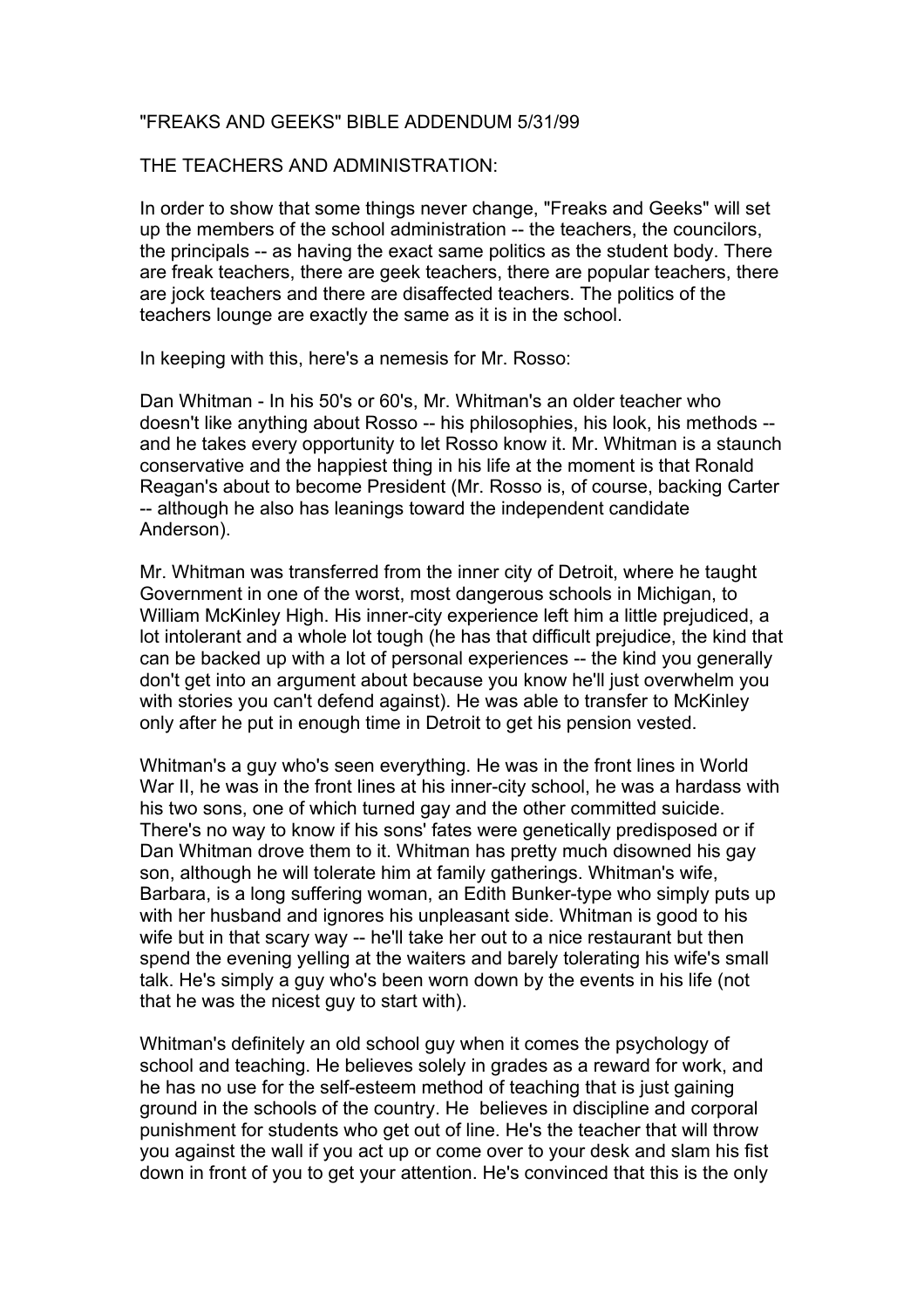## "FREAKS AND GEEKS" BIBLE ADDENDUM 5/31/99

# THE TEACHERS AND ADMINISTRATION:

In order to show that some things never change, "Freaks and Geeks" will set up the members of the school administration -- the teachers, the councilors, the principals -- as having the exact same politics as the student body. There are freak teachers, there are geek teachers, there are popular teachers, there are jock teachers and there are disaffected teachers. The politics of the teachers lounge are exactly the same as it is in the school.

In keeping with this, here's a nemesis for Mr. Rosso:

Dan Whitman - In his 50's or 60's, Mr. Whitman's an older teacher who doesn't like anything about Rosso -- his philosophies, his look, his methods - and he takes every opportunity to let Rosso know it. Mr. Whitman is a staunch conservative and the happiest thing in his life at the moment is that Ronald Reagan's about to become President (Mr. Rosso is, of course, backing Carter -- although he also has leanings toward the independent candidate Anderson).

Mr. Whitman was transferred from the inner city of Detroit, where he taught Government in one of the worst, most dangerous schools in Michigan, to William McKinley High. His inner-city experience left him a little prejudiced, a lot intolerant and a whole lot tough (he has that difficult prejudice, the kind that can be backed up with a lot of personal experiences -- the kind you generally don't get into an argument about because you know he'll just overwhelm you with stories you can't defend against). He was able to transfer to McKinley only after he put in enough time in Detroit to get his pension vested.

Whitman's a guy who's seen everything. He was in the front lines in World War II, he was in the front lines at his inner-city school, he was a hardass with his two sons, one of which turned gay and the other committed suicide. There's no way to know if his sons' fates were genetically predisposed or if Dan Whitman drove them to it. Whitman has pretty much disowned his gay son, although he will tolerate him at family gatherings. Whitman's wife, Barbara, is a long suffering woman, an Edith Bunker-type who simply puts up with her husband and ignores his unpleasant side. Whitman is good to his wife but in that scary way -- he'll take her out to a nice restaurant but then spend the evening yelling at the waiters and barely tolerating his wife's small talk. He's simply a guy who's been worn down by the events in his life (not that he was the nicest guy to start with).

Whitman's definitely an old school guy when it comes the psychology of school and teaching. He believes solely in grades as a reward for work, and he has no use for the self-esteem method of teaching that is just gaining ground in the schools of the country. He believes in discipline and corporal punishment for students who get out of line. He's the teacher that will throw you against the wall if you act up or come over to your desk and slam his fist down in front of you to get your attention. He's convinced that this is the only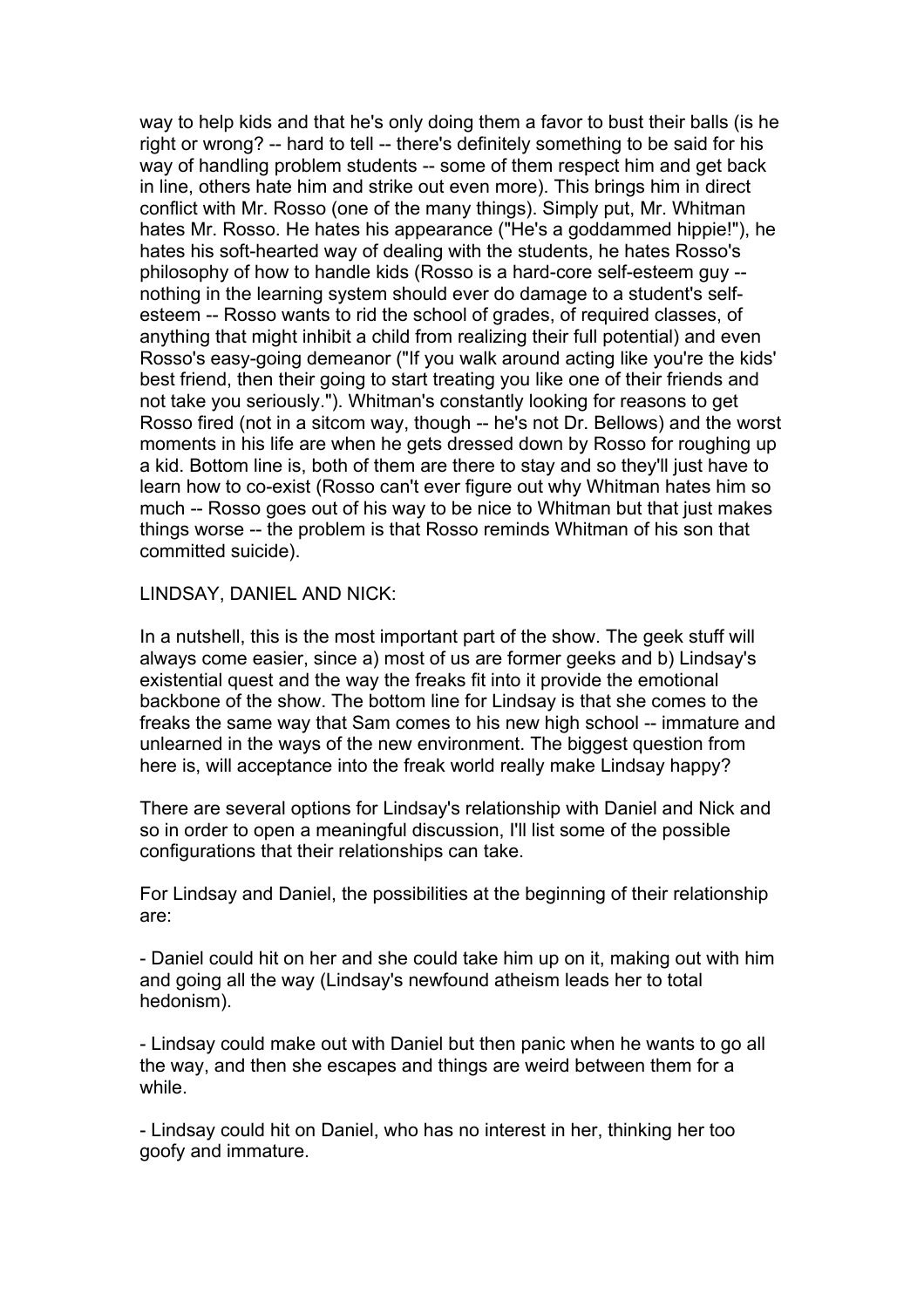way to help kids and that he's only doing them a favor to bust their balls (is he right or wrong? -- hard to tell -- there's definitely something to be said for his way of handling problem students -- some of them respect him and get back in line, others hate him and strike out even more). This brings him in direct conflict with Mr. Rosso (one of the many things). Simply put, Mr. Whitman hates Mr. Rosso. He hates his appearance ("He's a goddammed hippie!"), he hates his soft-hearted way of dealing with the students, he hates Rosso's philosophy of how to handle kids (Rosso is a hard-core self-esteem guy - nothing in the learning system should ever do damage to a student's selfesteem -- Rosso wants to rid the school of grades, of required classes, of anything that might inhibit a child from realizing their full potential) and even Rosso's easy-going demeanor ("If you walk around acting like you're the kids' best friend, then their going to start treating you like one of their friends and not take you seriously."). Whitman's constantly looking for reasons to get Rosso fired (not in a sitcom way, though -- he's not Dr. Bellows) and the worst moments in his life are when he gets dressed down by Rosso for roughing up a kid. Bottom line is, both of them are there to stay and so they'll just have to learn how to co-exist (Rosso can't ever figure out why Whitman hates him so much -- Rosso goes out of his way to be nice to Whitman but that just makes things worse -- the problem is that Rosso reminds Whitman of his son that committed suicide).

LINDSAY, DANIEL AND NICK:

In a nutshell, this is the most important part of the show. The geek stuff will always come easier, since a) most of us are former geeks and b) Lindsay's existential quest and the way the freaks fit into it provide the emotional backbone of the show. The bottom line for Lindsay is that she comes to the freaks the same way that Sam comes to his new high school -- immature and unlearned in the ways of the new environment. The biggest question from here is, will acceptance into the freak world really make Lindsay happy?

There are several options for Lindsay's relationship with Daniel and Nick and so in order to open a meaningful discussion, I'll list some of the possible configurations that their relationships can take.

For Lindsay and Daniel, the possibilities at the beginning of their relationship are:

- Daniel could hit on her and she could take him up on it, making out with him and going all the way (Lindsay's newfound atheism leads her to total hedonism).

- Lindsay could make out with Daniel but then panic when he wants to go all the way, and then she escapes and things are weird between them for a while.

- Lindsay could hit on Daniel, who has no interest in her, thinking her too goofy and immature.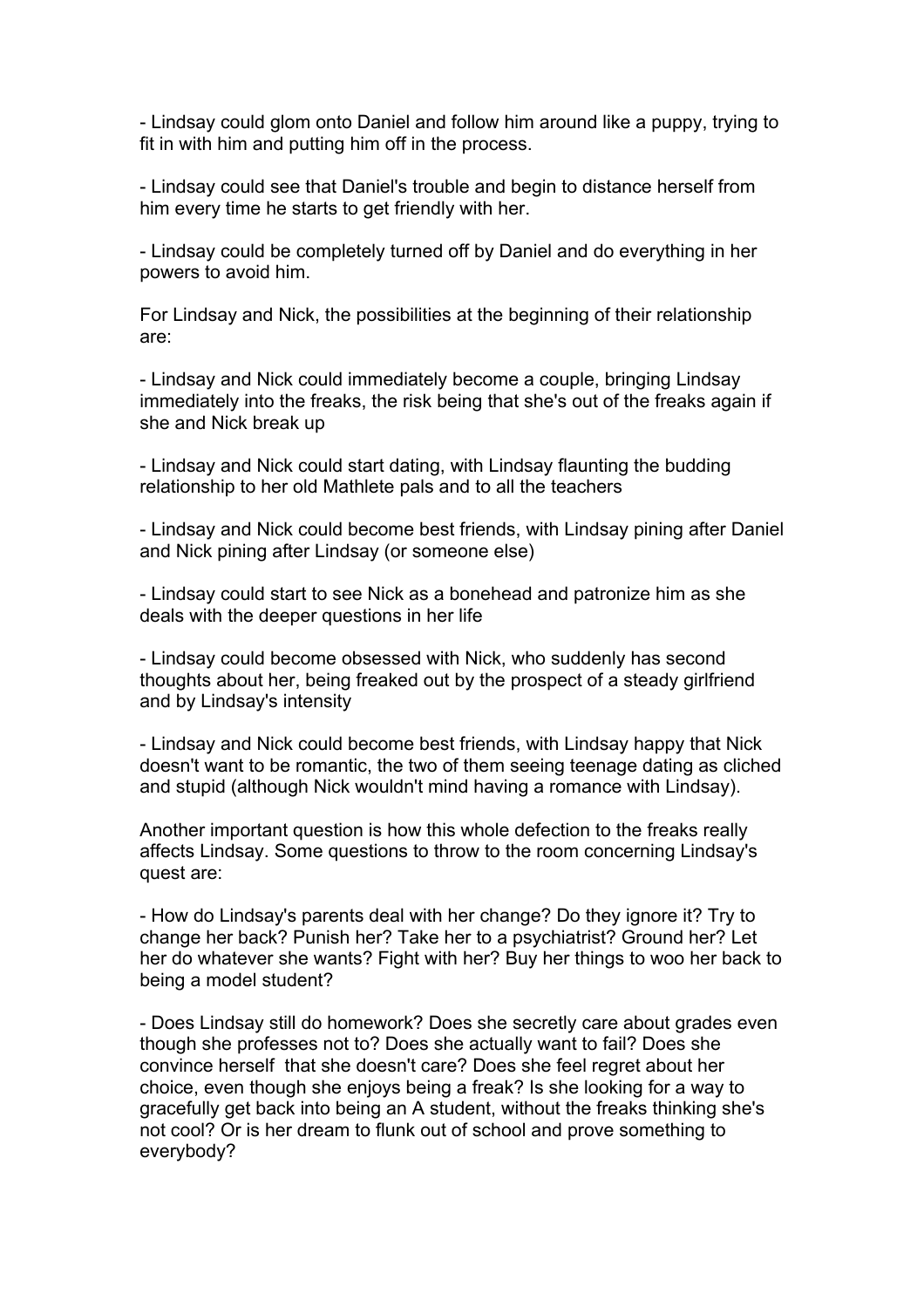- Lindsay could glom onto Daniel and follow him around like a puppy, trying to fit in with him and putting him off in the process.

- Lindsay could see that Daniel's trouble and begin to distance herself from him every time he starts to get friendly with her.

- Lindsay could be completely turned off by Daniel and do everything in her powers to avoid him.

For Lindsay and Nick, the possibilities at the beginning of their relationship are:

- Lindsay and Nick could immediately become a couple, bringing Lindsay immediately into the freaks, the risk being that she's out of the freaks again if she and Nick break up

- Lindsay and Nick could start dating, with Lindsay flaunting the budding relationship to her old Mathlete pals and to all the teachers

- Lindsay and Nick could become best friends, with Lindsay pining after Daniel and Nick pining after Lindsay (or someone else)

- Lindsay could start to see Nick as a bonehead and patronize him as she deals with the deeper questions in her life

- Lindsay could become obsessed with Nick, who suddenly has second thoughts about her, being freaked out by the prospect of a steady girlfriend and by Lindsay's intensity

- Lindsay and Nick could become best friends, with Lindsay happy that Nick doesn't want to be romantic, the two of them seeing teenage dating as cliched and stupid (although Nick wouldn't mind having a romance with Lindsay).

Another important question is how this whole defection to the freaks really affects Lindsay. Some questions to throw to the room concerning Lindsay's quest are:

- How do Lindsay's parents deal with her change? Do they ignore it? Try to change her back? Punish her? Take her to a psychiatrist? Ground her? Let her do whatever she wants? Fight with her? Buy her things to woo her back to being a model student?

- Does Lindsay still do homework? Does she secretly care about grades even though she professes not to? Does she actually want to fail? Does she convince herself that she doesn't care? Does she feel regret about her choice, even though she enjoys being a freak? Is she looking for a way to gracefully get back into being an A student, without the freaks thinking she's not cool? Or is her dream to flunk out of school and prove something to everybody?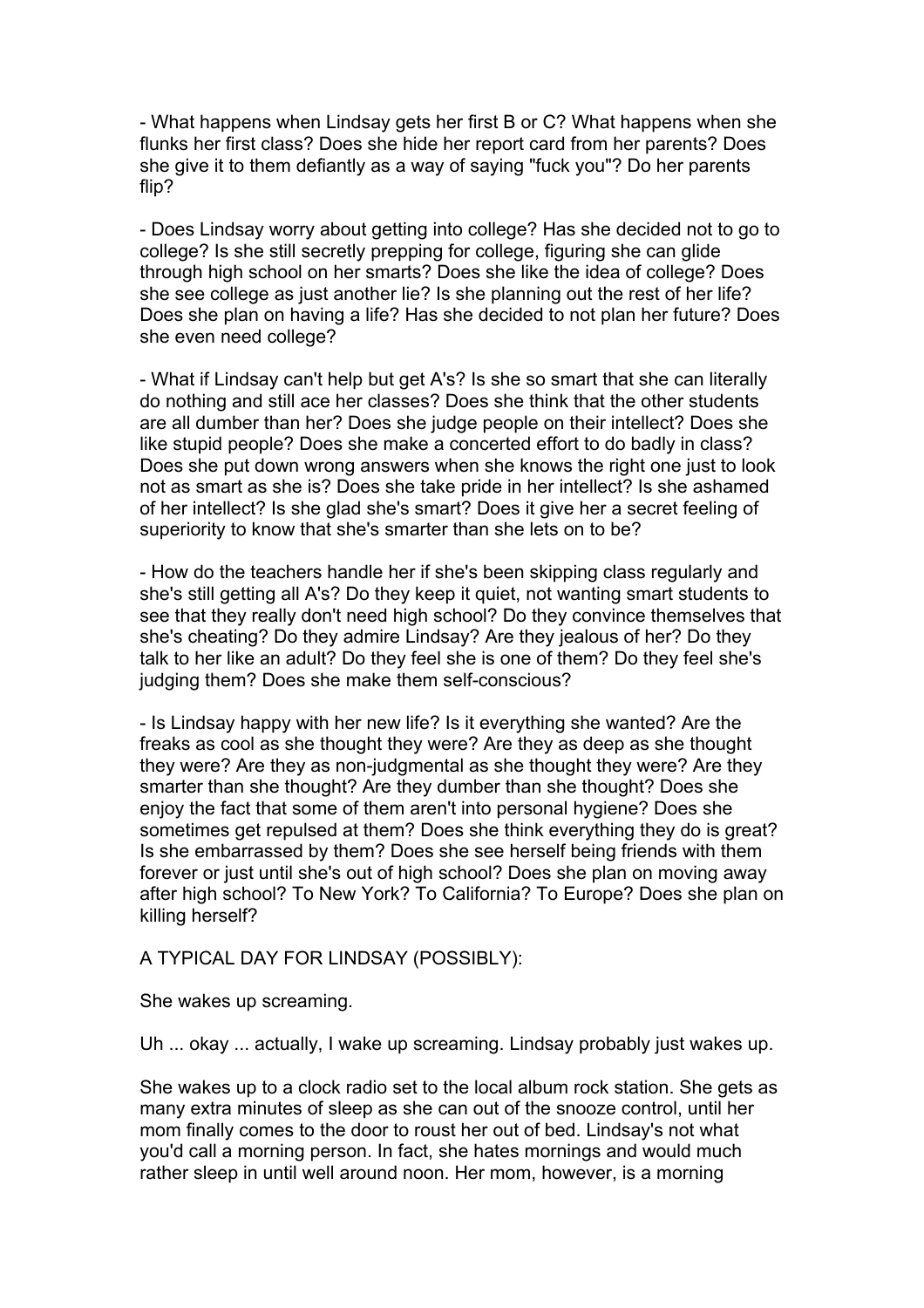- What happens when Lindsay gets her first B or C? What happens when she flunks her first class? Does she hide her report card from her parents? Does she give it to them defiantly as a way of saying "fuck you"? Do her parents flip?

- Does Lindsay worry about getting into college? Has she decided not to go to college? Is she still secretly prepping for college, figuring she can glide through high school on her smarts? Does she like the idea of college? Does she see college as just another lie? Is she planning out the rest of her life? Does she plan on having a life? Has she decided to not plan her future? Does she even need college?

- What if Lindsay can't help but get A's? Is she so smart that she can literally do nothing and still ace her classes? Does she think that the other students are all dumber than her? Does she judge people on their intellect? Does she like stupid people? Does she make a concerted effort to do badly in class? Does she put down wrong answers when she knows the right one just to look not as smart as she is? Does she take pride in her intellect? Is she ashamed of her intellect? Is she glad she's smart? Does it give her a secret feeling of superiority to know that she's smarter than she lets on to be?

- How do the teachers handle her if she's been skipping class regularly and she's still getting all A's? Do they keep it quiet, not wanting smart students to see that they really don't need high school? Do they convince themselves that she's cheating? Do they admire Lindsay? Are they jealous of her? Do they talk to her like an adult? Do they feel she is one of them? Do they feel she's judging them? Does she make them self-conscious?

- Is Lindsay happy with her new life? Is it everything she wanted? Are the freaks as cool as she thought they were? Are they as deep as she thought they were? Are they as non-judgmental as she thought they were? Are they smarter than she thought? Are they dumber than she thought? Does she enjoy the fact that some of them aren't into personal hygiene? Does she sometimes get repulsed at them? Does she think everything they do is great? Is she embarrassed by them? Does she see herself being friends with them forever or just until she's out of high school? Does she plan on moving away after high school? To New York? To California? To Europe? Does she plan on killing herself?

A TYPICAL DAY FOR LINDSAY (POSSIBLY):

She wakes up screaming.

Uh ... okay ... actually, I wake up screaming. Lindsay probably just wakes up.

She wakes up to a clock radio set to the local album rock station. She gets as many extra minutes of sleep as she can out of the snooze control, until her mom finally comes to the door to roust her out of bed. Lindsay's not what you'd call a morning person. In fact, she hates mornings and would much rather sleep in until well around noon. Her mom, however, is a morning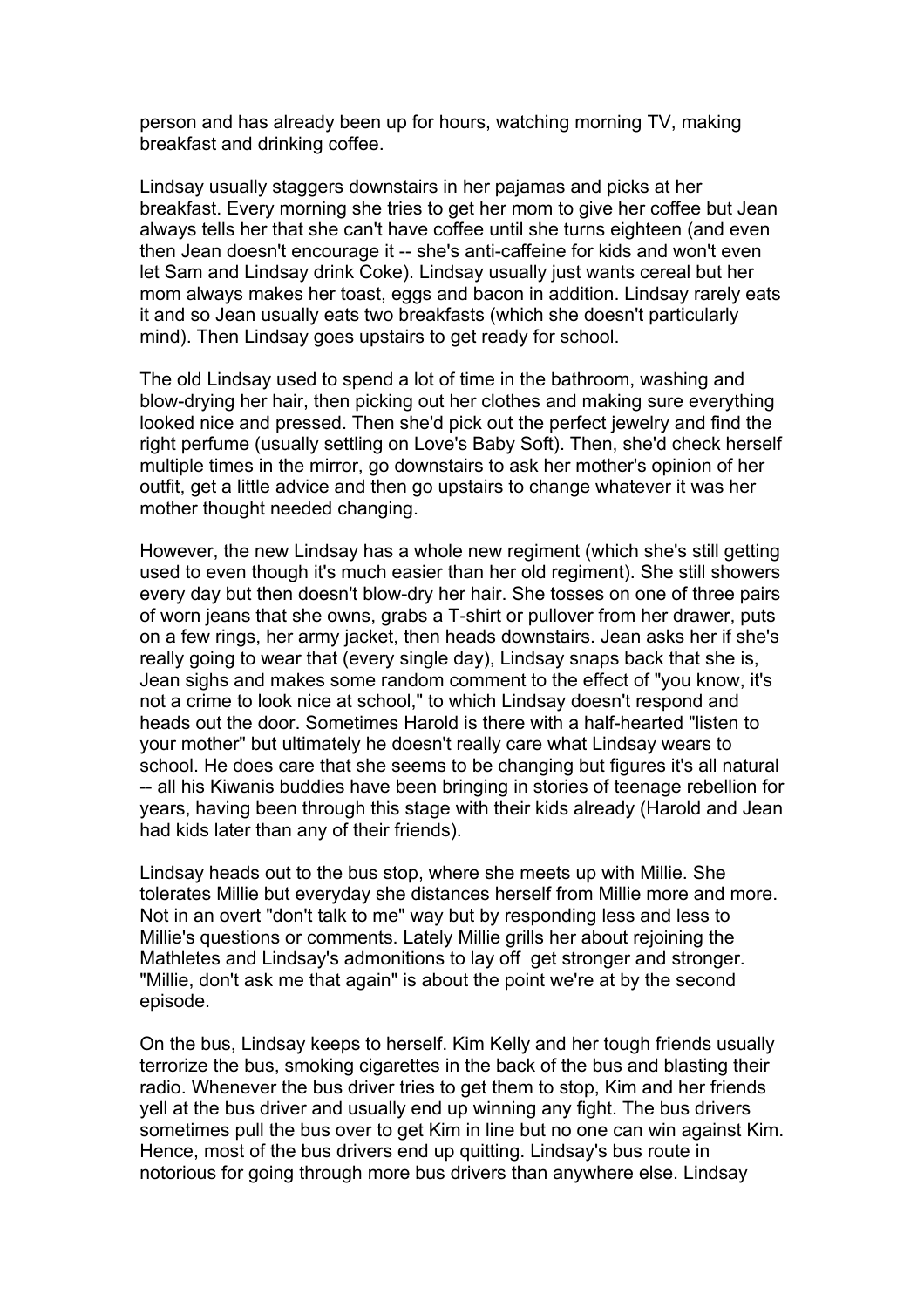person and has already been up for hours, watching morning TV, making breakfast and drinking coffee.

Lindsay usually staggers downstairs in her pajamas and picks at her breakfast. Every morning she tries to get her mom to give her coffee but Jean always tells her that she can't have coffee until she turns eighteen (and even then Jean doesn't encourage it -- she's anti-caffeine for kids and won't even let Sam and Lindsay drink Coke). Lindsay usually just wants cereal but her mom always makes her toast, eggs and bacon in addition. Lindsay rarely eats it and so Jean usually eats two breakfasts (which she doesn't particularly mind). Then Lindsay goes upstairs to get ready for school.

The old Lindsay used to spend a lot of time in the bathroom, washing and blow-drying her hair, then picking out her clothes and making sure everything looked nice and pressed. Then she'd pick out the perfect jewelry and find the right perfume (usually settling on Love's Baby Soft). Then, she'd check herself multiple times in the mirror, go downstairs to ask her mother's opinion of her outfit, get a little advice and then go upstairs to change whatever it was her mother thought needed changing.

However, the new Lindsay has a whole new regiment (which she's still getting used to even though it's much easier than her old regiment). She still showers every day but then doesn't blow-dry her hair. She tosses on one of three pairs of worn jeans that she owns, grabs a T-shirt or pullover from her drawer, puts on a few rings, her army jacket, then heads downstairs. Jean asks her if she's really going to wear that (every single day), Lindsay snaps back that she is, Jean sighs and makes some random comment to the effect of "you know, it's not a crime to look nice at school," to which Lindsay doesn't respond and heads out the door. Sometimes Harold is there with a half-hearted "listen to your mother" but ultimately he doesn't really care what Lindsay wears to school. He does care that she seems to be changing but figures it's all natural -- all his Kiwanis buddies have been bringing in stories of teenage rebellion for years, having been through this stage with their kids already (Harold and Jean had kids later than any of their friends).

Lindsay heads out to the bus stop, where she meets up with Millie. She tolerates Millie but everyday she distances herself from Millie more and more. Not in an overt "don't talk to me" way but by responding less and less to Millie's questions or comments. Lately Millie grills her about rejoining the Mathletes and Lindsay's admonitions to lay off get stronger and stronger. "Millie, don't ask me that again" is about the point we're at by the second episode.

On the bus, Lindsay keeps to herself. Kim Kelly and her tough friends usually terrorize the bus, smoking cigarettes in the back of the bus and blasting their radio. Whenever the bus driver tries to get them to stop, Kim and her friends yell at the bus driver and usually end up winning any fight. The bus drivers sometimes pull the bus over to get Kim in line but no one can win against Kim. Hence, most of the bus drivers end up quitting. Lindsay's bus route in notorious for going through more bus drivers than anywhere else. Lindsay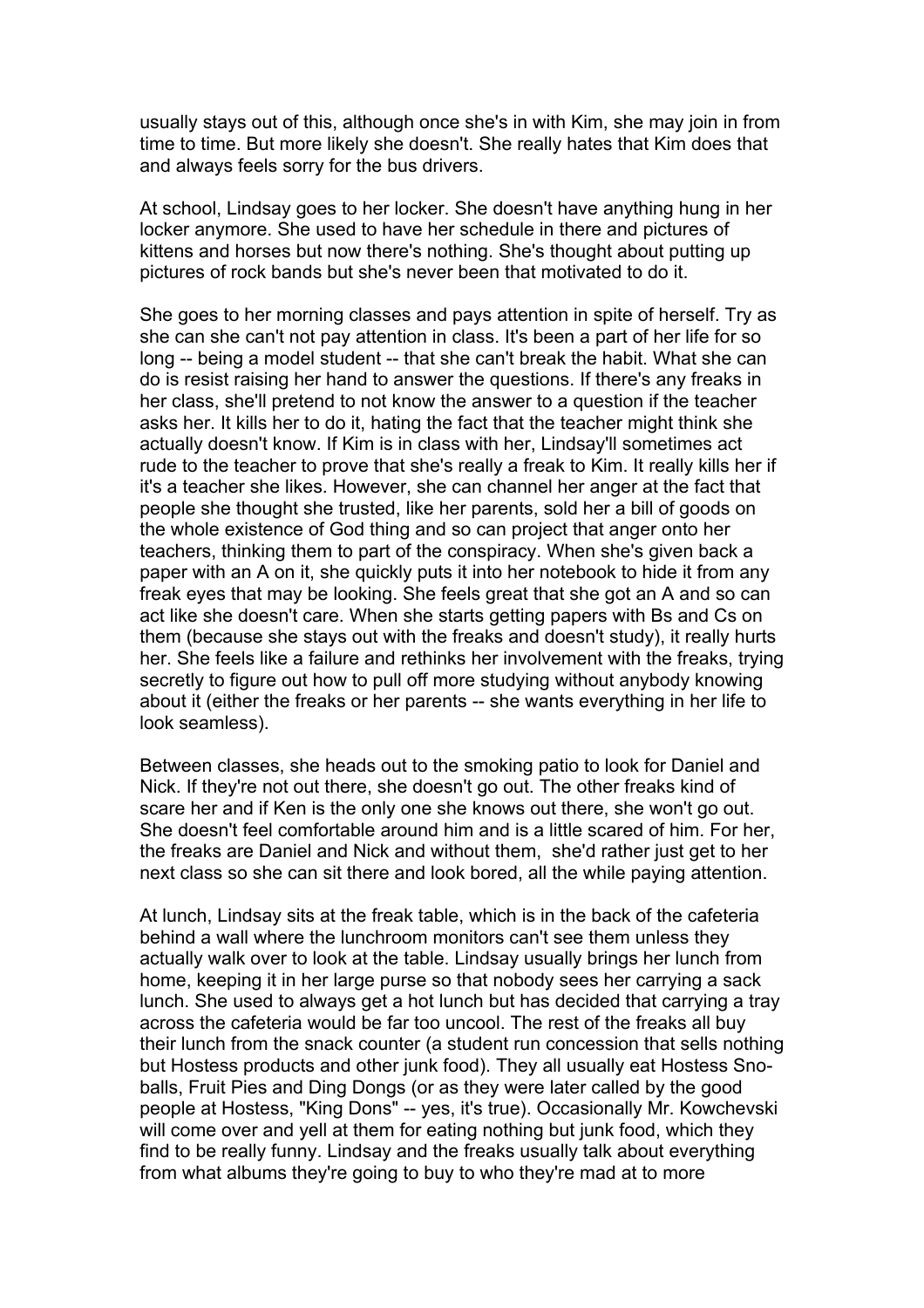usually stays out of this, although once she's in with Kim, she may join in from time to time. But more likely she doesn't. She really hates that Kim does that and always feels sorry for the bus drivers.

At school, Lindsay goes to her locker. She doesn't have anything hung in her locker anymore. She used to have her schedule in there and pictures of kittens and horses but now there's nothing. She's thought about putting up pictures of rock bands but she's never been that motivated to do it.

She goes to her morning classes and pays attention in spite of herself. Try as she can she can't not pay attention in class. It's been a part of her life for so long -- being a model student -- that she can't break the habit. What she can do is resist raising her hand to answer the questions. If there's any freaks in her class, she'll pretend to not know the answer to a question if the teacher asks her. It kills her to do it, hating the fact that the teacher might think she actually doesn't know. If Kim is in class with her, Lindsay'll sometimes act rude to the teacher to prove that she's really a freak to Kim. It really kills her if it's a teacher she likes. However, she can channel her anger at the fact that people she thought she trusted, like her parents, sold her a bill of goods on the whole existence of God thing and so can project that anger onto her teachers, thinking them to part of the conspiracy. When she's given back a paper with an A on it, she quickly puts it into her notebook to hide it from any freak eyes that may be looking. She feels great that she got an A and so can act like she doesn't care. When she starts getting papers with Bs and Cs on them (because she stays out with the freaks and doesn't study), it really hurts her. She feels like a failure and rethinks her involvement with the freaks, trying secretly to figure out how to pull off more studying without anybody knowing about it (either the freaks or her parents -- she wants everything in her life to look seamless).

Between classes, she heads out to the smoking patio to look for Daniel and Nick. If they're not out there, she doesn't go out. The other freaks kind of scare her and if Ken is the only one she knows out there, she won't go out. She doesn't feel comfortable around him and is a little scared of him. For her, the freaks are Daniel and Nick and without them, she'd rather just get to her next class so she can sit there and look bored, all the while paying attention.

At lunch, Lindsay sits at the freak table, which is in the back of the cafeteria behind a wall where the lunchroom monitors can't see them unless they actually walk over to look at the table. Lindsay usually brings her lunch from home, keeping it in her large purse so that nobody sees her carrying a sack lunch. She used to always get a hot lunch but has decided that carrying a tray across the cafeteria would be far too uncool. The rest of the freaks all buy their lunch from the snack counter (a student run concession that sells nothing but Hostess products and other junk food). They all usually eat Hostess Snoballs, Fruit Pies and Ding Dongs (or as they were later called by the good people at Hostess, "King Dons" -- yes, it's true). Occasionally Mr. Kowchevski will come over and yell at them for eating nothing but junk food, which they find to be really funny. Lindsay and the freaks usually talk about everything from what albums they're going to buy to who they're mad at to more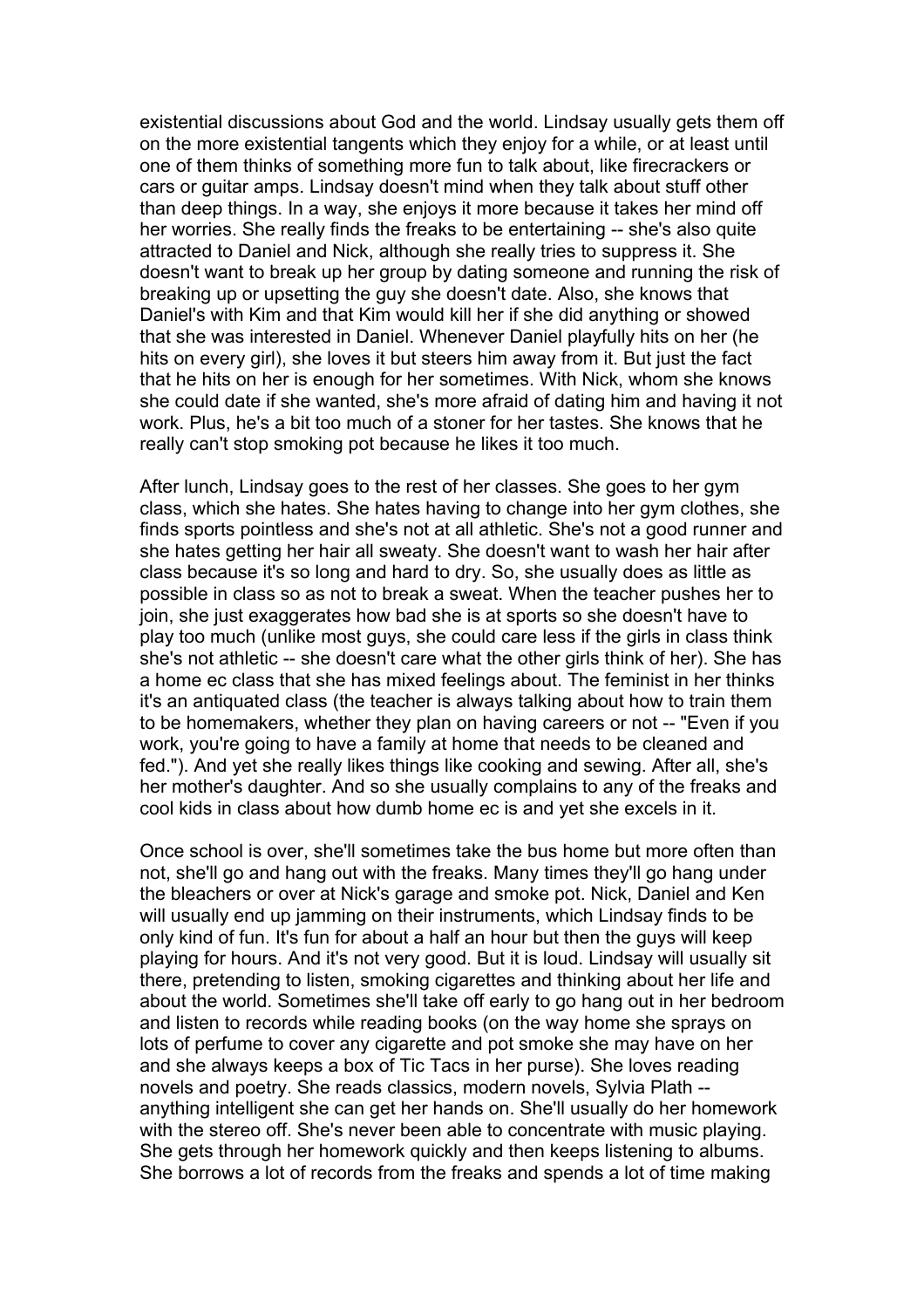existential discussions about God and the world. Lindsay usually gets them off on the more existential tangents which they enjoy for a while, or at least until one of them thinks of something more fun to talk about, like firecrackers or cars or guitar amps. Lindsay doesn't mind when they talk about stuff other than deep things. In a way, she enjoys it more because it takes her mind off her worries. She really finds the freaks to be entertaining -- she's also quite attracted to Daniel and Nick, although she really tries to suppress it. She doesn't want to break up her group by dating someone and running the risk of breaking up or upsetting the guy she doesn't date. Also, she knows that Daniel's with Kim and that Kim would kill her if she did anything or showed that she was interested in Daniel. Whenever Daniel playfully hits on her (he hits on every girl), she loves it but steers him away from it. But just the fact that he hits on her is enough for her sometimes. With Nick, whom she knows she could date if she wanted, she's more afraid of dating him and having it not work. Plus, he's a bit too much of a stoner for her tastes. She knows that he really can't stop smoking pot because he likes it too much.

After lunch, Lindsay goes to the rest of her classes. She goes to her gym class, which she hates. She hates having to change into her gym clothes, she finds sports pointless and she's not at all athletic. She's not a good runner and she hates getting her hair all sweaty. She doesn't want to wash her hair after class because it's so long and hard to dry. So, she usually does as little as possible in class so as not to break a sweat. When the teacher pushes her to join, she just exaggerates how bad she is at sports so she doesn't have to play too much (unlike most guys, she could care less if the girls in class think she's not athletic -- she doesn't care what the other girls think of her). She has a home ec class that she has mixed feelings about. The feminist in her thinks it's an antiquated class (the teacher is always talking about how to train them to be homemakers, whether they plan on having careers or not -- "Even if you work, you're going to have a family at home that needs to be cleaned and fed."). And yet she really likes things like cooking and sewing. After all, she's her mother's daughter. And so she usually complains to any of the freaks and cool kids in class about how dumb home ec is and yet she excels in it.

Once school is over, she'll sometimes take the bus home but more often than not, she'll go and hang out with the freaks. Many times they'll go hang under the bleachers or over at Nick's garage and smoke pot. Nick, Daniel and Ken will usually end up jamming on their instruments, which Lindsay finds to be only kind of fun. It's fun for about a half an hour but then the guys will keep playing for hours. And it's not very good. But it is loud. Lindsay will usually sit there, pretending to listen, smoking cigarettes and thinking about her life and about the world. Sometimes she'll take off early to go hang out in her bedroom and listen to records while reading books (on the way home she sprays on lots of perfume to cover any cigarette and pot smoke she may have on her and she always keeps a box of Tic Tacs in her purse). She loves reading novels and poetry. She reads classics, modern novels, Sylvia Plath - anything intelligent she can get her hands on. She'll usually do her homework with the stereo off. She's never been able to concentrate with music playing. She gets through her homework quickly and then keeps listening to albums. She borrows a lot of records from the freaks and spends a lot of time making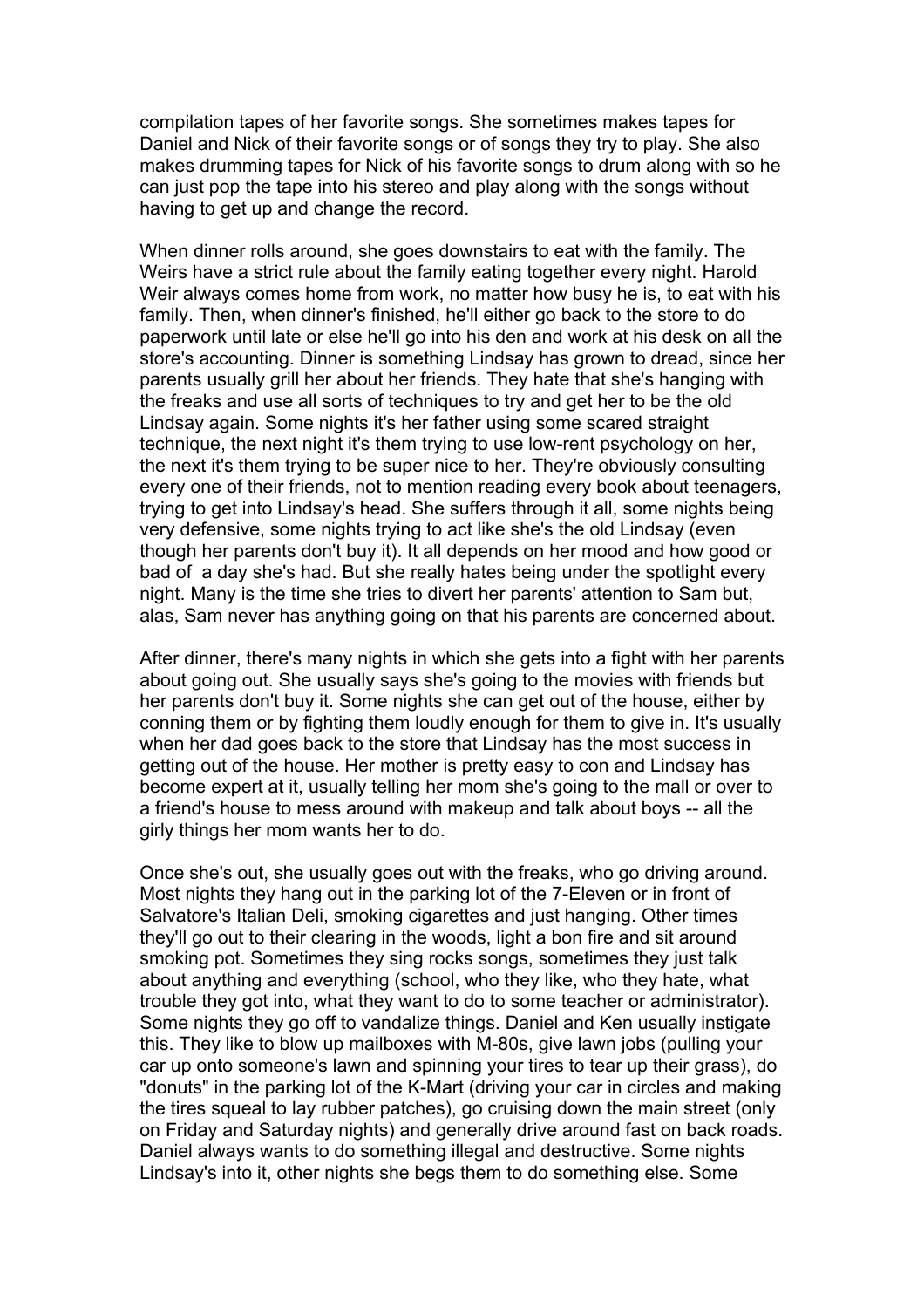compilation tapes of her favorite songs. She sometimes makes tapes for Daniel and Nick of their favorite songs or of songs they try to play. She also makes drumming tapes for Nick of his favorite songs to drum along with so he can just pop the tape into his stereo and play along with the songs without having to get up and change the record.

When dinner rolls around, she goes downstairs to eat with the family. The Weirs have a strict rule about the family eating together every night. Harold Weir always comes home from work, no matter how busy he is, to eat with his family. Then, when dinner's finished, he'll either go back to the store to do paperwork until late or else he'll go into his den and work at his desk on all the store's accounting. Dinner is something Lindsay has grown to dread, since her parents usually grill her about her friends. They hate that she's hanging with the freaks and use all sorts of techniques to try and get her to be the old Lindsay again. Some nights it's her father using some scared straight technique, the next night it's them trying to use low-rent psychology on her, the next it's them trying to be super nice to her. They're obviously consulting every one of their friends, not to mention reading every book about teenagers, trying to get into Lindsay's head. She suffers through it all, some nights being very defensive, some nights trying to act like she's the old Lindsay (even though her parents don't buy it). It all depends on her mood and how good or bad of a day she's had. But she really hates being under the spotlight every night. Many is the time she tries to divert her parents' attention to Sam but, alas, Sam never has anything going on that his parents are concerned about.

After dinner, there's many nights in which she gets into a fight with her parents about going out. She usually says she's going to the movies with friends but her parents don't buy it. Some nights she can get out of the house, either by conning them or by fighting them loudly enough for them to give in. It's usually when her dad goes back to the store that Lindsay has the most success in getting out of the house. Her mother is pretty easy to con and Lindsay has become expert at it, usually telling her mom she's going to the mall or over to a friend's house to mess around with makeup and talk about boys -- all the girly things her mom wants her to do.

Once she's out, she usually goes out with the freaks, who go driving around. Most nights they hang out in the parking lot of the 7-Eleven or in front of Salvatore's Italian Deli, smoking cigarettes and just hanging. Other times they'll go out to their clearing in the woods, light a bon fire and sit around smoking pot. Sometimes they sing rocks songs, sometimes they just talk about anything and everything (school, who they like, who they hate, what trouble they got into, what they want to do to some teacher or administrator). Some nights they go off to vandalize things. Daniel and Ken usually instigate this. They like to blow up mailboxes with M-80s, give lawn jobs (pulling your car up onto someone's lawn and spinning your tires to tear up their grass), do "donuts" in the parking lot of the K-Mart (driving your car in circles and making the tires squeal to lay rubber patches), go cruising down the main street (only on Friday and Saturday nights) and generally drive around fast on back roads. Daniel always wants to do something illegal and destructive. Some nights Lindsay's into it, other nights she begs them to do something else. Some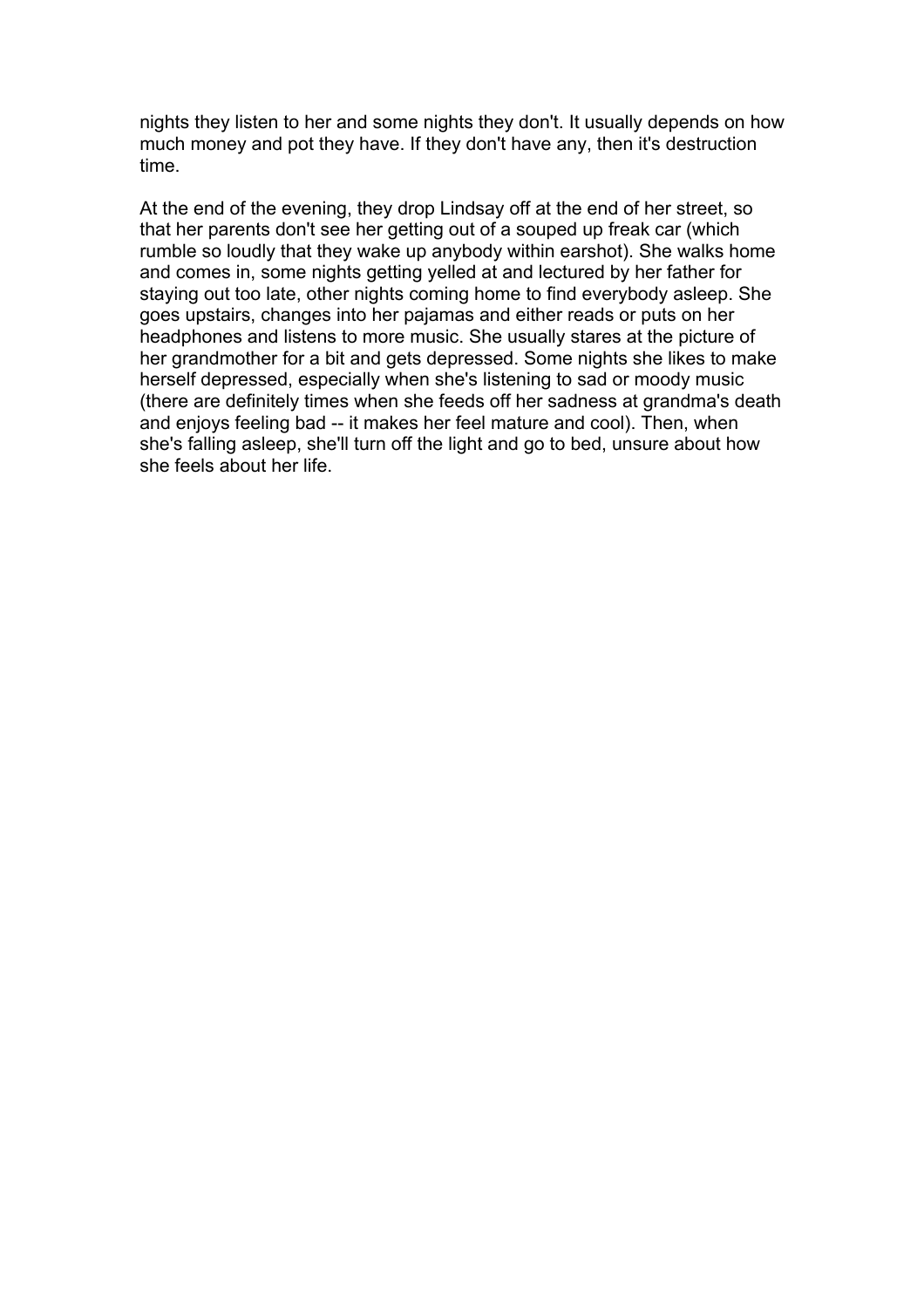nights they listen to her and some nights they don't. It usually depends on how much money and pot they have. If they don't have any, then it's destruction time.

At the end of the evening, they drop Lindsay off at the end of her street, so that her parents don't see her getting out of a souped up freak car (which rumble so loudly that they wake up anybody within earshot). She walks home and comes in, some nights getting yelled at and lectured by her father for staying out too late, other nights coming home to find everybody asleep. She goes upstairs, changes into her pajamas and either reads or puts on her headphones and listens to more music. She usually stares at the picture of her grandmother for a bit and gets depressed. Some nights she likes to make herself depressed, especially when she's listening to sad or moody music (there are definitely times when she feeds off her sadness at grandma's death and enjoys feeling bad -- it makes her feel mature and cool). Then, when she's falling asleep, she'll turn off the light and go to bed, unsure about how she feels about her life.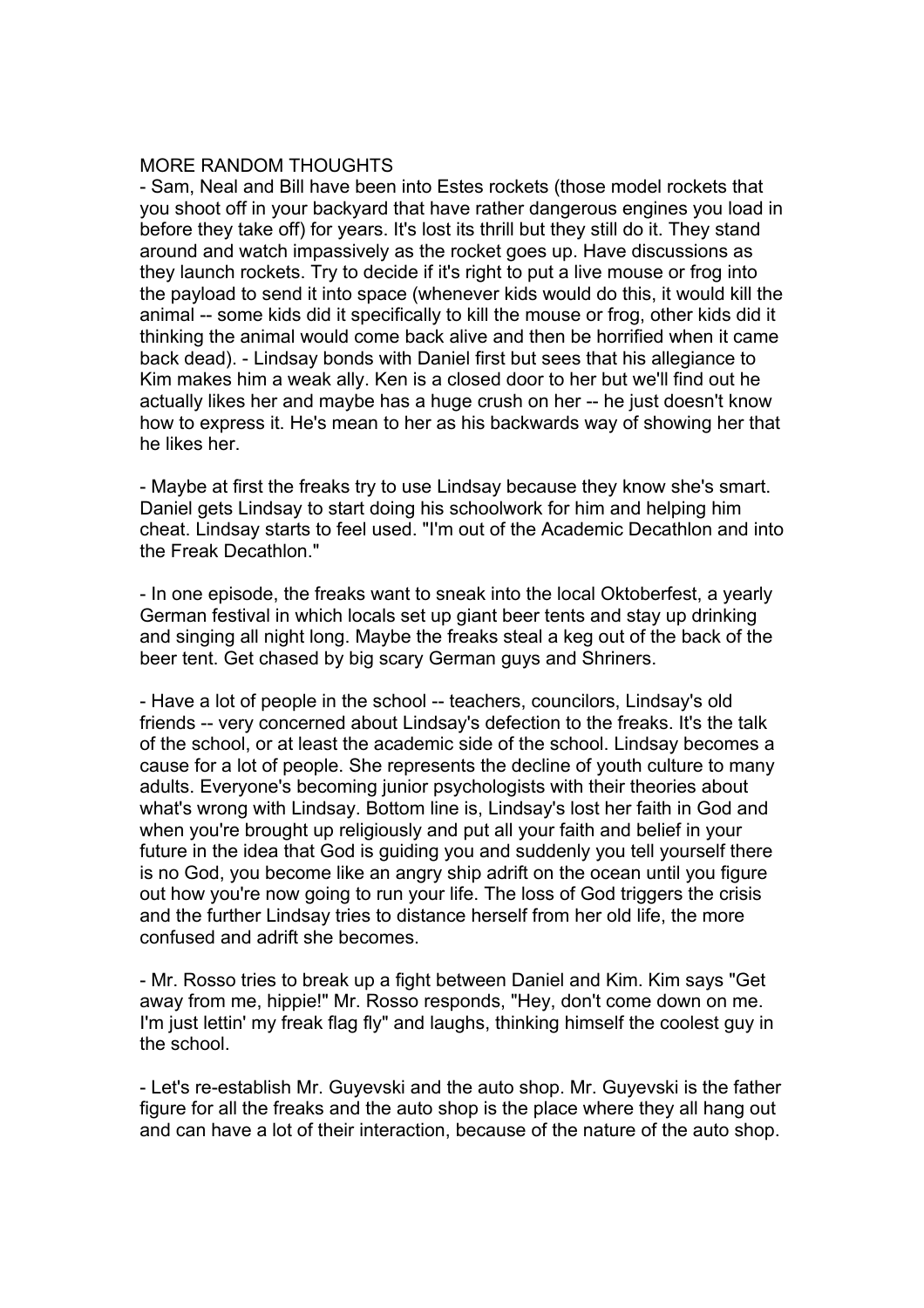## MORE RANDOM THOUGHTS

- Sam, Neal and Bill have been into Estes rockets (those model rockets that you shoot off in your backyard that have rather dangerous engines you load in before they take off) for years. It's lost its thrill but they still do it. They stand around and watch impassively as the rocket goes up. Have discussions as they launch rockets. Try to decide if it's right to put a live mouse or frog into the payload to send it into space (whenever kids would do this, it would kill the animal -- some kids did it specifically to kill the mouse or frog, other kids did it thinking the animal would come back alive and then be horrified when it came back dead). - Lindsay bonds with Daniel first but sees that his allegiance to Kim makes him a weak ally. Ken is a closed door to her but we'll find out he actually likes her and maybe has a huge crush on her -- he just doesn't know how to express it. He's mean to her as his backwards way of showing her that he likes her.

- Maybe at first the freaks try to use Lindsay because they know she's smart. Daniel gets Lindsay to start doing his schoolwork for him and helping him cheat. Lindsay starts to feel used. "I'm out of the Academic Decathlon and into the Freak Decathlon."

- In one episode, the freaks want to sneak into the local Oktoberfest, a yearly German festival in which locals set up giant beer tents and stay up drinking and singing all night long. Maybe the freaks steal a keg out of the back of the beer tent. Get chased by big scary German guys and Shriners.

- Have a lot of people in the school -- teachers, councilors, Lindsay's old friends -- very concerned about Lindsay's defection to the freaks. It's the talk of the school, or at least the academic side of the school. Lindsay becomes a cause for a lot of people. She represents the decline of youth culture to many adults. Everyone's becoming junior psychologists with their theories about what's wrong with Lindsay. Bottom line is, Lindsay's lost her faith in God and when you're brought up religiously and put all your faith and belief in your future in the idea that God is guiding you and suddenly you tell yourself there is no God, you become like an angry ship adrift on the ocean until you figure out how you're now going to run your life. The loss of God triggers the crisis and the further Lindsay tries to distance herself from her old life, the more confused and adrift she becomes.

- Mr. Rosso tries to break up a fight between Daniel and Kim. Kim says "Get away from me, hippie!" Mr. Rosso responds, "Hey, don't come down on me. I'm just lettin' my freak flag fly" and laughs, thinking himself the coolest guy in the school.

- Let's re-establish Mr. Guyevski and the auto shop. Mr. Guyevski is the father figure for all the freaks and the auto shop is the place where they all hang out and can have a lot of their interaction, because of the nature of the auto shop.